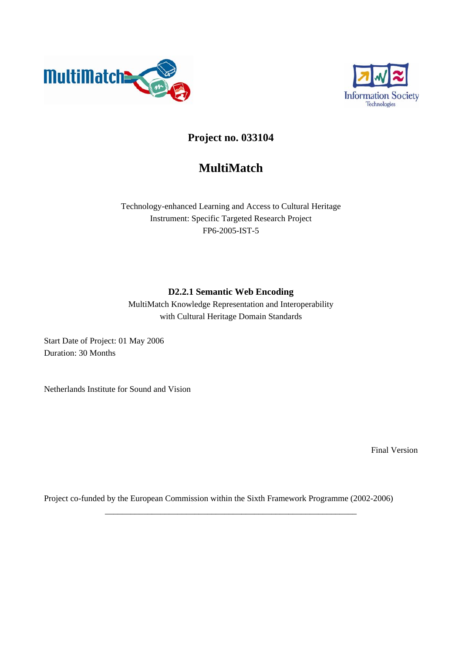



# **Project no. 033104**

# **MultiMatch**

Technology-enhanced Learning and Access to Cultural Heritage Instrument: Specific Targeted Research Project FP6-2005-IST-5

### **D2.2.1 Semantic Web Encoding**

MultiMatch Knowledge Representation and Interoperability with Cultural Heritage Domain Standards

Start Date of Project: 01 May 2006 Duration: 30 Months

Netherlands Institute for Sound and Vision

Final Version

Project co-funded by the European Commission within the Sixth Framework Programme (2002-2006)

\_\_\_\_\_\_\_\_\_\_\_\_\_\_\_\_\_\_\_\_\_\_\_\_\_\_\_\_\_\_\_\_\_\_\_\_\_\_\_\_\_\_\_\_\_\_\_\_\_\_\_\_\_\_\_\_\_\_\_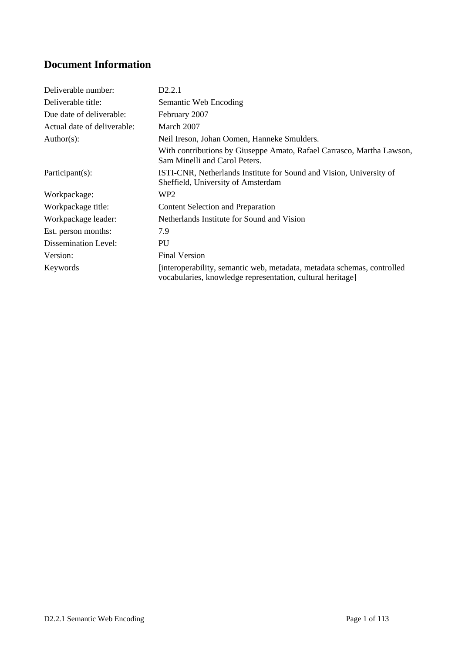# **Document Information**

| Deliverable number:         | D2.2.1                                                                                                                                |
|-----------------------------|---------------------------------------------------------------------------------------------------------------------------------------|
| Deliverable title:          | Semantic Web Encoding                                                                                                                 |
| Due date of deliverable:    | February 2007                                                                                                                         |
| Actual date of deliverable: | March 2007                                                                                                                            |
| $Author(s)$ :               | Neil Ireson, Johan Oomen, Hanneke Smulders.                                                                                           |
|                             | With contributions by Giuseppe Amato, Rafael Carrasco, Martha Lawson,<br>Sam Minelli and Carol Peters.                                |
| Participant(s):             | ISTI-CNR, Netherlands Institute for Sound and Vision, University of<br>Sheffield, University of Amsterdam                             |
| Workpackage:                | WP2                                                                                                                                   |
| Workpackage title:          | <b>Content Selection and Preparation</b>                                                                                              |
| Workpackage leader:         | Netherlands Institute for Sound and Vision                                                                                            |
| Est. person months:         | 7.9                                                                                                                                   |
| <b>Dissemination Level:</b> | PU                                                                                                                                    |
| Version:                    | <b>Final Version</b>                                                                                                                  |
| Keywords                    | [interoperability, semantic web, metadata, metadata schemas, controlled<br>vocabularies, knowledge representation, cultural heritage] |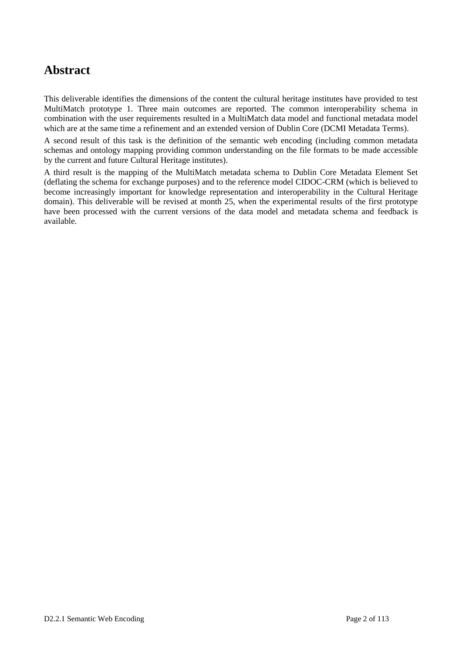# **Abstract**

This deliverable identifies the dimensions of the content the cultural heritage institutes have provided to test MultiMatch prototype 1. Three main outcomes are reported. The common interoperability schema in combination with the user requirements resulted in a MultiMatch data model and functional metadata model which are at the same time a refinement and an extended version of Dublin Core (DCMI Metadata Terms).

A second result of this task is the definition of the semantic web encoding (including common metadata schemas and ontology mapping providing common understanding on the file formats to be made accessible by the current and future Cultural Heritage institutes).

A third result is the mapping of the MultiMatch metadata schema to Dublin Core Metadata Element Set (deflating the schema for exchange purposes) and to the reference model CIDOC-CRM (which is believed to become increasingly important for knowledge representation and interoperability in the Cultural Heritage domain). This deliverable will be revised at month 25, when the experimental results of the first prototype have been processed with the current versions of the data model and metadata schema and feedback is available.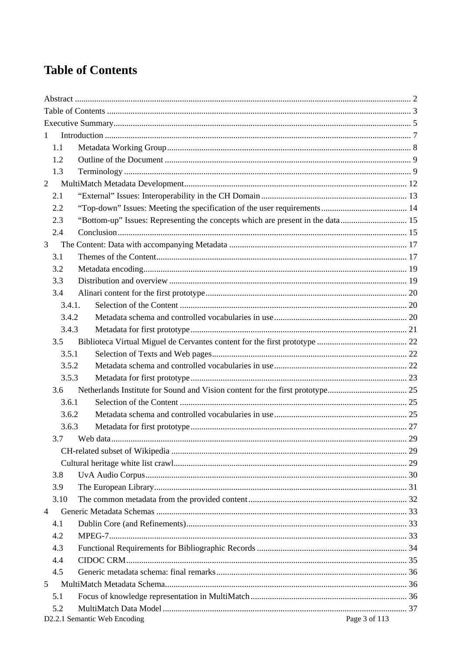# **Table of Contents**

| $\mathbf{1}$   |               |                                                                                |    |  |  |  |  |
|----------------|---------------|--------------------------------------------------------------------------------|----|--|--|--|--|
|                | 1.1           |                                                                                |    |  |  |  |  |
|                | 1.2           |                                                                                |    |  |  |  |  |
|                | 1.3           |                                                                                |    |  |  |  |  |
| $\overline{2}$ |               |                                                                                |    |  |  |  |  |
|                | 2.1           |                                                                                |    |  |  |  |  |
|                | 2.2           |                                                                                |    |  |  |  |  |
|                | 2.3           | "Bottom-up" Issues: Representing the concepts which are present in the data 15 |    |  |  |  |  |
|                | 2.4           |                                                                                |    |  |  |  |  |
| 3              |               |                                                                                |    |  |  |  |  |
|                | 3.1           |                                                                                |    |  |  |  |  |
|                | 3.2           |                                                                                |    |  |  |  |  |
|                | 3.3           |                                                                                |    |  |  |  |  |
|                | 3.4           |                                                                                |    |  |  |  |  |
|                | 3.4.1.        |                                                                                |    |  |  |  |  |
|                | 3.4.2         |                                                                                |    |  |  |  |  |
|                | 3.4.3         |                                                                                |    |  |  |  |  |
|                | 3.5           |                                                                                |    |  |  |  |  |
|                | 3.5.1         |                                                                                |    |  |  |  |  |
|                | 3.5.2         |                                                                                |    |  |  |  |  |
|                | 3.5.3         |                                                                                |    |  |  |  |  |
|                | $3.6^{\circ}$ |                                                                                |    |  |  |  |  |
|                | 3.6.1         |                                                                                |    |  |  |  |  |
|                | 3.6.2         |                                                                                |    |  |  |  |  |
|                | 3.6.3         |                                                                                |    |  |  |  |  |
|                |               | 3.7 Web data                                                                   | 29 |  |  |  |  |
|                |               |                                                                                |    |  |  |  |  |
|                |               |                                                                                |    |  |  |  |  |
|                | 3.8           |                                                                                |    |  |  |  |  |
|                | 3.9           |                                                                                |    |  |  |  |  |
|                | 3.10          |                                                                                |    |  |  |  |  |
| $\overline{4}$ |               |                                                                                |    |  |  |  |  |
|                | 4.1           |                                                                                |    |  |  |  |  |
|                | 4.2           |                                                                                |    |  |  |  |  |
|                | 4.3           |                                                                                |    |  |  |  |  |
|                | 4.4           |                                                                                |    |  |  |  |  |
|                | 4.5           |                                                                                |    |  |  |  |  |
| 5              |               |                                                                                |    |  |  |  |  |
|                | 5.1           |                                                                                |    |  |  |  |  |
|                | 5.2           |                                                                                |    |  |  |  |  |
|                |               | Page 3 of 113<br>D2.2.1 Semantic Web Encoding                                  |    |  |  |  |  |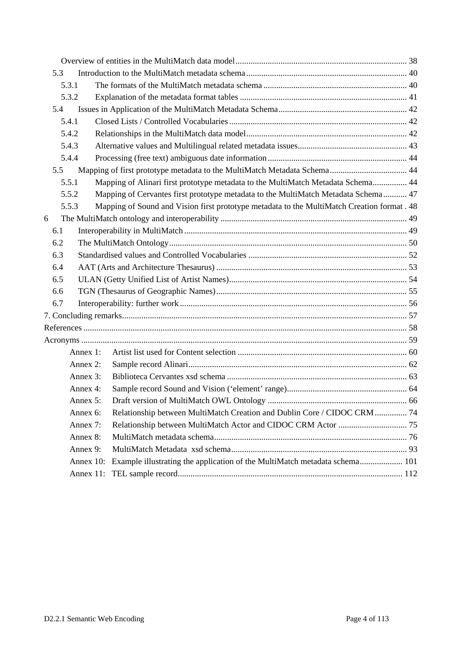|   | 5.3 |              |                                                                                             |  |
|---|-----|--------------|---------------------------------------------------------------------------------------------|--|
|   |     | 5.3.1        |                                                                                             |  |
|   |     | 5.3.2        |                                                                                             |  |
|   | 5.4 |              |                                                                                             |  |
|   |     | 5.4.1        |                                                                                             |  |
|   |     | 5.4.2        |                                                                                             |  |
|   |     | 5.4.3        |                                                                                             |  |
|   |     | 5.4.4        |                                                                                             |  |
|   | 5.5 |              |                                                                                             |  |
|   |     | 5.5.1        | Mapping of Alinari first prototype metadata to the MultiMatch Metadata Schema 44            |  |
|   |     | 5.5.2        | Mapping of Cervantes first prototype metadata to the MultiMatch Metadata Schema 47          |  |
|   |     | 5.5.3        | Mapping of Sound and Vision first prototype metadata to the MultiMatch Creation format . 48 |  |
| 6 |     |              |                                                                                             |  |
|   | 6.1 |              |                                                                                             |  |
|   | 6.2 |              |                                                                                             |  |
|   | 6.3 |              |                                                                                             |  |
|   | 6.4 |              |                                                                                             |  |
|   | 6.5 |              |                                                                                             |  |
|   | 6.6 |              |                                                                                             |  |
|   | 6.7 |              |                                                                                             |  |
|   |     |              |                                                                                             |  |
|   |     |              |                                                                                             |  |
|   |     |              |                                                                                             |  |
|   |     | Annex 1:     |                                                                                             |  |
|   |     | Annex 2:     |                                                                                             |  |
|   |     | Annex 3:     |                                                                                             |  |
|   |     | Annex 4:     |                                                                                             |  |
|   |     | Annex $5$ :  |                                                                                             |  |
|   |     | Annex 6:     | Relationship between MultiMatch Creation and Dublin Core / CIDOC CRM  74                    |  |
|   |     | Annex 7:     |                                                                                             |  |
|   |     | Annex 8:     |                                                                                             |  |
|   |     | Annex 9:     |                                                                                             |  |
|   |     | Annex $10$ : | Example illustrating the application of the MultiMatch metadata schema 101                  |  |
|   |     |              |                                                                                             |  |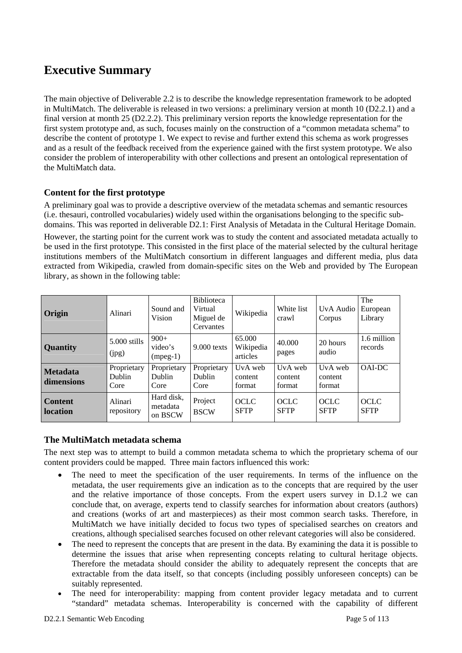# **Executive Summary**

The main objective of Deliverable 2.2 is to describe the knowledge representation framework to be adopted in MultiMatch. The deliverable is released in two versions: a preliminary version at month 10 (D2.2.1) and a final version at month 25 (D2.2.2). This preliminary version reports the knowledge representation for the first system prototype and, as such, focuses mainly on the construction of a "common metadata schema" to describe the content of prototype 1. We expect to revise and further extend this schema as work progresses and as a result of the feedback received from the experience gained with the first system prototype. We also consider the problem of interoperability with other collections and present an ontological representation of the MultiMatch data.

#### **Content for the first prototype**

A preliminary goal was to provide a descriptive overview of the metadata schemas and semantic resources (i.e. thesauri, controlled vocabularies) widely used within the organisations belonging to the specific subdomains. This was reported in deliverable D2.1: First Analysis of Metadata in the Cultural Heritage Domain.

However, the starting point for the current work was to study the content and associated metadata actually to be used in the first prototype. This consisted in the first place of the material selected by the cultural heritage institutions members of the MultiMatch consortium in different languages and different media, plus data extracted from Wikipedia, crawled from domain-specific sites on the Web and provided by The European library, as shown in the following table:

| Origin                            | Alinari                       | Sound and<br>Vision               | <b>Biblioteca</b><br>Virtual<br>Miguel de<br>Cervantes | Wikipedia                       | White list<br>crawl          | UvA Audio<br>Corpus          | The<br>European<br>Library |
|-----------------------------------|-------------------------------|-----------------------------------|--------------------------------------------------------|---------------------------------|------------------------------|------------------------------|----------------------------|
| <b>Quantity</b>                   | 5.000 stills<br>(ipg)         | $900+$<br>video's<br>$(mpeg-1)$   | $9.000$ texts                                          | 65.000<br>Wikipedia<br>articles | 40.000<br>pages              | 20 hours<br>audio            | 1.6 million<br>records     |
| <b>Metadata</b><br>dimensions     | Proprietary<br>Dublin<br>Core | Proprietary<br>Dublin<br>Core     | Proprietary<br>Dublin<br>Core                          | UvA web<br>content<br>format    | UvA web<br>content<br>format | UvA web<br>content<br>format | OAI-DC                     |
| <b>Content</b><br><b>location</b> | Alinari<br>repository         | Hard disk,<br>metadata<br>on BSCW | Project<br><b>BSCW</b>                                 | <b>OCLC</b><br><b>SFTP</b>      | <b>OCLC</b><br><b>SFTP</b>   | <b>OCLC</b><br><b>SFTP</b>   | <b>OCLC</b><br><b>SFTP</b> |

#### **The MultiMatch metadata schema**

The next step was to attempt to build a common metadata schema to which the proprietary schema of our content providers could be mapped. Three main factors influenced this work:

- The need to meet the specification of the user requirements. In terms of the influence on the metadata, the user requirements give an indication as to the concepts that are required by the user and the relative importance of those concepts. From the expert users survey in D.1.2 we can conclude that, on average, experts tend to classify searches for information about creators (authors) and creations (works of art and masterpieces) as their most common search tasks. Therefore, in MultiMatch we have initially decided to focus two types of specialised searches on creators and creations, although specialised searches focused on other relevant categories will also be considered.
- The need to represent the concepts that are present in the data. By examining the data it is possible to determine the issues that arise when representing concepts relating to cultural heritage objects. Therefore the metadata should consider the ability to adequately represent the concepts that are extractable from the data itself, so that concepts (including possibly unforeseen concepts) can be suitably represented.
- The need for interoperability: mapping from content provider legacy metadata and to current "standard" metadata schemas. Interoperability is concerned with the capability of different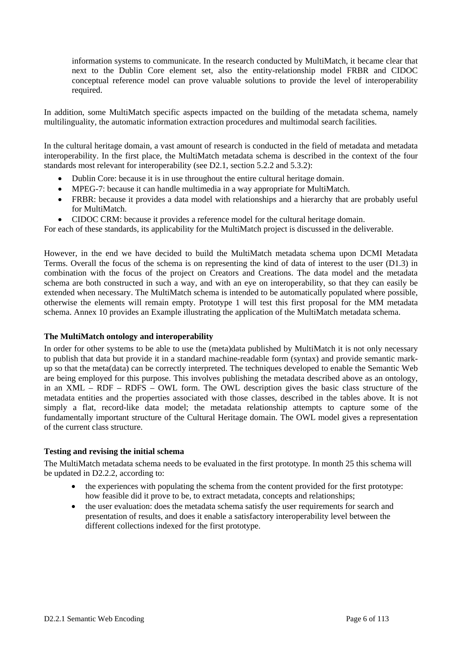information systems to communicate. In the research conducted by MultiMatch, it became clear that next to the Dublin Core element set, also the entity-relationship model FRBR and CIDOC conceptual reference model can prove valuable solutions to provide the level of interoperability required.

In addition, some MultiMatch specific aspects impacted on the building of the metadata schema, namely multilinguality, the automatic information extraction procedures and multimodal search facilities.

In the cultural heritage domain, a vast amount of research is conducted in the field of metadata and metadata interoperability. In the first place, the MultiMatch metadata schema is described in the context of the four standards most relevant for interoperability (see D2.1, section 5.2.2 and 5.3.2):

- Dublin Core: because it is in use throughout the entire cultural heritage domain.
- MPEG-7: because it can handle multimedia in a way appropriate for MultiMatch.
- FRBR: because it provides a data model with relationships and a hierarchy that are probably useful for MultiMatch.
- CIDOC CRM: because it provides a reference model for the cultural heritage domain.

For each of these standards, its applicability for the MultiMatch project is discussed in the deliverable.

However, in the end we have decided to build the MultiMatch metadata schema upon DCMI Metadata Terms. Overall the focus of the schema is on representing the kind of data of interest to the user (D1.3) in combination with the focus of the project on Creators and Creations. The data model and the metadata schema are both constructed in such a way, and with an eye on interoperability, so that they can easily be extended when necessary. The MultiMatch schema is intended to be automatically populated where possible, otherwise the elements will remain empty. Prototype 1 will test this first proposal for the MM metadata schema. Annex 10 provides an Example illustrating the application of the MultiMatch metadata schema.

#### **The MultiMatch ontology and interoperability**

In order for other systems to be able to use the (meta)data published by MultiMatch it is not only necessary to publish that data but provide it in a standard machine-readable form (syntax) and provide semantic markup so that the meta(data) can be correctly interpreted. The techniques developed to enable the Semantic Web are being employed for this purpose. This involves publishing the metadata described above as an ontology, in an XML – RDF – RDFS – OWL form. The OWL description gives the basic class structure of the metadata entities and the properties associated with those classes, described in the tables above. It is not simply a flat, record-like data model; the metadata relationship attempts to capture some of the fundamentally important structure of the Cultural Heritage domain. The OWL model gives a representation of the current class structure.

#### **Testing and revising the initial schema**

The MultiMatch metadata schema needs to be evaluated in the first prototype. In month 25 this schema will be updated in D2.2.2, according to:

- the experiences with populating the schema from the content provided for the first prototype: how feasible did it prove to be, to extract metadata, concepts and relationships;
- the user evaluation: does the metadata schema satisfy the user requirements for search and presentation of results, and does it enable a satisfactory interoperability level between the different collections indexed for the first prototype.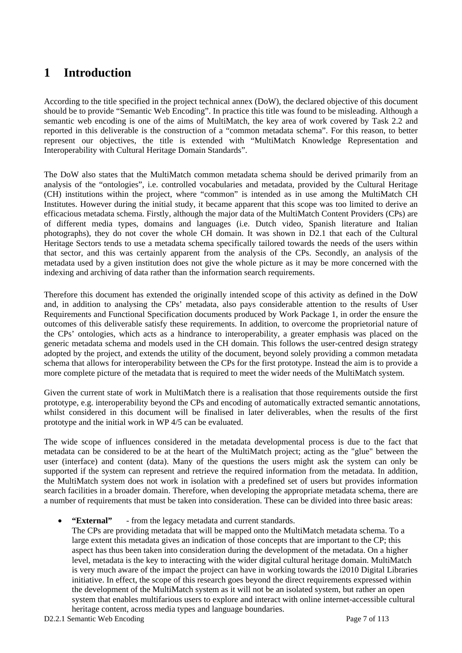# **1 Introduction**

According to the title specified in the project technical annex (DoW), the declared objective of this document should be to provide "Semantic Web Encoding". In practice this title was found to be misleading. Although a semantic web encoding is one of the aims of MultiMatch, the key area of work covered by Task 2.2 and reported in this deliverable is the construction of a "common metadata schema". For this reason, to better represent our objectives, the title is extended with "MultiMatch Knowledge Representation and Interoperability with Cultural Heritage Domain Standards".

The DoW also states that the MultiMatch common metadata schema should be derived primarily from an analysis of the "ontologies", i.e. controlled vocabularies and metadata, provided by the Cultural Heritage (CH) institutions within the project, where "common" is intended as in use among the MultiMatch CH Institutes. However during the initial study, it became apparent that this scope was too limited to derive an efficacious metadata schema. Firstly, although the major data of the MultiMatch Content Providers (CPs) are of different media types, domains and languages (i.e. Dutch video, Spanish literature and Italian photographs), they do not cover the whole CH domain. It was shown in D2.1 that each of the Cultural Heritage Sectors tends to use a metadata schema specifically tailored towards the needs of the users within that sector, and this was certainly apparent from the analysis of the CPs. Secondly, an analysis of the metadata used by a given institution does not give the whole picture as it may be more concerned with the indexing and archiving of data rather than the information search requirements.

Therefore this document has extended the originally intended scope of this activity as defined in the DoW and, in addition to analysing the CPs' metadata, also pays considerable attention to the results of User Requirements and Functional Specification documents produced by Work Package 1, in order the ensure the outcomes of this deliverable satisfy these requirements. In addition, to overcome the proprietorial nature of the CPs' ontologies, which acts as a hindrance to interoperability, a greater emphasis was placed on the generic metadata schema and models used in the CH domain. This follows the user-centred design strategy adopted by the project, and extends the utility of the document, beyond solely providing a common metadata schema that allows for interoperability between the CPs for the first prototype. Instead the aim is to provide a more complete picture of the metadata that is required to meet the wider needs of the MultiMatch system.

Given the current state of work in MultiMatch there is a realisation that those requirements outside the first prototype, e.g. interoperability beyond the CPs and encoding of automatically extracted semantic annotations, whilst considered in this document will be finalised in later deliverables, when the results of the first prototype and the initial work in WP 4/5 can be evaluated.

The wide scope of influences considered in the metadata developmental process is due to the fact that metadata can be considered to be at the heart of the MultiMatch project; acting as the "glue" between the user (interface) and content (data). Many of the questions the users might ask the system can only be supported if the system can represent and retrieve the required information from the metadata. In addition, the MultiMatch system does not work in isolation with a predefined set of users but provides information search facilities in a broader domain. Therefore, when developing the appropriate metadata schema, there are a number of requirements that must be taken into consideration. These can be divided into three basic areas:

• **"External"** - from the legacy metadata and current standards.

The CPs are providing metadata that will be mapped onto the MultiMatch metadata schema. To a large extent this metadata gives an indication of those concepts that are important to the CP; this aspect has thus been taken into consideration during the development of the metadata. On a higher level, metadata is the key to interacting with the wider digital cultural heritage domain. MultiMatch is very much aware of the impact the project can have in working towards the i2010 Digital Libraries initiative. In effect, the scope of this research goes beyond the direct requirements expressed within the development of the MultiMatch system as it will not be an isolated system, but rather an open system that enables multifarious users to explore and interact with online internet-accessible cultural heritage content, across media types and language boundaries.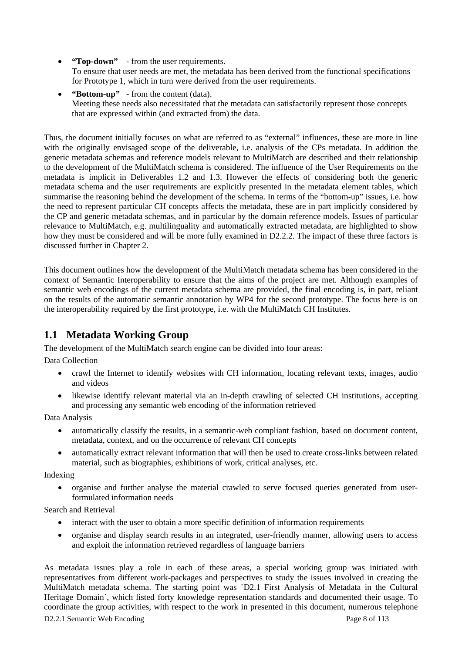- **"Top-down"** from the user requirements. To ensure that user needs are met, the metadata has been derived from the functional specifications for Prototype 1, which in turn were derived from the user requirements.
- **"Bottom-up"** from the content (data). Meeting these needs also necessitated that the metadata can satisfactorily represent those concepts that are expressed within (and extracted from) the data.

Thus, the document initially focuses on what are referred to as "external" influences, these are more in line with the originally envisaged scope of the deliverable, i.e. analysis of the CPs metadata. In addition the generic metadata schemas and reference models relevant to MultiMatch are described and their relationship to the development of the MultiMatch schema is considered. The influence of the User Requirements on the metadata is implicit in Deliverables 1.2 and 1.3. However the effects of considering both the generic metadata schema and the user requirements are explicitly presented in the metadata element tables, which summarise the reasoning behind the development of the schema. In terms of the "bottom-up" issues, i.e. how the need to represent particular CH concepts affects the metadata, these are in part implicitly considered by the CP and generic metadata schemas, and in particular by the domain reference models. Issues of particular relevance to MultiMatch, e.g. multilinguality and automatically extracted metadata, are highlighted to show how they must be considered and will be more fully examined in D2.2.2. The impact of these three factors is discussed further in Chapter 2.

This document outlines how the development of the MultiMatch metadata schema has been considered in the context of Semantic Interoperability to ensure that the aims of the project are met. Although examples of semantic web encodings of the current metadata schema are provided, the final encoding is, in part, reliant on the results of the automatic semantic annotation by WP4 for the second prototype. The focus here is on the interoperability required by the first prototype, i.e. with the MultiMatch CH Institutes.

## **1.1 Metadata Working Group**

The development of the MultiMatch search engine can be divided into four areas:

Data Collection

- crawl the Internet to identify websites with CH information, locating relevant texts, images, audio and videos
- likewise identify relevant material via an in-depth crawling of selected CH institutions, accepting and processing any semantic web encoding of the information retrieved

Data Analysis

- automatically classify the results, in a semantic-web compliant fashion, based on document content, metadata, context, and on the occurrence of relevant CH concepts
- automatically extract relevant information that will then be used to create cross-links between related material, such as biographies, exhibitions of work, critical analyses, etc.

Indexing

• organise and further analyse the material crawled to serve focused queries generated from userformulated information needs

Search and Retrieval

- interact with the user to obtain a more specific definition of information requirements
- organise and display search results in an integrated, user-friendly manner, allowing users to access and exploit the information retrieved regardless of language barriers

D2.2.1 Semantic Web Encoding Page 8 of 113 As metadata issues play a role in each of these areas, a special working group was initiated with representatives from different work-packages and perspectives to study the issues involved in creating the MultiMatch metadata schema. The starting point was `D2.1 First Analysis of Metadata in the Cultural Heritage Domain´, which listed forty knowledge representation standards and documented their usage. To coordinate the group activities, with respect to the work in presented in this document, numerous telephone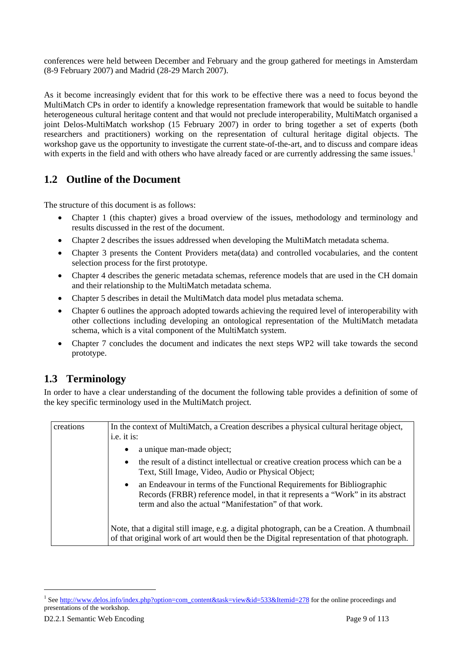conferences were held between December and February and the group gathered for meetings in Amsterdam (8-9 February 2007) and Madrid (28-29 March 2007).

As it become increasingly evident that for this work to be effective there was a need to focus beyond the MultiMatch CPs in order to identify a knowledge representation framework that would be suitable to handle heterogeneous cultural heritage content and that would not preclude interoperability, MultiMatch organised a joint Delos-MultiMatch workshop (15 February 2007) in order to bring together a set of experts (both researchers and practitioners) working on the representation of cultural heritage digital objects. The workshop gave us the opportunity to investigate the current state-of-the-art, and to discuss and compare ideas with experts in the field and with others who have already faced or are currently addressing the same issues.<sup>1</sup>

### **1.2 Outline of the Document**

The structure of this document is as follows:

- Chapter 1 (this chapter) gives a broad overview of the issues, methodology and terminology and results discussed in the rest of the document.
- Chapter 2 describes the issues addressed when developing the MultiMatch metadata schema.
- Chapter 3 presents the Content Providers meta(data) and controlled vocabularies, and the content selection process for the first prototype.
- Chapter 4 describes the generic metadata schemas, reference models that are used in the CH domain and their relationship to the MultiMatch metadata schema.
- Chapter 5 describes in detail the MultiMatch data model plus metadata schema.
- Chapter 6 outlines the approach adopted towards achieving the required level of interoperability with other collections including developing an ontological representation of the MultiMatch metadata schema, which is a vital component of the MultiMatch system.
- Chapter 7 concludes the document and indicates the next steps WP2 will take towards the second prototype.

## **1.3 Terminology**

In order to have a clear understanding of the document the following table provides a definition of some of the key specific terminology used in the MultiMatch project.

| creations | In the context of MultiMatch, a Creation describes a physical cultural heritage object,<br>i.e. it is:                                                                                                                          |
|-----------|---------------------------------------------------------------------------------------------------------------------------------------------------------------------------------------------------------------------------------|
|           | a unique man-made object;<br>٠                                                                                                                                                                                                  |
|           | the result of a distinct intellectual or creative creation process which can be a<br>$\bullet$<br>Text, Still Image, Video, Audio or Physical Object;                                                                           |
|           | an Endeavour in terms of the Functional Requirements for Bibliographic<br>$\bullet$<br>Records (FRBR) reference model, in that it represents a "Work" in its abstract<br>term and also the actual "Manifestation" of that work. |
|           | Note, that a digital still image, e.g. a digital photograph, can be a Creation. A thumbnail<br>of that original work of art would then be the Digital representation of that photograph.                                        |

 $\overline{\phantom{a}}$ 

<sup>1</sup> See http://www.delos.info/index.php?option=com\_content&task=view&id=533&Itemid=278 for the online proceedings and presentations of the workshop.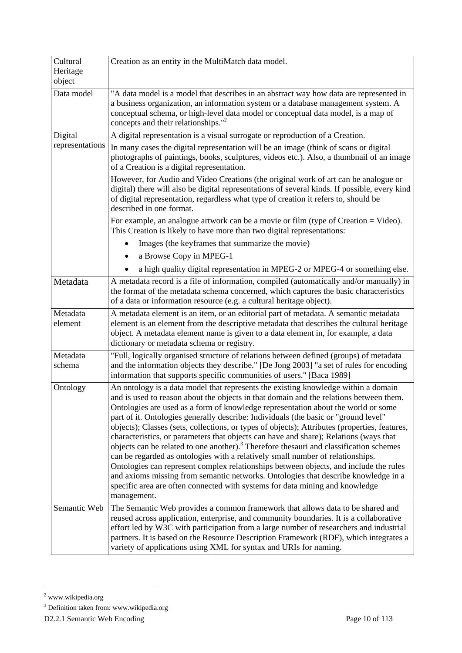| Cultural<br>Heritage | Creation as an entity in the MultiMatch data model.                                                                                                                                                                                                                                                                                                                                                                                                                                                                                                                                                                                                                                                                                                                                                                                                                                                                                                                                                                      |
|----------------------|--------------------------------------------------------------------------------------------------------------------------------------------------------------------------------------------------------------------------------------------------------------------------------------------------------------------------------------------------------------------------------------------------------------------------------------------------------------------------------------------------------------------------------------------------------------------------------------------------------------------------------------------------------------------------------------------------------------------------------------------------------------------------------------------------------------------------------------------------------------------------------------------------------------------------------------------------------------------------------------------------------------------------|
| object               |                                                                                                                                                                                                                                                                                                                                                                                                                                                                                                                                                                                                                                                                                                                                                                                                                                                                                                                                                                                                                          |
| Data model           | "A data model is a model that describes in an abstract way how data are represented in<br>a business organization, an information system or a database management system. A<br>conceptual schema, or high-level data model or conceptual data model, is a map of<br>concepts and their relationships." <sup>2</sup>                                                                                                                                                                                                                                                                                                                                                                                                                                                                                                                                                                                                                                                                                                      |
| Digital              | A digital representation is a visual surrogate or reproduction of a Creation.                                                                                                                                                                                                                                                                                                                                                                                                                                                                                                                                                                                                                                                                                                                                                                                                                                                                                                                                            |
| representations      | In many cases the digital representation will be an image (think of scans or digital<br>photographs of paintings, books, sculptures, videos etc.). Also, a thumbnail of an image<br>of a Creation is a digital representation.                                                                                                                                                                                                                                                                                                                                                                                                                                                                                                                                                                                                                                                                                                                                                                                           |
|                      | However, for Audio and Video Creations (the original work of art can be analogue or<br>digital) there will also be digital representations of several kinds. If possible, every kind<br>of digital representation, regardless what type of creation it refers to, should be<br>described in one format.                                                                                                                                                                                                                                                                                                                                                                                                                                                                                                                                                                                                                                                                                                                  |
|                      | For example, an analogue artwork can be a movie or film (type of Creation = Video).<br>This Creation is likely to have more than two digital representations:                                                                                                                                                                                                                                                                                                                                                                                                                                                                                                                                                                                                                                                                                                                                                                                                                                                            |
|                      | Images (the keyframes that summarize the movie)                                                                                                                                                                                                                                                                                                                                                                                                                                                                                                                                                                                                                                                                                                                                                                                                                                                                                                                                                                          |
|                      | a Browse Copy in MPEG-1                                                                                                                                                                                                                                                                                                                                                                                                                                                                                                                                                                                                                                                                                                                                                                                                                                                                                                                                                                                                  |
|                      | a high quality digital representation in MPEG-2 or MPEG-4 or something else.                                                                                                                                                                                                                                                                                                                                                                                                                                                                                                                                                                                                                                                                                                                                                                                                                                                                                                                                             |
| Metadata             | A metadata record is a file of information, compiled (automatically and/or manually) in<br>the format of the metadata schema concerned, which captures the basic characteristics<br>of a data or information resource (e.g. a cultural heritage object).                                                                                                                                                                                                                                                                                                                                                                                                                                                                                                                                                                                                                                                                                                                                                                 |
| Metadata<br>element  | A metadata element is an item, or an editorial part of metadata. A semantic metadata<br>element is an element from the descriptive metadata that describes the cultural heritage<br>object. A metadata element name is given to a data element in, for example, a data<br>dictionary or metadata schema or registry.                                                                                                                                                                                                                                                                                                                                                                                                                                                                                                                                                                                                                                                                                                     |
| Metadata<br>schema   | "Full, logically organised structure of relations between defined (groups) of metadata<br>and the information objects they describe." [De Jong 2003] "a set of rules for encoding<br>information that supports specific communities of users." [Baca 1989]                                                                                                                                                                                                                                                                                                                                                                                                                                                                                                                                                                                                                                                                                                                                                               |
| Ontology             | An ontology is a data model that represents the existing knowledge within a domain<br>and is used to reason about the objects in that domain and the relations between them.<br>Ontologies are used as a form of knowledge representation about the world or some<br>part of it. Ontologies generally describe: Individuals (the basic or "ground level"<br>objects); Classes (sets, collections, or types of objects); Attributes (properties, features,<br>characteristics, or parameters that objects can have and share); Relations (ways that<br>objects can be related to one another). <sup>3</sup> Therefore thesauri and classification schemes<br>can be regarded as ontologies with a relatively small number of relationships.<br>Ontologies can represent complex relationships between objects, and include the rules<br>and axioms missing from semantic networks. Ontologies that describe knowledge in a<br>specific area are often connected with systems for data mining and knowledge<br>management. |
| Semantic Web         | The Semantic Web provides a common framework that allows data to be shared and<br>reused across application, enterprise, and community boundaries. It is a collaborative<br>effort led by W3C with participation from a large number of researchers and industrial<br>partners. It is based on the Resource Description Framework (RDF), which integrates a<br>variety of applications using XML for syntax and URIs for naming.                                                                                                                                                                                                                                                                                                                                                                                                                                                                                                                                                                                         |

 $\overline{\phantom{a}}$ 

<sup>&</sup>lt;sup>2</sup> www.wikipedia.org

<sup>&</sup>lt;sup>3</sup> Definition taken from: www.wikipedia.org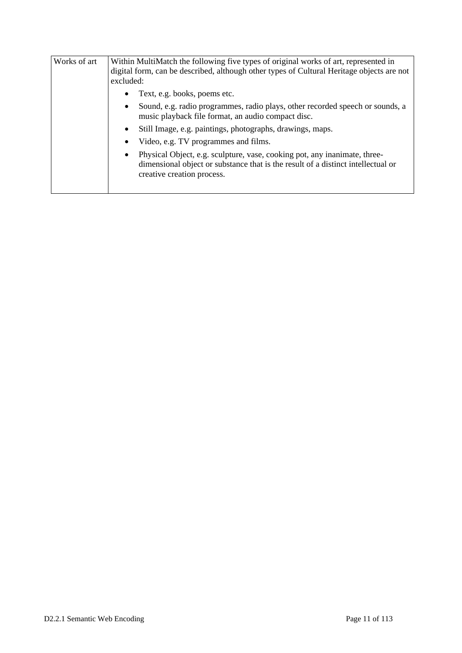| Within MultiMatch the following five types of original works of art, represented in<br>digital form, can be described, although other types of Cultural Heritage objects are not<br>excluded:            |  |  |  |
|----------------------------------------------------------------------------------------------------------------------------------------------------------------------------------------------------------|--|--|--|
| Text, e.g. books, poems etc.<br>٠                                                                                                                                                                        |  |  |  |
| Sound, e.g. radio programmes, radio plays, other recorded speech or sounds, a<br>$\bullet$<br>music playback file format, an audio compact disc.                                                         |  |  |  |
| Still Image, e.g. paintings, photographs, drawings, maps.<br>$\bullet$                                                                                                                                   |  |  |  |
| Video, e.g. TV programmes and films.<br>٠                                                                                                                                                                |  |  |  |
| Physical Object, e.g. sculpture, vase, cooking pot, any inanimate, three-<br>$\bullet$<br>dimensional object or substance that is the result of a distinct intellectual or<br>creative creation process. |  |  |  |
|                                                                                                                                                                                                          |  |  |  |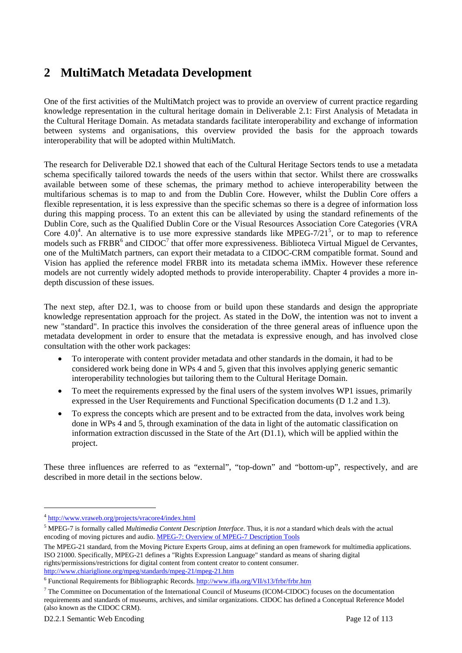# **2 MultiMatch Metadata Development**

One of the first activities of the MultiMatch project was to provide an overview of current practice regarding knowledge representation in the cultural heritage domain in Deliverable 2.1: First Analysis of Metadata in the Cultural Heritage Domain. As metadata standards facilitate interoperability and exchange of information between systems and organisations, this overview provided the basis for the approach towards interoperability that will be adopted within MultiMatch.

The research for Deliverable D2.1 showed that each of the Cultural Heritage Sectors tends to use a metadata schema specifically tailored towards the needs of the users within that sector. Whilst there are crosswalks available between some of these schemas, the primary method to achieve interoperability between the multifarious schemas is to map to and from the Dublin Core. However, whilst the Dublin Core offers a flexible representation, it is less expressive than the specific schemas so there is a degree of information loss during this mapping process. To an extent this can be alleviated by using the standard refinements of the Dublin Core, such as the Qualified Dublin Core or the Visual Resources Association Core Categories (VRA Core 4.0)<sup>4</sup>. An alternative is to use more expressive standards like MPEG-7/21<sup>5</sup>, or to map to reference models such as  $FRBR<sup>6</sup>$  and  $CIDOC<sup>7</sup>$  that offer more expressiveness. Biblioteca Virtual Miguel de Cervantes, one of the MultiMatch partners, can export their metadata to a CIDOC-CRM compatible format. Sound and Vision has applied the reference model FRBR into its metadata schema iMMix. However these reference models are not currently widely adopted methods to provide interoperability. Chapter 4 provides a more indepth discussion of these issues.

The next step, after D2.1, was to choose from or build upon these standards and design the appropriate knowledge representation approach for the project. As stated in the DoW, the intention was not to invent a new "standard". In practice this involves the consideration of the three general areas of influence upon the metadata development in order to ensure that the metadata is expressive enough, and has involved close consultation with the other work packages:

- To interoperate with content provider metadata and other standards in the domain, it had to be considered work being done in WPs 4 and 5, given that this involves applying generic semantic interoperability technologies but tailoring them to the Cultural Heritage Domain.
- To meet the requirements expressed by the final users of the system involves WP1 issues, primarily expressed in the User Requirements and Functional Specification documents (D 1.2 and 1.3).
- To express the concepts which are present and to be extracted from the data, involves work being done in WPs 4 and 5, through examination of the data in light of the automatic classification on information extraction discussed in the State of the Art (D1.1), which will be applied within the project.

These three influences are referred to as "external", "top-down" and "bottom-up", respectively, and are described in more detail in the sections below.

l

<sup>4</sup> http://www.vraweb.org/projects/vracore4/index.html

<sup>5</sup> MPEG-7 is formally called *Multimedia Content Description Interface*. Thus, it is *not* a standard which deals with the actual encoding of moving pictures and audio. MPEG-7: Overview of MPEG-7 Description Tools

The MPEG-21 standard, from the Moving Picture Experts Group, aims at defining an open framework for multimedia applications. ISO 21000. Specifically, MPEG-21 defines a "Rights Expression Language" standard as means of sharing digital rights/permissions/restrictions for digital content from content creator to content consumer. http://www.chiariglione.org/mpeg/standards/mpeg-21/mpeg-21.htm

<sup>&</sup>lt;sup>6</sup> Functional Requirements for Bibliographic Records. http://www.ifla.org/VII/s13/frbr/frbr.htm

<sup>&</sup>lt;sup>7</sup> The Committee on Documentation of the International Council of Museums (ICOM-CIDOC) focuses on the documentation requirements and standards of museums, archives, and similar organizations. CIDOC has defined a Conceptual Reference Model (also known as the CIDOC CRM).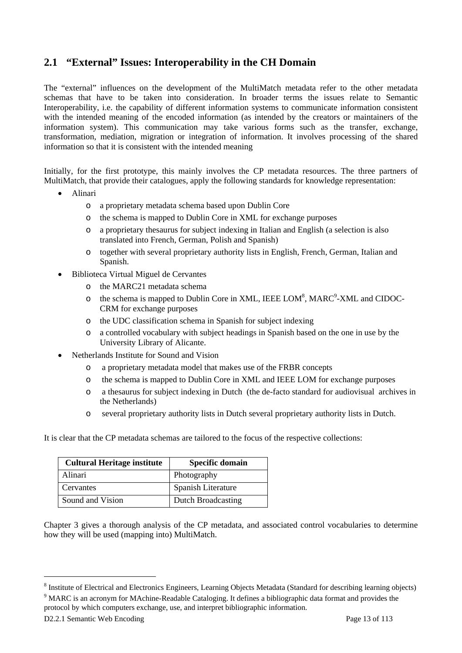### **2.1 "External" Issues: Interoperability in the CH Domain**

The "external" influences on the development of the MultiMatch metadata refer to the other metadata schemas that have to be taken into consideration. In broader terms the issues relate to Semantic Interoperability, i.e. the capability of different information systems to communicate information consistent with the intended meaning of the encoded information (as intended by the creators or maintainers of the information system). This communication may take various forms such as the transfer, exchange, transformation, mediation, migration or integration of information. It involves processing of the shared information so that it is consistent with the intended meaning

Initially, for the first prototype, this mainly involves the CP metadata resources. The three partners of MultiMatch, that provide their catalogues, apply the following standards for knowledge representation:

- Alinari
	- o a proprietary metadata schema based upon Dublin Core
	- o the schema is mapped to Dublin Core in XML for exchange purposes
	- o a proprietary thesaurus for subject indexing in Italian and English (a selection is also translated into French, German, Polish and Spanish)
	- o together with several proprietary authority lists in English, French, German, Italian and Spanish.
- Biblioteca Virtual Miguel de Cervantes
	- o the MARC21 metadata schema
	- o the schema is mapped to Dublin Core in XML, IEEE LOM<sup>8</sup>, MARC<sup>9</sup>-XML and CIDOC-CRM for exchange purposes
	- o the UDC classification schema in Spanish for subject indexing
	- o a controlled vocabulary with subject headings in Spanish based on the one in use by the University Library of Alicante.
- Netherlands Institute for Sound and Vision
	- o a proprietary metadata model that makes use of the FRBR concepts
	- o the schema is mapped to Dublin Core in XML and IEEE LOM for exchange purposes
	- o a thesaurus for subject indexing in Dutch (the de-facto standard for audiovisual archives in the Netherlands)
	- o several proprietary authority lists in Dutch several proprietary authority lists in Dutch.

It is clear that the CP metadata schemas are tailored to the focus of the respective collections:

| <b>Cultural Heritage institute</b> | <b>Specific domain</b>    |
|------------------------------------|---------------------------|
| Alinari                            | Photography               |
| Cervantes                          | Spanish Literature        |
| Sound and Vision                   | <b>Dutch Broadcasting</b> |

Chapter 3 gives a thorough analysis of the CP metadata, and associated control vocabularies to determine how they will be used (mapping into) MultiMatch.

l

<sup>&</sup>lt;sup>8</sup> Institute of Electrical and Electronics Engineers, Learning Objects Metadata (Standard for describing learning objects) <br><sup>9</sup> MABC is an acronum for MAchina Baadable Catalogina. It defines a bibliographic data format an

<sup>&</sup>lt;sup>9</sup> MARC is an acronym for MAchine-Readable Cataloging. It defines a bibliographic data format and provides the protocol by which computers exchange, use, and interpret bibliographic information.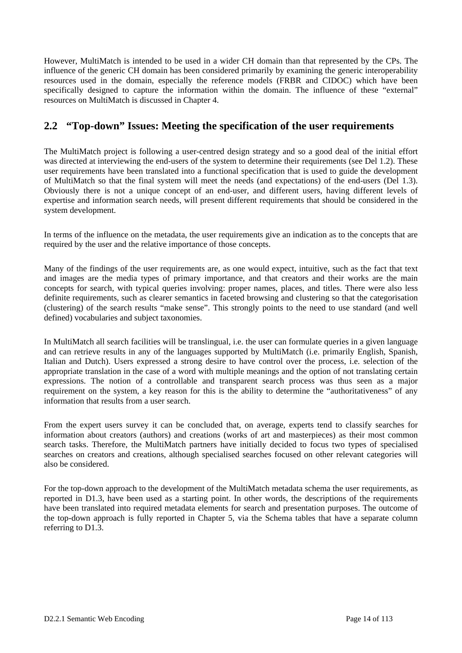However, MultiMatch is intended to be used in a wider CH domain than that represented by the CPs. The influence of the generic CH domain has been considered primarily by examining the generic interoperability resources used in the domain, especially the reference models (FRBR and CIDOC) which have been specifically designed to capture the information within the domain. The influence of these "external" resources on MultiMatch is discussed in Chapter 4.

### **2.2 "Top-down" Issues: Meeting the specification of the user requirements**

The MultiMatch project is following a user-centred design strategy and so a good deal of the initial effort was directed at interviewing the end-users of the system to determine their requirements (see Del 1.2). These user requirements have been translated into a functional specification that is used to guide the development of MultiMatch so that the final system will meet the needs (and expectations) of the end-users (Del 1.3). Obviously there is not a unique concept of an end-user, and different users, having different levels of expertise and information search needs, will present different requirements that should be considered in the system development.

In terms of the influence on the metadata, the user requirements give an indication as to the concepts that are required by the user and the relative importance of those concepts.

Many of the findings of the user requirements are, as one would expect, intuitive, such as the fact that text and images are the media types of primary importance, and that creators and their works are the main concepts for search, with typical queries involving: proper names, places, and titles. There were also less definite requirements, such as clearer semantics in faceted browsing and clustering so that the categorisation (clustering) of the search results "make sense". This strongly points to the need to use standard (and well defined) vocabularies and subject taxonomies.

In MultiMatch all search facilities will be translingual, i.e. the user can formulate queries in a given language and can retrieve results in any of the languages supported by MultiMatch (i.e. primarily English, Spanish, Italian and Dutch). Users expressed a strong desire to have control over the process, i.e. selection of the appropriate translation in the case of a word with multiple meanings and the option of not translating certain expressions. The notion of a controllable and transparent search process was thus seen as a major requirement on the system, a key reason for this is the ability to determine the "authoritativeness" of any information that results from a user search.

From the expert users survey it can be concluded that, on average, experts tend to classify searches for information about creators (authors) and creations (works of art and masterpieces) as their most common search tasks. Therefore, the MultiMatch partners have initially decided to focus two types of specialised searches on creators and creations, although specialised searches focused on other relevant categories will also be considered.

For the top-down approach to the development of the MultiMatch metadata schema the user requirements, as reported in D1.3, have been used as a starting point. In other words, the descriptions of the requirements have been translated into required metadata elements for search and presentation purposes. The outcome of the top-down approach is fully reported in Chapter 5, via the Schema tables that have a separate column referring to D1.3.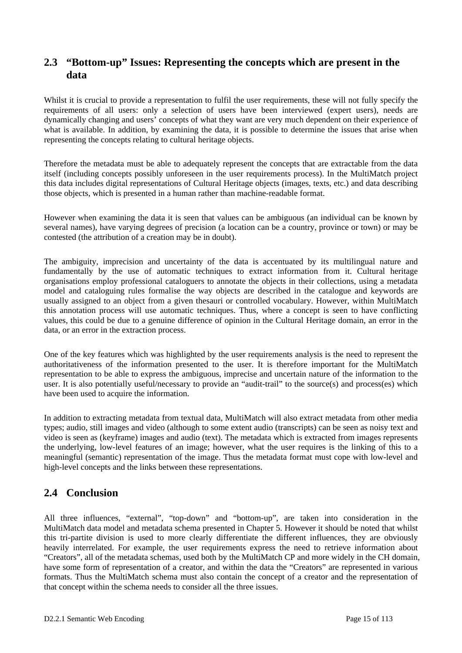### **2.3 "Bottom-up" Issues: Representing the concepts which are present in the data**

Whilst it is crucial to provide a representation to fulfil the user requirements, these will not fully specify the requirements of all users: only a selection of users have been interviewed (expert users), needs are dynamically changing and users' concepts of what they want are very much dependent on their experience of what is available. In addition, by examining the data, it is possible to determine the issues that arise when representing the concepts relating to cultural heritage objects.

Therefore the metadata must be able to adequately represent the concepts that are extractable from the data itself (including concepts possibly unforeseen in the user requirements process). In the MultiMatch project this data includes digital representations of Cultural Heritage objects (images, texts, etc.) and data describing those objects, which is presented in a human rather than machine-readable format.

However when examining the data it is seen that values can be ambiguous (an individual can be known by several names), have varying degrees of precision (a location can be a country, province or town) or may be contested (the attribution of a creation may be in doubt).

The ambiguity, imprecision and uncertainty of the data is accentuated by its multilingual nature and fundamentally by the use of automatic techniques to extract information from it. Cultural heritage organisations employ professional cataloguers to annotate the objects in their collections, using a metadata model and cataloguing rules formalise the way objects are described in the catalogue and keywords are usually assigned to an object from a given thesauri or controlled vocabulary. However, within MultiMatch this annotation process will use automatic techniques. Thus, where a concept is seen to have conflicting values, this could be due to a genuine difference of opinion in the Cultural Heritage domain, an error in the data, or an error in the extraction process.

One of the key features which was highlighted by the user requirements analysis is the need to represent the authoritativeness of the information presented to the user. It is therefore important for the MultiMatch representation to be able to express the ambiguous, imprecise and uncertain nature of the information to the user. It is also potentially useful/necessary to provide an "audit-trail" to the source(s) and process(es) which have been used to acquire the information.

In addition to extracting metadata from textual data, MultiMatch will also extract metadata from other media types; audio, still images and video (although to some extent audio (transcripts) can be seen as noisy text and video is seen as (keyframe) images and audio (text). The metadata which is extracted from images represents the underlying, low-level features of an image; however, what the user requires is the linking of this to a meaningful (semantic) representation of the image. Thus the metadata format must cope with low-level and high-level concepts and the links between these representations.

### **2.4 Conclusion**

All three influences, "external", "top-down" and "bottom-up", are taken into consideration in the MultiMatch data model and metadata schema presented in Chapter 5. However it should be noted that whilst this tri-partite division is used to more clearly differentiate the different influences, they are obviously heavily interrelated. For example, the user requirements express the need to retrieve information about "Creators", all of the metadata schemas, used both by the MultiMatch CP and more widely in the CH domain, have some form of representation of a creator, and within the data the "Creators" are represented in various formats. Thus the MultiMatch schema must also contain the concept of a creator and the representation of that concept within the schema needs to consider all the three issues.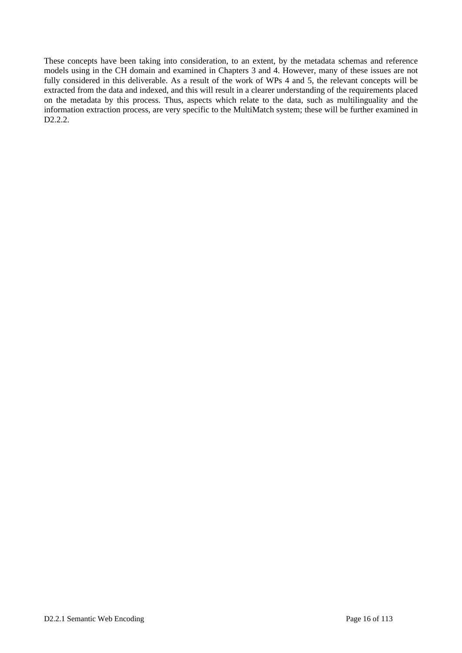These concepts have been taking into consideration, to an extent, by the metadata schemas and reference models using in the CH domain and examined in Chapters 3 and 4. However, many of these issues are not fully considered in this deliverable. As a result of the work of WPs 4 and 5, the relevant concepts will be extracted from the data and indexed, and this will result in a clearer understanding of the requirements placed on the metadata by this process. Thus, aspects which relate to the data, such as multilinguality and the information extraction process, are very specific to the MultiMatch system; these will be further examined in D<sub>2.2.2</sub>.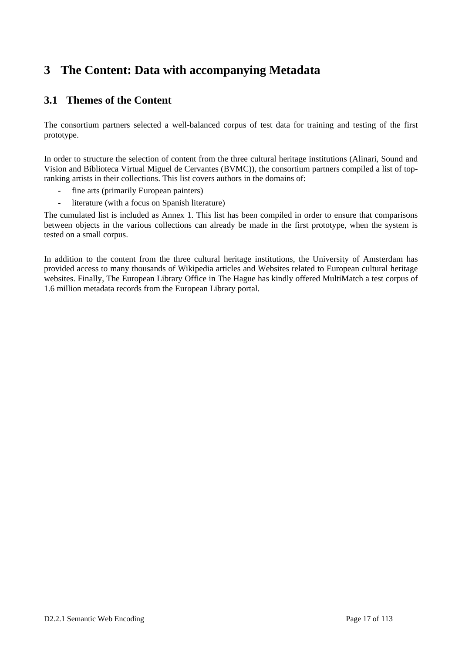# **3 The Content: Data with accompanying Metadata**

## **3.1 Themes of the Content**

The consortium partners selected a well-balanced corpus of test data for training and testing of the first prototype.

In order to structure the selection of content from the three cultural heritage institutions (Alinari, Sound and Vision and Biblioteca Virtual Miguel de Cervantes (BVMC)), the consortium partners compiled a list of topranking artists in their collections. This list covers authors in the domains of:

- fine arts (primarily European painters)
- literature (with a focus on Spanish literature)

The cumulated list is included as Annex 1. This list has been compiled in order to ensure that comparisons between objects in the various collections can already be made in the first prototype, when the system is tested on a small corpus.

In addition to the content from the three cultural heritage institutions, the University of Amsterdam has provided access to many thousands of Wikipedia articles and Websites related to European cultural heritage websites. Finally, The European Library Office in The Hague has kindly offered MultiMatch a test corpus of 1.6 million metadata records from the European Library portal.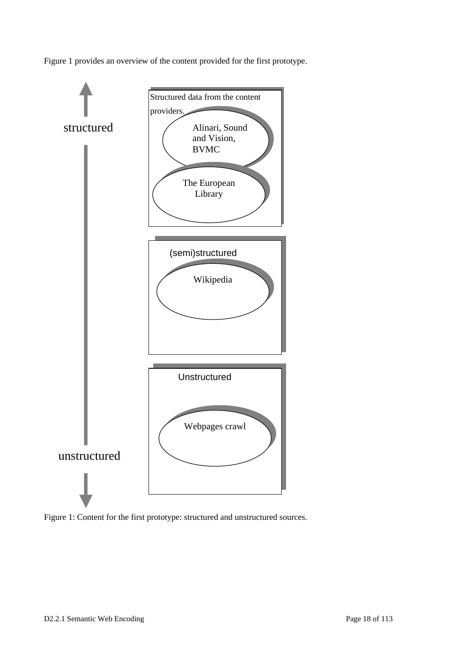Figure 1 provides an overview of the content provided for the first prototype.



Figure 1: Content for the first prototype: structured and unstructured sources.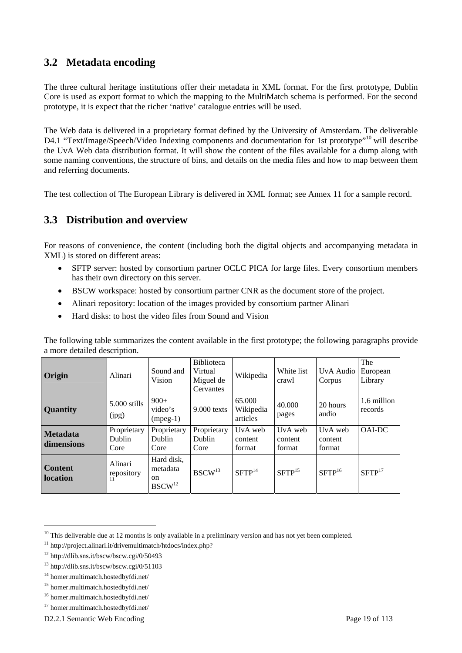### **3.2 Metadata encoding**

The three cultural heritage institutions offer their metadata in XML format. For the first prototype, Dublin Core is used as export format to which the mapping to the MultiMatch schema is performed. For the second prototype, it is expect that the richer 'native' catalogue entries will be used.

The Web data is delivered in a proprietary format defined by the University of Amsterdam. The deliverable D4.1 "Text/Image/Speech/Video Indexing components and documentation for 1st prototype"<sup>10</sup> will describe the UvA Web data distribution format. It will show the content of the files available for a dump along with some naming conventions, the structure of bins, and details on the media files and how to map between them and referring documents.

The test collection of The European Library is delivered in XML format; see Annex 11 for a sample record.

### **3.3 Distribution and overview**

For reasons of convenience, the content (including both the digital objects and accompanying metadata in XML) is stored on different areas:

- SFTP server: hosted by consortium partner OCLC PICA for large files. Every consortium members has their own directory on this server.
- BSCW workspace: hosted by consortium partner CNR as the document store of the project.
- Alinari repository: location of the images provided by consortium partner Alinari
- Hard disks: to host the video files from Sound and Vision

| Origin                            | Alinari                       | Sound and<br>Vision                                           | <b>Biblioteca</b><br>Virtual<br>Miguel de<br>Cervantes | Wikipedia                       | White list<br>crawl          | UvA Audio<br>Corpus          | The<br>European<br>Library |
|-----------------------------------|-------------------------------|---------------------------------------------------------------|--------------------------------------------------------|---------------------------------|------------------------------|------------------------------|----------------------------|
| <b>Quantity</b>                   | 5.000 stills<br>(ipg)         | $900+$<br>video's<br>$(mpeg-1)$                               | $9.000$ texts                                          | 65.000<br>Wikipedia<br>articles | 40.000<br>pages              | 20 hours<br>audio            | 1.6 million<br>records     |
| <b>Metadata</b><br>dimensions     | Proprietary<br>Dublin<br>Core | Proprietary<br>Dublin<br>Core                                 | Proprietary<br>Dublin<br>Core                          | UvA web<br>content<br>format    | UvA web<br>content<br>format | UvA web<br>content<br>format | OAI-DC                     |
| <b>Content</b><br><b>location</b> | Alinari<br>repository         | Hard disk,<br>metadata<br><sub>on</sub><br>BSCW <sup>12</sup> | BSCW <sup>13</sup>                                     | SFTP <sup>14</sup>              | SFTP <sup>15</sup>           | SFTP <sup>16</sup>           | SFTP <sup>17</sup>         |

The following table summarizes the content available in the first prototype; the following paragraphs provide a more detailed description.

l

 $10$  This deliverable due at 12 months is only available in a preliminary version and has not yet been completed.

<sup>&</sup>lt;sup>11</sup> http://project.alinari.it/drivemultimatch/htdocs/index.php?

<sup>12</sup> http://dlib.sns.it/bscw/bscw.cgi/0/50493

<sup>13</sup> http://dlib.sns.it/bscw/bscw.cgi/0/51103

<sup>14</sup> homer.multimatch.hostedbyfdi.net/

<sup>15</sup> homer.multimatch.hostedbyfdi.net/

<sup>16</sup> homer.multimatch.hostedbyfdi.net/

<sup>17</sup> homer.multimatch.hostedbyfdi.net/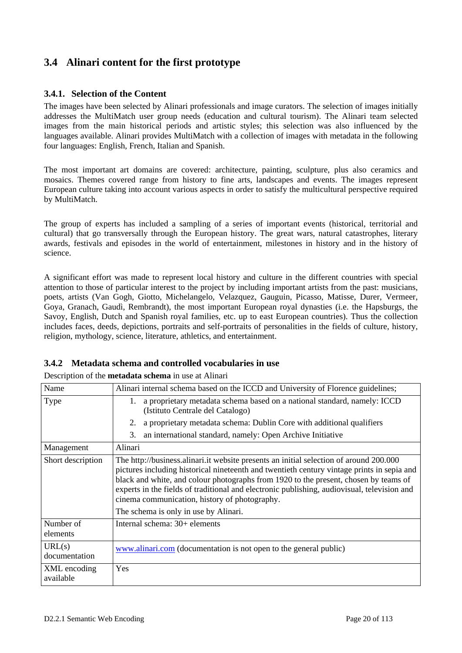## **3.4 Alinari content for the first prototype**

#### **3.4.1. Selection of the Content**

The images have been selected by Alinari professionals and image curators. The selection of images initially addresses the MultiMatch user group needs (education and cultural tourism). The Alinari team selected images from the main historical periods and artistic styles; this selection was also influenced by the languages available. Alinari provides MultiMatch with a collection of images with metadata in the following four languages: English, French, Italian and Spanish.

The most important art domains are covered: architecture, painting, sculpture, plus also ceramics and mosaics. Themes covered range from history to fine arts, landscapes and events. The images represent European culture taking into account various aspects in order to satisfy the multicultural perspective required by MultiMatch.

The group of experts has included a sampling of a series of important events (historical, territorial and cultural) that go transversally through the European history. The great wars, natural catastrophes, literary awards, festivals and episodes in the world of entertainment, milestones in history and in the history of science.

A significant effort was made to represent local history and culture in the different countries with special attention to those of particular interest to the project by including important artists from the past: musicians, poets, artists (Van Gogh, Giotto, Michelangelo, Velazquez, Gauguin, Picasso, Matisse, Durer, Vermeer, Goya, Granach, Gaudì, Rembrandt), the most important European royal dynasties (i.e. the Hapsburgs, the Savoy, English, Dutch and Spanish royal families, etc. up to east European countries). Thus the collection includes faces, deeds, depictions, portraits and self-portraits of personalities in the fields of culture, history, religion, mythology, science, literature, athletics, and entertainment.

#### **3.4.2 Metadata schema and controlled vocabularies in use**

Description of the **metadata schema** in use at Alinari

| Name                      | Alinari internal schema based on the ICCD and University of Florence guidelines;                                                                                                                                                                                                                                                                                                                                                                                      |  |  |
|---------------------------|-----------------------------------------------------------------------------------------------------------------------------------------------------------------------------------------------------------------------------------------------------------------------------------------------------------------------------------------------------------------------------------------------------------------------------------------------------------------------|--|--|
| Type                      | a proprietary metadata schema based on a national standard, namely: ICCD<br>1.<br>(Istituto Centrale del Catalogo)                                                                                                                                                                                                                                                                                                                                                    |  |  |
|                           | a proprietary metadata schema: Dublin Core with additional qualifiers<br>2.                                                                                                                                                                                                                                                                                                                                                                                           |  |  |
|                           | an international standard, namely: Open Archive Initiative<br>3.                                                                                                                                                                                                                                                                                                                                                                                                      |  |  |
| Management                | Alinari                                                                                                                                                                                                                                                                                                                                                                                                                                                               |  |  |
| Short description         | The http://business.alinari.it website presents an initial selection of around 200.000<br>pictures including historical nineteenth and twentieth century vintage prints in sepia and<br>black and white, and colour photographs from 1920 to the present, chosen by teams of<br>experts in the fields of traditional and electronic publishing, audiovisual, television and<br>cinema communication, history of photography.<br>The schema is only in use by Alinari. |  |  |
| Number of<br>elements     | Internal schema: 30+ elements                                                                                                                                                                                                                                                                                                                                                                                                                                         |  |  |
| URL(s)<br>documentation   | www.alinari.com (documentation is not open to the general public)                                                                                                                                                                                                                                                                                                                                                                                                     |  |  |
| XML encoding<br>available | Yes                                                                                                                                                                                                                                                                                                                                                                                                                                                                   |  |  |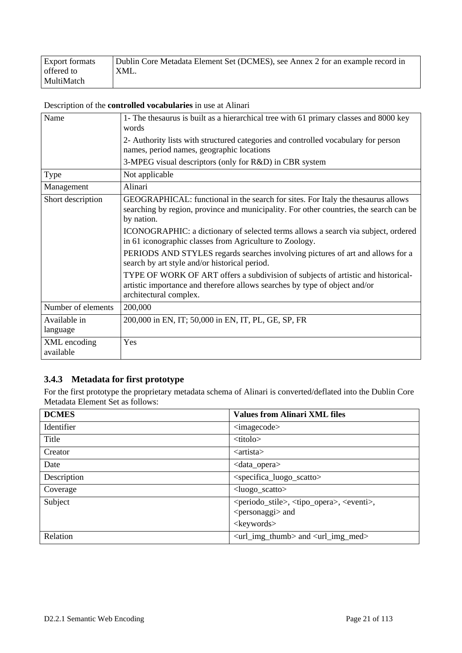| <b>Export formats</b> | Dublin Core Metadata Element Set (DCMES), see Annex 2 for an example record in |
|-----------------------|--------------------------------------------------------------------------------|
| offered to            | XML.                                                                           |
| MultiMatch            |                                                                                |

Description of the **controlled vocabularies** in use at Alinari

| Name                      | 1- The thesaurus is built as a hierarchical tree with 61 primary classes and 8000 key<br>words                                                                                           |
|---------------------------|------------------------------------------------------------------------------------------------------------------------------------------------------------------------------------------|
|                           | 2- Authority lists with structured categories and controlled vocabulary for person<br>names, period names, geographic locations                                                          |
|                           | 3-MPEG visual descriptors (only for R&D) in CBR system                                                                                                                                   |
| Type                      | Not applicable                                                                                                                                                                           |
| Management                | Alinari                                                                                                                                                                                  |
| Short description         | GEOGRAPHICAL: functional in the search for sites. For Italy the thesaurus allows<br>searching by region, province and municipality. For other countries, the search can be<br>by nation. |
|                           | ICONOGRAPHIC: a dictionary of selected terms allows a search via subject, ordered<br>in 61 iconographic classes from Agriculture to Zoology.                                             |
|                           | PERIODS AND STYLES regards searches involving pictures of art and allows for a<br>search by art style and/or historical period.                                                          |
|                           | TYPE OF WORK OF ART offers a subdivision of subjects of artistic and historical-<br>artistic importance and therefore allows searches by type of object and/or<br>architectural complex. |
| Number of elements        | 200,000                                                                                                                                                                                  |
| Available in<br>language  | 200,000 in EN, IT; 50,000 in EN, IT, PL, GE, SP, FR                                                                                                                                      |
| XML encoding<br>available | Yes                                                                                                                                                                                      |

### **3.4.3 Metadata for first prototype**

For the first prototype the proprietary metadata schema of Alinari is converted/deflated into the Dublin Core Metadata Element Set as follows:

| <b>DCMES</b> | <b>Values from Alinari XML files</b>                                                                             |  |
|--------------|------------------------------------------------------------------------------------------------------------------|--|
| Identifier   | <imagecode></imagecode>                                                                                          |  |
| Title        | <titolo></titolo>                                                                                                |  |
| Creator      | $\langle$ artista $\rangle$                                                                                      |  |
| Date         | <data_opera></data_opera>                                                                                        |  |
| Description  | <specifica_luogo_scatto></specifica_luogo_scatto>                                                                |  |
| Coverage     | $\langle$ luogo_scatto>                                                                                          |  |
| Subject      | <periodo_stile>, <tipo_opera>, <eventi>,<br/><personaggi> and</personaggi></eventi></tipo_opera></periodo_stile> |  |
|              | <keywords></keywords>                                                                                            |  |
| Relation     | $\langle$ url_img_thumb> and $\langle$ url_img_med>                                                              |  |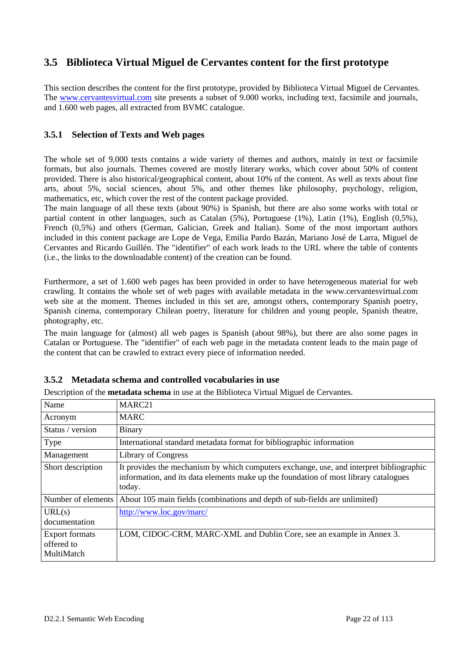### **3.5 Biblioteca Virtual Miguel de Cervantes content for the first prototype**

This section describes the content for the first prototype, provided by Biblioteca Virtual Miguel de Cervantes. The www.cervantesvirtual.com site presents a subset of 9.000 works, including text, facsimile and journals, and 1.600 web pages, all extracted from BVMC catalogue.

#### **3.5.1 Selection of Texts and Web pages**

The whole set of 9.000 texts contains a wide variety of themes and authors, mainly in text or facsimile formats, but also journals. Themes covered are mostly literary works, which cover about 50% of content provided. There is also historical/geographical content, about 10% of the content. As well as texts about fine arts, about 5%, social sciences, about 5%, and other themes like philosophy, psychology, religion, mathematics, etc, which cover the rest of the content package provided.

The main language of all these texts (about 90%) is Spanish, but there are also some works with total or partial content in other languages, such as Catalan (5%), Portuguese (1%), Latin (1%), English (0,5%), French (0,5%) and others (German, Galician, Greek and Italian). Some of the most important authors included in this content package are Lope de Vega, Emilia Pardo Bazán, Mariano José de Larra, Miguel de Cervantes and Ricardo Guillén. The "identifier" of each work leads to the URL where the table of contents (i.e., the links to the downloadable content) of the creation can be found.

Furthermore, a set of 1.600 web pages has been provided in order to have heterogeneous material for web crawling. It contains the whole set of web pages with available metadata in the www.cervantesvirtual.com web site at the moment. Themes included in this set are, amongst others, contemporary Spanish poetry, Spanish cinema, contemporary Chilean poetry, literature for children and young people, Spanish theatre, photography, etc.

The main language for (almost) all web pages is Spanish (about 98%), but there are also some pages in Catalan or Portuguese. The "identifier" of each web page in the metadata content leads to the main page of the content that can be crawled to extract every piece of information needed.

| Name                                              | MARC21                                                                                                                                                                                    |  |
|---------------------------------------------------|-------------------------------------------------------------------------------------------------------------------------------------------------------------------------------------------|--|
| Acronym                                           | <b>MARC</b>                                                                                                                                                                               |  |
| Status / version                                  | <b>Binary</b>                                                                                                                                                                             |  |
| Type                                              | International standard metadata format for bibliographic information                                                                                                                      |  |
| Management                                        | <b>Library of Congress</b>                                                                                                                                                                |  |
| Short description                                 | It provides the mechanism by which computers exchange, use, and interpret bibliographic<br>information, and its data elements make up the foundation of most library catalogues<br>today. |  |
| Number of elements                                | About 105 main fields (combinations and depth of sub-fields are unlimited)                                                                                                                |  |
| URL(s)<br>documentation                           | http://www.loc.gov/marc/                                                                                                                                                                  |  |
| <b>Export formats</b><br>offered to<br>MultiMatch | LOM, CIDOC-CRM, MARC-XML and Dublin Core, see an example in Annex 3.                                                                                                                      |  |

Description of the **metadata schema** in use at the Biblioteca Virtual Miguel de Cervantes.

**3.5.2 Metadata schema and controlled vocabularies in use**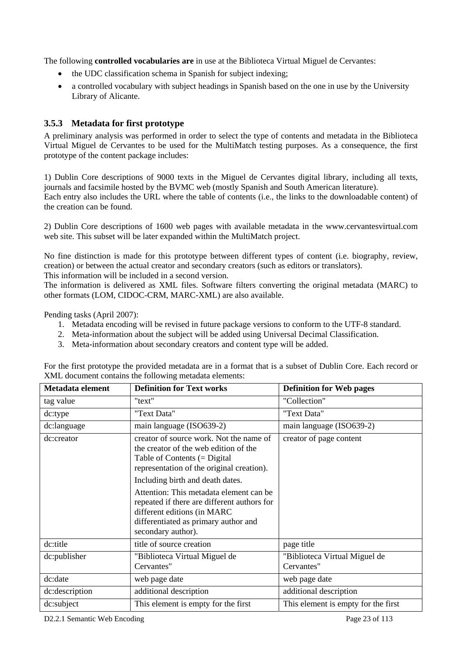The following **controlled vocabularies are** in use at the Biblioteca Virtual Miguel de Cervantes:

- the UDC classification schema in Spanish for subject indexing;
- a controlled vocabulary with subject headings in Spanish based on the one in use by the University Library of Alicante.

#### **3.5.3 Metadata for first prototype**

A preliminary analysis was performed in order to select the type of contents and metadata in the Biblioteca Virtual Miguel de Cervantes to be used for the MultiMatch testing purposes. As a consequence, the first prototype of the content package includes:

1) Dublin Core descriptions of 9000 texts in the Miguel de Cervantes digital library, including all texts, journals and facsimile hosted by the BVMC web (mostly Spanish and South American literature). Each entry also includes the URL where the table of contents (i.e., the links to the downloadable content) of the creation can be found.

2) Dublin Core descriptions of 1600 web pages with available metadata in the www.cervantesvirtual.com web site. This subset will be later expanded within the MultiMatch project.

No fine distinction is made for this prototype between different types of content (i.e. biography, review, creation) or between the actual creator and secondary creators (such as editors or translators). This information will be included in a second version.

The information is delivered as XML files. Software filters converting the original metadata (MARC) to other formats (LOM, CIDOC-CRM, MARC-XML) are also available.

Pending tasks (April 2007):

- 1. Metadata encoding will be revised in future package versions to conform to the UTF-8 standard.
- 2. Meta-information about the subject will be added using Universal Decimal Classification.
- 3. Meta-information about secondary creators and content type will be added.

| Metadata element | <b>Definition for Text works</b>                                                                                                                                                                                                                                                                                                                                                           | <b>Definition for Web pages</b>             |  |
|------------------|--------------------------------------------------------------------------------------------------------------------------------------------------------------------------------------------------------------------------------------------------------------------------------------------------------------------------------------------------------------------------------------------|---------------------------------------------|--|
| tag value        | "text"                                                                                                                                                                                                                                                                                                                                                                                     | "Collection"                                |  |
| dc:type          | "Text Data"                                                                                                                                                                                                                                                                                                                                                                                | "Text Data"                                 |  |
| dc:language      | main language (ISO639-2)                                                                                                                                                                                                                                                                                                                                                                   | main language (ISO639-2)                    |  |
| dc:creator       | creator of source work. Not the name of<br>the creator of the web edition of the<br>Table of Contents $(=$ Digital<br>representation of the original creation).<br>Including birth and death dates.<br>Attention: This metadata element can be<br>repeated if there are different authors for<br>different editions (in MARC<br>differentiated as primary author and<br>secondary author). | creator of page content                     |  |
| dc:title         | title of source creation                                                                                                                                                                                                                                                                                                                                                                   | page title                                  |  |
| dc:publisher     | "Biblioteca Virtual Miguel de<br>Cervantes"                                                                                                                                                                                                                                                                                                                                                | "Biblioteca Virtual Miguel de<br>Cervantes" |  |
| dc:date          | web page date                                                                                                                                                                                                                                                                                                                                                                              | web page date                               |  |
| dc:description   | additional description                                                                                                                                                                                                                                                                                                                                                                     | additional description                      |  |
| dc:subject       | This element is empty for the first                                                                                                                                                                                                                                                                                                                                                        | This element is empty for the first         |  |

For the first prototype the provided metadata are in a format that is a subset of Dublin Core. Each record or XML document contains the following metadata elements: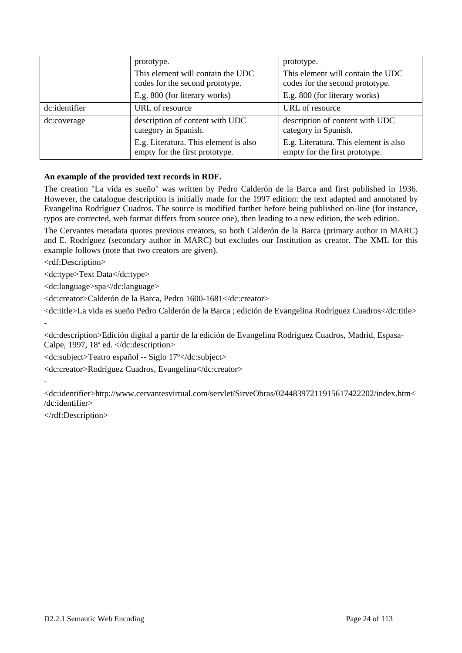|                                                                      | prototype.                                                                                                         | prototype.                                                              |
|----------------------------------------------------------------------|--------------------------------------------------------------------------------------------------------------------|-------------------------------------------------------------------------|
| This element will contain the UDC<br>codes for the second prototype. |                                                                                                                    | This element will contain the UDC<br>codes for the second prototype.    |
|                                                                      | E.g. 800 (for literary works)                                                                                      | E.g. 800 (for literary works)                                           |
| dc:identifier                                                        | URL of resource                                                                                                    | URL of resource                                                         |
| dc:coverage                                                          | description of content with UDC<br>description of content with UDC<br>category in Spanish.<br>category in Spanish. |                                                                         |
|                                                                      | E.g. Literatura. This element is also<br>empty for the first prototype.                                            | E.g. Literatura. This element is also<br>empty for the first prototype. |

#### **An example of the provided text records in RDF.**

The creation "La vida es sueño" was written by Pedro Calderón de la Barca and first published in 1936. However, the catalogue description is initially made for the 1997 edition: the text adapted and annotated by Evangelina Rodríguez Cuadros. The source is modified further before being published on-line (for instance, typos are corrected, web format differs from source one), then leading to a new edition, the web edition.

The Cervantes metadata quotes previous creators, so both Calderón de la Barca (primary author in MARC) and E. Rodríguez (secondary author in MARC) but excludes our Institution as creator. The XML for this example follows (note that two creators are given).

<rdf:Description>

<dc:type>Text Data</dc:type>

<dc:language>spa</dc:language>

<dc:creator>Calderón de la Barca, Pedro 1600-1681</dc:creator>

<dc:title>La vida es sueño Pedro Calderón de la Barca ; edición de Evangelina Rodríguez Cuadros</dc:title>

<dc:description>Edición digital a partir de la edición de Evangelina Rodríguez Cuadros, Madrid, Espasa-Calpe, 1997,  $18^{\circ}$  ed.  $\langle$  dc: description>

<dc:subject>Teatro español -- Siglo 17º</dc:subject>

<dc:creator>Rodríguez Cuadros, Evangelina</dc:creator>

-

-

<dc:identifier>http://www.cervantesvirtual.com/servlet/SirveObras/02448397211915617422202/index.htm< /dc:identifier>

</rdf:Description>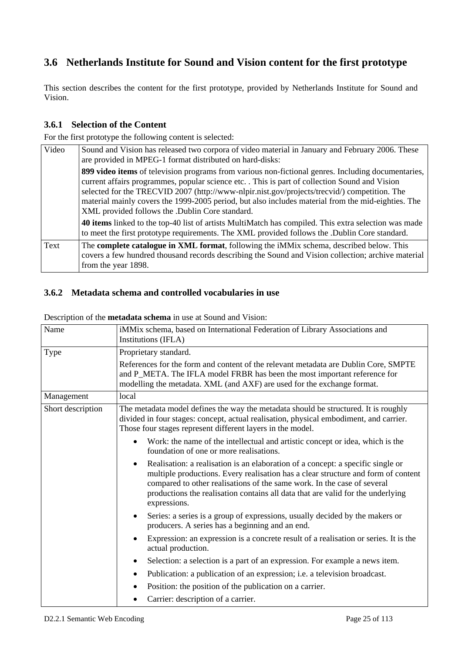# **3.6 Netherlands Institute for Sound and Vision content for the first prototype**

This section describes the content for the first prototype, provided by Netherlands Institute for Sound and Vision.

#### **3.6.1 Selection of the Content**

For the first prototype the following content is selected:

| Video | Sound and Vision has released two corpora of video material in January and February 2006. These<br>are provided in MPEG-1 format distributed on hard-disks:                                                                                                                                                                                                                                                                                                 |
|-------|-------------------------------------------------------------------------------------------------------------------------------------------------------------------------------------------------------------------------------------------------------------------------------------------------------------------------------------------------------------------------------------------------------------------------------------------------------------|
|       | 899 video items of television programs from various non-fictional genres. Including documentaries,<br>current affairs programmes, popular science etc. This is part of collection Sound and Vision<br>selected for the TRECVID 2007 (http://www-nlpir.nist.gov/projects/trecvid/) competition. The<br>material mainly covers the 1999-2005 period, but also includes material from the mid-eighties. The<br>XML provided follows the .Dublin Core standard. |
|       | <b>40 items</b> linked to the top-40 list of artists MultiMatch has compiled. This extra selection was made<br>to meet the first prototype requirements. The XML provided follows the .Dublin Core standard.                                                                                                                                                                                                                                                |
| Text  | The <b>complete catalogue in XML</b> format, following the <i>iMMix</i> schema, described below. This<br>covers a few hundred thousand records describing the Sound and Vision collection; archive material<br>from the year 1898.                                                                                                                                                                                                                          |

#### **3.6.2 Metadata schema and controlled vocabularies in use**

| Name                                                                                                                     | iMMix schema, based on International Federation of Library Associations and<br>Institutions (IFLA)                                                                                                                                                                                                                                                      |  |  |
|--------------------------------------------------------------------------------------------------------------------------|---------------------------------------------------------------------------------------------------------------------------------------------------------------------------------------------------------------------------------------------------------------------------------------------------------------------------------------------------------|--|--|
| Type                                                                                                                     | Proprietary standard.                                                                                                                                                                                                                                                                                                                                   |  |  |
|                                                                                                                          | References for the form and content of the relevant metadata are Dublin Core, SMPTE<br>and P_META. The IFLA model FRBR has been the most important reference for<br>modelling the metadata. XML (and AXF) are used for the exchange format.                                                                                                             |  |  |
| Management                                                                                                               | local                                                                                                                                                                                                                                                                                                                                                   |  |  |
| Short description                                                                                                        | The metadata model defines the way the metadata should be structured. It is roughly<br>divided in four stages: concept, actual realisation, physical embodiment, and carrier.<br>Those four stages represent different layers in the model.                                                                                                             |  |  |
| Work: the name of the intellectual and artistic concept or idea, which is the<br>foundation of one or more realisations. |                                                                                                                                                                                                                                                                                                                                                         |  |  |
|                                                                                                                          | Realisation: a realisation is an elaboration of a concept: a specific single or<br>٠<br>multiple productions. Every realisation has a clear structure and form of content<br>compared to other realisations of the same work. In the case of several<br>productions the realisation contains all data that are valid for the underlying<br>expressions. |  |  |
|                                                                                                                          | Series: a series is a group of expressions, usually decided by the makers or<br>$\bullet$<br>producers. A series has a beginning and an end.                                                                                                                                                                                                            |  |  |
|                                                                                                                          | Expression: an expression is a concrete result of a realisation or series. It is the<br>actual production.                                                                                                                                                                                                                                              |  |  |
|                                                                                                                          | Selection: a selection is a part of an expression. For example a news item.<br>٠                                                                                                                                                                                                                                                                        |  |  |
|                                                                                                                          | Publication: a publication of an expression; i.e. a television broadcast.<br>$\bullet$                                                                                                                                                                                                                                                                  |  |  |
|                                                                                                                          | Position: the position of the publication on a carrier.<br>$\bullet$                                                                                                                                                                                                                                                                                    |  |  |
|                                                                                                                          | Carrier: description of a carrier.                                                                                                                                                                                                                                                                                                                      |  |  |

Description of the **metadata schema** in use at Sound and Vision: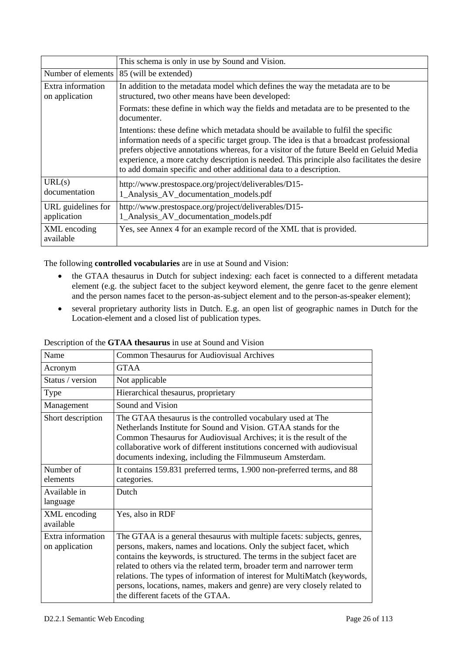|                                     | This schema is only in use by Sound and Vision.                                                                                                                                                                                                                                                                                                                                                                                                |  |
|-------------------------------------|------------------------------------------------------------------------------------------------------------------------------------------------------------------------------------------------------------------------------------------------------------------------------------------------------------------------------------------------------------------------------------------------------------------------------------------------|--|
| Number of elements                  | 85 (will be extended)                                                                                                                                                                                                                                                                                                                                                                                                                          |  |
| Extra information<br>on application | In addition to the metadata model which defines the way the metadata are to be<br>structured, two other means have been developed:                                                                                                                                                                                                                                                                                                             |  |
|                                     | Formats: these define in which way the fields and metadata are to be presented to the<br>documenter.                                                                                                                                                                                                                                                                                                                                           |  |
|                                     | Intentions: these define which metadata should be available to fulfil the specific<br>information needs of a specific target group. The idea is that a broadcast professional<br>prefers objective annotations whereas, for a visitor of the future Beeld en Geluid Media<br>experience, a more catchy description is needed. This principle also facilitates the desire<br>to add domain specific and other additional data to a description. |  |
| URL(s)<br>documentation             | http://www.prestospace.org/project/deliverables/D15-<br>1_Analysis_AV_documentation_models.pdf                                                                                                                                                                                                                                                                                                                                                 |  |
| URL guidelines for<br>application   | http://www.prestospace.org/project/deliverables/D15-<br>1_Analysis_AV_documentation_models.pdf                                                                                                                                                                                                                                                                                                                                                 |  |
| XML encoding<br>available           | Yes, see Annex 4 for an example record of the XML that is provided.                                                                                                                                                                                                                                                                                                                                                                            |  |

The following **controlled vocabularies** are in use at Sound and Vision:

- the GTAA thesaurus in Dutch for subject indexing: each facet is connected to a different metadata element (e.g. the subject facet to the subject keyword element, the genre facet to the genre element and the person names facet to the person-as-subject element and to the person-as-speaker element);
- several proprietary authority lists in Dutch. E.g. an open list of geographic names in Dutch for the Location-element and a closed list of publication types.

| Name                                | <b>Common Thesaurus for Audiovisual Archives</b>                                                                                                                                                                                                                                                                                                                                                                                                                                                   |  |
|-------------------------------------|----------------------------------------------------------------------------------------------------------------------------------------------------------------------------------------------------------------------------------------------------------------------------------------------------------------------------------------------------------------------------------------------------------------------------------------------------------------------------------------------------|--|
| Acronym                             | <b>GTAA</b>                                                                                                                                                                                                                                                                                                                                                                                                                                                                                        |  |
| Status / version                    | Not applicable                                                                                                                                                                                                                                                                                                                                                                                                                                                                                     |  |
| Type                                | Hierarchical thesaurus, proprietary                                                                                                                                                                                                                                                                                                                                                                                                                                                                |  |
| Management                          | Sound and Vision                                                                                                                                                                                                                                                                                                                                                                                                                                                                                   |  |
| Short description                   | The GTAA thesaurus is the controlled vocabulary used at The<br>Netherlands Institute for Sound and Vision. GTAA stands for the<br>Common Thesaurus for Audiovisual Archives; it is the result of the<br>collaborative work of different institutions concerned with audiovisual<br>documents indexing, including the Filmmuseum Amsterdam.                                                                                                                                                         |  |
| Number of<br>elements               | It contains 159.831 preferred terms, 1.900 non-preferred terms, and 88<br>categories.                                                                                                                                                                                                                                                                                                                                                                                                              |  |
| Available in<br>language            | Dutch                                                                                                                                                                                                                                                                                                                                                                                                                                                                                              |  |
| XML encoding<br>available           | Yes, also in RDF                                                                                                                                                                                                                                                                                                                                                                                                                                                                                   |  |
| Extra information<br>on application | The GTAA is a general thesaurus with multiple facets: subjects, genres,<br>persons, makers, names and locations. Only the subject facet, which<br>contains the keywords, is structured. The terms in the subject facet are<br>related to others via the related term, broader term and narrower term<br>relations. The types of information of interest for MultiMatch (keywords,<br>persons, locations, names, makers and genre) are very closely related to<br>the different facets of the GTAA. |  |

#### Description of the **GTAA thesaurus** in use at Sound and Vision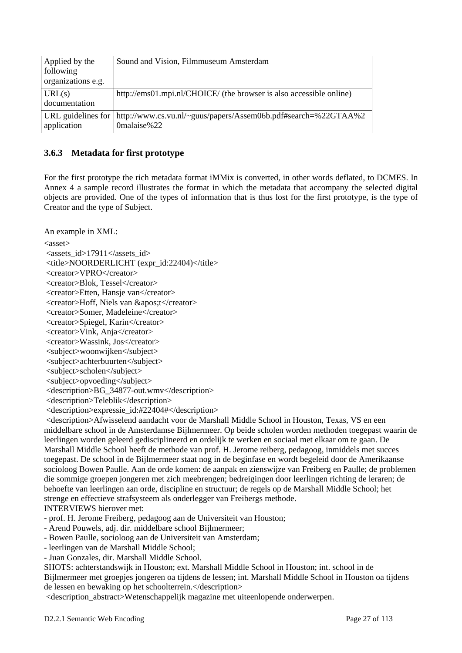| Applied by the<br>following<br>organizations e.g. | Sound and Vision, Filmmuseum Amsterdam                                                                   |
|---------------------------------------------------|----------------------------------------------------------------------------------------------------------|
| URL(s)<br>documentation                           | http://ems01.mpi.nl/CHOICE/ (the browser is also accessible online)                                      |
| application                                       | URL guidelines for $\vert$ http://www.cs.vu.nl/~guus/papers/Assem06b.pdf#search=%22GTAA%2<br>0malaise%22 |

#### **3.6.3 Metadata for first prototype**

For the first prototype the rich metadata format iMMix is converted, in other words deflated, to DCMES. In Annex 4 a sample record illustrates the format in which the metadata that accompany the selected digital objects are provided. One of the types of information that is thus lost for the first prototype, is the type of Creator and the type of Subject.

An example in XML:

 $\langle$ asset $\rangle$ 

<assets\_id>17911</assets\_id>

<title>NOORDERLICHT (expr\_id:22404)</title>

<creator>VPRO</creator>

<creator>Blok, Tessel</creator>

<creator>Etten, Hansje van</creator>

<creator>Hoff, Niels van &apos:t</creator>

<creator>Somer, Madeleine</creator>

<creator>Spiegel, Karin</creator>

<creator>Vink, Anja</creator>

<creator>Wassink, Jos</creator>

 <subject>woonwijken</subject> <subject>achterbuurten</subject>

<subject>scholen</subject>

<subject>opvoeding</subject>

<description>BG\_34877-out.wmv</description>

<description>Teleblik</description>

<description>expressie\_id:#22404#</description>

 <description>Afwisselend aandacht voor de Marshall Middle School in Houston, Texas, VS en een middelbare school in de Amsterdamse Bijlmermeer. Op beide scholen worden methoden toegepast waarin de leerlingen worden geleerd gedisciplineerd en ordelijk te werken en sociaal met elkaar om te gaan. De Marshall Middle School heeft de methode van prof. H. Jerome reiberg, pedagoog, inmiddels met succes toegepast. De school in de Bijlmermeer staat nog in de beginfase en wordt begeleid door de Amerikaanse socioloog Bowen Paulle. Aan de orde komen: de aanpak en zienswijze van Freiberg en Paulle; de problemen die sommige groepen jongeren met zich meebrengen; bedreigingen door leerlingen richting de leraren; de behoefte van leerlingen aan orde, discipline en structuur; de regels op de Marshall Middle School; het strenge en effectieve strafsysteem als onderlegger van Freibergs methode. INTERVIEWS hierover met:

- prof. H. Jerome Freiberg, pedagoog aan de Universiteit van Houston;

- Arend Pouwels, adj. dir. middelbare school Bijlmermeer;

- Bowen Paulle, socioloog aan de Universiteit van Amsterdam;

- leerlingen van de Marshall Middle School;

- Juan Gonzales, dir. Marshall Middle School.

SHOTS: achterstandswijk in Houston; ext. Marshall Middle School in Houston; int. school in de Bijlmermeer met groepjes jongeren oa tijdens de lessen; int. Marshall Middle School in Houston oa tijdens de lessen en bewaking op het schoolterrein.</description>

<description\_abstract>Wetenschappelijk magazine met uiteenlopende onderwerpen.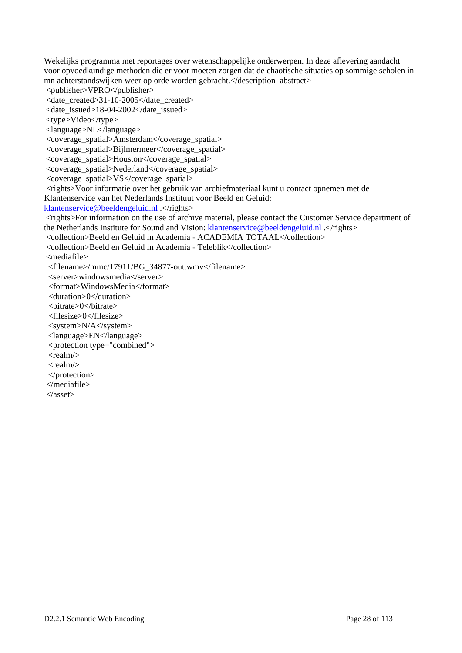Wekelijks programma met reportages over wetenschappelijke onderwerpen. In deze aflevering aandacht voor opvoedkundige methoden die er voor moeten zorgen dat de chaotische situaties op sommige scholen in mn achterstandswijken weer op orde worden gebracht.</description\_abstract> <publisher>VPRO</publisher> <date\_created>31-10-2005</date\_created> <date\_issued>18-04-2002</date\_issued> <type>Video</type> <language>NL</language> <coverage\_spatial>Amsterdam</coverage\_spatial> <coverage\_spatial>Bijlmermeer</coverage\_spatial> <coverage\_spatial>Houston</coverage\_spatial> <coverage\_spatial>Nederland</coverage\_spatial> <coverage\_spatial>VS</coverage\_spatial> <rights>Voor informatie over het gebruik van archiefmateriaal kunt u contact opnemen met de Klantenservice van het Nederlands Instituut voor Beeld en Geluid: klantenservice@beeldengeluid.nl .</rights> <rights>For information on the use of archive material, please contact the Customer Service department of the Netherlands Institute for Sound and Vision: klantenservice@beeldengeluid.nl .</rights> <collection>Beeld en Geluid in Academia - ACADEMIA TOTAAL</collection> <collection>Beeld en Geluid in Academia - Teleblik</collection> <mediafile> <filename>/mmc/17911/BG\_34877-out.wmv</filename> <server>windowsmedia</server> <format>WindowsMedia</format> <duration>0</duration> <bitrate>0</bitrate> <filesize>0</filesize> <system>N/A</system> <language>EN</language> <protection type="combined"> <realm/>  $<$ realm $>$  </protection> </mediafile> </asset>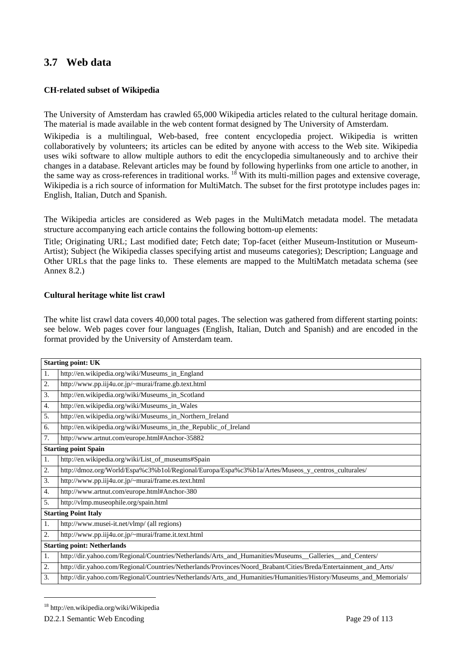### **3.7 Web data**

#### **CH-related subset of Wikipedia**

The University of Amsterdam has crawled 65,000 Wikipedia articles related to the cultural heritage domain. The material is made available in the web content format designed by The University of Amsterdam.

Wikipedia is a multilingual, Web-based, free content encyclopedia project. Wikipedia is written collaboratively by volunteers; its articles can be edited by anyone with access to the Web site. Wikipedia uses wiki software to allow multiple authors to edit the encyclopedia simultaneously and to archive their changes in a database. Relevant articles may be found by following hyperlinks from one article to another, in the same way as cross-references in traditional works. <sup>18</sup> With its multi-million pages and extensive coverage, Wikipedia is a rich source of information for MultiMatch. The subset for the first prototype includes pages in: English, Italian, Dutch and Spanish.

The Wikipedia articles are considered as Web pages in the MultiMatch metadata model. The metadata structure accompanying each article contains the following bottom-up elements:

Title; Originating URL; Last modified date; Fetch date; Top-facet (either Museum-Institution or Museum-Artist); Subject (he Wikipedia classes specifying artist and museums categories); Description; Language and Other URLs that the page links to. These elements are mapped to the MultiMatch metadata schema (see Annex 8.2.)

#### **Cultural heritage white list crawl**

The white list crawl data covers 40,000 total pages. The selection was gathered from different starting points: see below. Web pages cover four languages (English, Italian, Dutch and Spanish) and are encoded in the format provided by the University of Amsterdam team.

|                  | <b>Starting point: UK</b>                                                                                         |  |
|------------------|-------------------------------------------------------------------------------------------------------------------|--|
| 1.               | http://en.wikipedia.org/wiki/Museums_in_England                                                                   |  |
| 2.               | http://www.pp.iij4u.or.jp/~murai/frame.gb.text.html                                                               |  |
| 3.               | http://en.wikipedia.org/wiki/Museums_in_Scotland                                                                  |  |
| 4.               | http://en.wikipedia.org/wiki/Museums_in_Wales                                                                     |  |
| 5.               | http://en.wikipedia.org/wiki/Museums_in_Northern_Ireland                                                          |  |
| 6.               | http://en.wikipedia.org/wiki/Museums_in_the_Republic_of_Ireland                                                   |  |
| 7.               | http://www.artnut.com/europe.html#Anchor-35882                                                                    |  |
|                  | <b>Starting point Spain</b>                                                                                       |  |
| 1.               | http://en.wikipedia.org/wiki/List_of_museums#Spain                                                                |  |
| 2.               | http://dmoz.org/World/Espa%c3%b1ol/Regional/Europa/Espa%c3%b1a/Artes/Museos_y_centros_culturales/                 |  |
| 3.               | http://www.pp.iij4u.or.jp/~murai/frame.es.text.html                                                               |  |
| $\overline{4}$ . | http://www.artnut.com/europe.html#Anchor-380                                                                      |  |
| 5.               | http://vlmp.museophile.org/spain.html                                                                             |  |
|                  | <b>Starting Point Italy</b>                                                                                       |  |
| 1.               | http://www.musei-it.net/vlmp/ (all regions)                                                                       |  |
| 2.               | http://www.pp.iij4u.or.jp/~murai/frame.it.text.html                                                               |  |
|                  | <b>Starting point: Netherlands</b>                                                                                |  |
| 1.               | http://dir.yahoo.com/Regional/Countries/Netherlands/Arts_and_Humanities/Museums_Galleries_and_Centers/            |  |
| 2.               | http://dir.yahoo.com/Regional/Countries/Netherlands/Provinces/Noord_Brabant/Cities/Breda/Entertainment_and_Arts/  |  |
| 3.               | http://dir.yahoo.com/Regional/Countries/Netherlands/Arts_and_Humanities/Humanities/History/Museums_and_Memorials/ |  |

l

<sup>18</sup> http://en.wikipedia.org/wiki/Wikipedia

D2.2.1 Semantic Web Encoding Page 29 of 113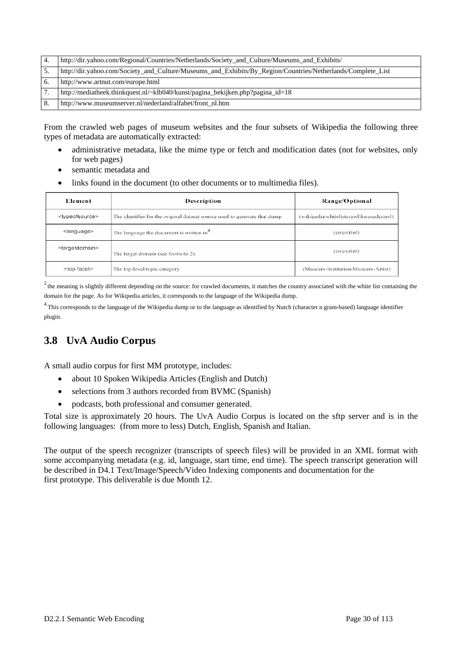| -4. | http://dir.yahoo.com/Regional/Countries/Netherlands/Society_and_Culture/Museums_and_Exhibits/               |
|-----|-------------------------------------------------------------------------------------------------------------|
| C.  | http://dir.yahoo.com/Society_and_Culture/Museums_and_Exhibits/By_Region/Countries/Netherlands/Complete_List |
| 6.  | http://www.artnut.com/europe.html                                                                           |
|     | http://mediatheek.thinkquest.nl/~klb040/kunst/pagina_bekijken.php?pagina_id=18                              |
| 8.  | http://www.museumserver.nl/nederland/alfabet/front_nl.htm                                                   |

From the crawled web pages of museum websites and the four subsets of Wikipedia the following three types of metadata are automatically extracted:

- administrative metadata, like the mime type or fetch and modification dates (not for websites, only for web pages)
- semantic metadata and
- links found in the document (to other documents or to multimedia files).

| Element                       | Description                                                                | Range/Optional                           |
|-------------------------------|----------------------------------------------------------------------------|------------------------------------------|
| <typeofsource></typeofsource> | The identifier for the original dataset source used to generate that dump. | (wikipedia whitelistcrawl focused crawl) |
| <language></language>         | The language the document is written in <sup>4</sup> .                     | (en es it nl)                            |
| <targetdomain></targetdomain> | The target domain (see footnote 2).                                        | (en es it nl)                            |
| <top-facet></top-facet>       | The top-level topic category                                               | (Museum-Institution Museum-Artist)       |

 $2$  the meaning is slightly different depending on the source: for crawled documents, it matches the country associated with the white list containing the domain for the page. As for Wikipedia articles, it corresponds to the language of the Wikipedia dump.

<sup>4</sup> This corresponds to the language of the Wikipedia dump or to the language as identified by Nutch (character n gram-based) language identifier plugin.

## **3.8 UvA Audio Corpus**

A small audio corpus for first MM prototype, includes:

- about 10 Spoken Wikipedia Articles (English and Dutch)
- selections from 3 authors recorded from BVMC (Spanish)
- podcasts, both professional and consumer generated.

Total size is approximately 20 hours. The UvA Audio Corpus is located on the sftp server and is in the following languages: (from more to less) Dutch, English, Spanish and Italian.

The output of the speech recognizer (transcripts of speech files) will be provided in an XML format with some accompanying metadata (e.g. id, language, start time, end time). The speech transcript generation will be described in D4.1 Text/Image/Speech/Video Indexing components and documentation for the first prototype. This deliverable is due Month 12.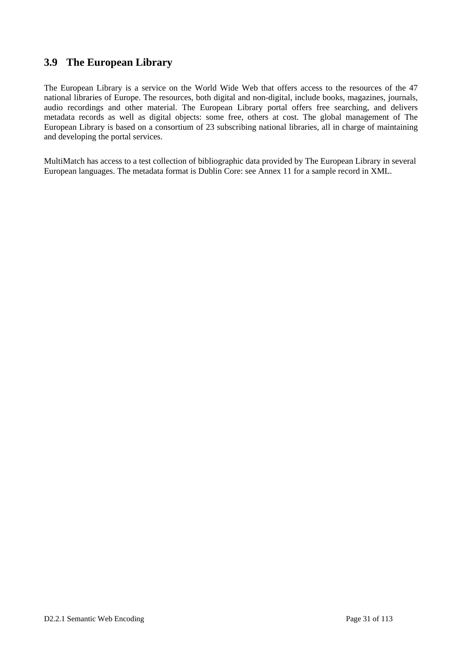### **3.9 The European Library**

The European Library is a service on the World Wide Web that offers access to the resources of the 47 national libraries of Europe. The resources, both digital and non-digital, include books, magazines, journals, audio recordings and other material. The European Library portal offers free searching, and delivers metadata records as well as digital objects: some free, others at cost. The global management of The European Library is based on a consortium of 23 subscribing national libraries, all in charge of maintaining and developing the portal services.

MultiMatch has access to a test collection of bibliographic data provided by The European Library in several European languages. The metadata format is Dublin Core: see Annex 11 for a sample record in XML.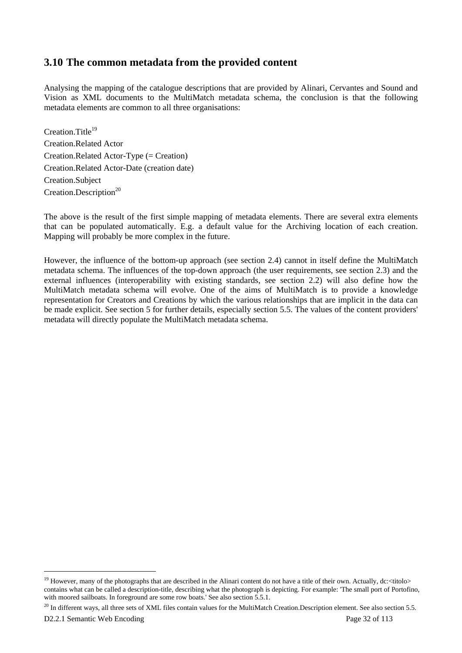### **3.10 The common metadata from the provided content**

Analysing the mapping of the catalogue descriptions that are provided by Alinari, Cervantes and Sound and Vision as XML documents to the MultiMatch metadata schema, the conclusion is that the following metadata elements are common to all three organisations:

Creation Title<sup>19</sup> Creation.Related Actor Creation.Related Actor-Type (= Creation) Creation.Related Actor-Date (creation date) Creation.Subject Creation.Description<sup>20</sup>

The above is the result of the first simple mapping of metadata elements. There are several extra elements that can be populated automatically. E.g. a default value for the Archiving location of each creation. Mapping will probably be more complex in the future.

However, the influence of the bottom-up approach (see section 2.4) cannot in itself define the MultiMatch metadata schema. The influences of the top-down approach (the user requirements, see section 2.3) and the external influences (interoperability with existing standards, see section 2.2) will also define how the MultiMatch metadata schema will evolve. One of the aims of MultiMatch is to provide a knowledge representation for Creators and Creations by which the various relationships that are implicit in the data can be made explicit. See section 5 for further details, especially section 5.5. The values of the content providers' metadata will directly populate the MultiMatch metadata schema.

 $\overline{\phantom{a}}$ 

<sup>&</sup>lt;sup>19</sup> However, many of the photographs that are described in the Alinari content do not have a title of their own. Actually, dc:  $\lt$ titolo> contains what can be called a description-title, describing what the photograph is depicting. For example: 'The small port of Portofino, with moored sailboats. In foreground are some row boats.' See also section 5.5.1.

 $^{20}$  In different ways, all three sets of XML files contain values for the MultiMatch Creation.Description element. See also section 5.5.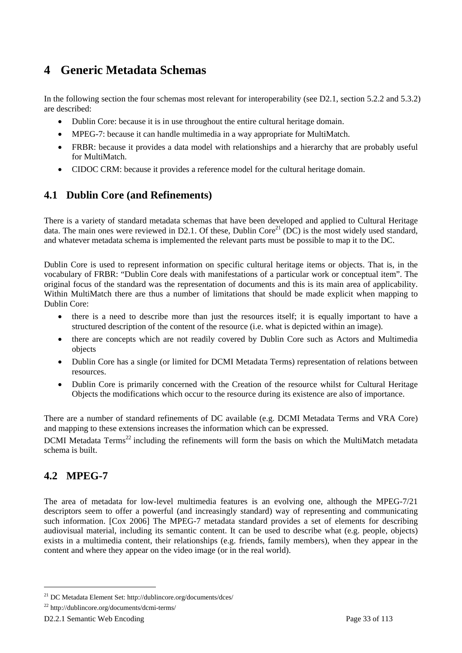# **4 Generic Metadata Schemas**

In the following section the four schemas most relevant for interoperability (see D2.1, section 5.2.2 and 5.3.2) are described:

- Dublin Core: because it is in use throughout the entire cultural heritage domain.
- MPEG-7: because it can handle multimedia in a way appropriate for MultiMatch.
- FRBR: because it provides a data model with relationships and a hierarchy that are probably useful for MultiMatch.
- CIDOC CRM: because it provides a reference model for the cultural heritage domain.

## **4.1 Dublin Core (and Refinements)**

There is a variety of standard metadata schemas that have been developed and applied to Cultural Heritage data. The main ones were reviewed in D2.1. Of these, Dublin Core<sup>21</sup> (DC) is the most widely used standard, and whatever metadata schema is implemented the relevant parts must be possible to map it to the DC.

Dublin Core is used to represent information on specific cultural heritage items or objects. That is, in the vocabulary of FRBR: "Dublin Core deals with manifestations of a particular work or conceptual item". The original focus of the standard was the representation of documents and this is its main area of applicability. Within MultiMatch there are thus a number of limitations that should be made explicit when mapping to Dublin Core:

- there is a need to describe more than just the resources itself; it is equally important to have a structured description of the content of the resource (i.e. what is depicted within an image).
- there are concepts which are not readily covered by Dublin Core such as Actors and Multimedia objects
- Dublin Core has a single (or limited for DCMI Metadata Terms) representation of relations between resources.
- Dublin Core is primarily concerned with the Creation of the resource whilst for Cultural Heritage Objects the modifications which occur to the resource during its existence are also of importance.

There are a number of standard refinements of DC available (e.g. DCMI Metadata Terms and VRA Core) and mapping to these extensions increases the information which can be expressed.

DCMI Metadata Terms<sup>22</sup> including the refinements will form the basis on which the MultiMatch metadata schema is built.

## **4.2 MPEG-7**

 $\overline{\phantom{a}}$ 

The area of metadata for low-level multimedia features is an evolving one, although the MPEG-7/21 descriptors seem to offer a powerful (and increasingly standard) way of representing and communicating such information. [Cox 2006] The MPEG-7 metadata standard provides a set of elements for describing audiovisual material, including its semantic content. It can be used to describe what (e.g. people, objects) exists in a multimedia content, their relationships (e.g. friends, family members), when they appear in the content and where they appear on the video image (or in the real world).

<sup>21</sup> DC Metadata Element Set: http://dublincore.org/documents/dces/

<sup>22</sup> http://dublincore.org/documents/dcmi-terms/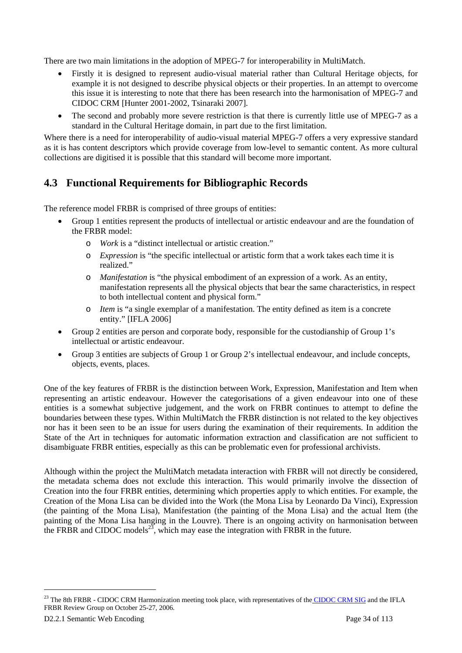There are two main limitations in the adoption of MPEG-7 for interoperability in MultiMatch.

- Firstly it is designed to represent audio-visual material rather than Cultural Heritage objects, for example it is not designed to describe physical objects or their properties. In an attempt to overcome this issue it is interesting to note that there has been research into the harmonisation of MPEG-7 and CIDOC CRM [Hunter 2001-2002, Tsinaraki 2007].
- The second and probably more severe restriction is that there is currently little use of MPEG-7 as a standard in the Cultural Heritage domain, in part due to the first limitation.

Where there is a need for interoperability of audio-visual material MPEG-7 offers a very expressive standard as it is has content descriptors which provide coverage from low-level to semantic content. As more cultural collections are digitised it is possible that this standard will become more important.

## **4.3 Functional Requirements for Bibliographic Records**

The reference model FRBR is comprised of three groups of entities:

- Group 1 entities represent the products of intellectual or artistic endeavour and are the foundation of the FRBR model:
	- o *Work* is a "distinct intellectual or artistic creation."
	- o *Expression* is "the specific intellectual or artistic form that a work takes each time it is realized."
	- o *Manifestation* is "the physical embodiment of an expression of a work. As an entity, manifestation represents all the physical objects that bear the same characteristics, in respect to both intellectual content and physical form."
	- o *Item* is "a single exemplar of a manifestation. The entity defined as item is a concrete entity." [IFLA 2006]
- Group 2 entities are person and corporate body, responsible for the custodianship of Group 1's intellectual or artistic endeavour.
- Group 3 entities are subjects of Group 1 or Group 2's intellectual endeavour, and include concepts, objects, events, places.

One of the key features of FRBR is the distinction between Work, Expression, Manifestation and Item when representing an artistic endeavour. However the categorisations of a given endeavour into one of these entities is a somewhat subjective judgement, and the work on FRBR continues to attempt to define the boundaries between these types. Within MultiMatch the FRBR distinction is not related to the key objectives nor has it been seen to be an issue for users during the examination of their requirements. In addition the State of the Art in techniques for automatic information extraction and classification are not sufficient to disambiguate FRBR entities, especially as this can be problematic even for professional archivists.

Although within the project the MultiMatch metadata interaction with FRBR will not directly be considered, the metadata schema does not exclude this interaction. This would primarily involve the dissection of Creation into the four FRBR entities, determining which properties apply to which entities. For example, the Creation of the Mona Lisa can be divided into the Work (the Mona Lisa by Leonardo Da Vinci), Expression (the painting of the Mona Lisa), Manifestation (the painting of the Mona Lisa) and the actual Item (the painting of the Mona Lisa hanging in the Louvre). There is an ongoing activity on harmonisation between the FRBR and CIDOC models<sup>23</sup>, which may ease the integration with FRBR in the future.

 $\overline{\phantom{a}}$ 

<sup>&</sup>lt;sup>23</sup> The 8th FRBR - CIDOC CRM Harmonization meeting took place, with representatives of the CIDOC CRM SIG and the IFLA FRBR Review Group on October 25-27, 2006.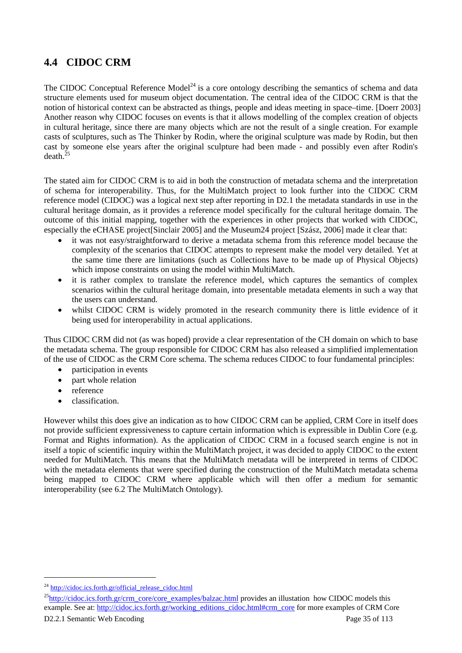# **4.4 CIDOC CRM**

The CIDOC Conceptual Reference Model<sup>24</sup> is a core ontology describing the semantics of schema and data structure elements used for museum object documentation. The central idea of the CIDOC CRM is that the notion of historical context can be abstracted as things, people and ideas meeting in space–time. [Doerr 2003] Another reason why CIDOC focuses on events is that it allows modelling of the complex creation of objects in cultural heritage, since there are many objects which are not the result of a single creation. For example casts of sculptures, such as The Thinker by Rodin, where the original sculpture was made by Rodin, but then cast by someone else years after the original sculpture had been made - and possibly even after Rodin's  $death.<sup>25</sup>$ 

The stated aim for CIDOC CRM is to aid in both the construction of metadata schema and the interpretation of schema for interoperability. Thus, for the MultiMatch project to look further into the CIDOC CRM reference model (CIDOC) was a logical next step after reporting in D2.1 the metadata standards in use in the cultural heritage domain, as it provides a reference model specifically for the cultural heritage domain. The outcome of this initial mapping, together with the experiences in other projects that worked with CIDOC, especially the eCHASE project[Sinclair 2005] and the Museum24 project [Szász, 2006] made it clear that:

- it was not easy/straightforward to derive a metadata schema from this reference model because the complexity of the scenarios that CIDOC attempts to represent make the model very detailed. Yet at the same time there are limitations (such as Collections have to be made up of Physical Objects) which impose constraints on using the model within MultiMatch.
- it is rather complex to translate the reference model, which captures the semantics of complex scenarios within the cultural heritage domain, into presentable metadata elements in such a way that the users can understand.
- whilst CIDOC CRM is widely promoted in the research community there is little evidence of it being used for interoperability in actual applications.

Thus CIDOC CRM did not (as was hoped) provide a clear representation of the CH domain on which to base the metadata schema. The group responsible for CIDOC CRM has also released a simplified implementation of the use of CIDOC as the CRM Core schema. The schema reduces CIDOC to four fundamental principles:

- participation in events
- part whole relation
- reference
- classification.

However whilst this does give an indication as to how CIDOC CRM can be applied, CRM Core in itself does not provide sufficient expressiveness to capture certain information which is expressible in Dublin Core (e.g. Format and Rights information). As the application of CIDOC CRM in a focused search engine is not in itself a topic of scientific inquiry within the MultiMatch project, it was decided to apply CIDOC to the extent needed for MultiMatch. This means that the MultiMatch metadata will be interpreted in terms of CIDOC with the metadata elements that were specified during the construction of the MultiMatch metadata schema being mapped to CIDOC CRM where applicable which will then offer a medium for semantic interoperability (see 6.2 The MultiMatch Ontology).

l

<sup>&</sup>lt;sup>24</sup> http://cidoc.ics.forth.gr/official\_release\_cidoc.html

<sup>&</sup>lt;sup>25</sup>http://cidoc.ics.forth.gr/crm\_core/core\_examples/balzac.html provides an illustation how CIDOC models this example. See at: http://cidoc.ics.forth.gr/working\_editions\_cidoc.html#crm\_core for more examples of CRM Core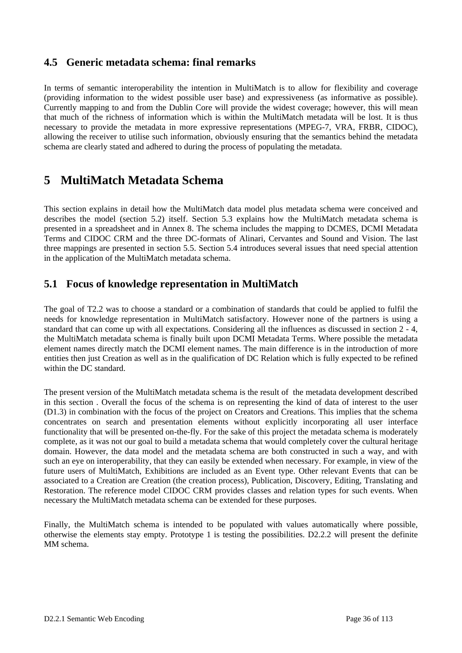## **4.5 Generic metadata schema: final remarks**

In terms of semantic interoperability the intention in MultiMatch is to allow for flexibility and coverage (providing information to the widest possible user base) and expressiveness (as informative as possible). Currently mapping to and from the Dublin Core will provide the widest coverage; however, this will mean that much of the richness of information which is within the MultiMatch metadata will be lost. It is thus necessary to provide the metadata in more expressive representations (MPEG-7, VRA, FRBR, CIDOC), allowing the receiver to utilise such information, obviously ensuring that the semantics behind the metadata schema are clearly stated and adhered to during the process of populating the metadata.

# **5 MultiMatch Metadata Schema**

This section explains in detail how the MultiMatch data model plus metadata schema were conceived and describes the model (section 5.2) itself. Section 5.3 explains how the MultiMatch metadata schema is presented in a spreadsheet and in Annex 8. The schema includes the mapping to DCMES, DCMI Metadata Terms and CIDOC CRM and the three DC-formats of Alinari, Cervantes and Sound and Vision. The last three mappings are presented in section 5.5. Section 5.4 introduces several issues that need special attention in the application of the MultiMatch metadata schema.

## **5.1 Focus of knowledge representation in MultiMatch**

The goal of T2.2 was to choose a standard or a combination of standards that could be applied to fulfil the needs for knowledge representation in MultiMatch satisfactory. However none of the partners is using a standard that can come up with all expectations. Considering all the influences as discussed in section 2 - 4, the MultiMatch metadata schema is finally built upon DCMI Metadata Terms. Where possible the metadata element names directly match the DCMI element names. The main difference is in the introduction of more entities then just Creation as well as in the qualification of DC Relation which is fully expected to be refined within the DC standard.

The present version of the MultiMatch metadata schema is the result of the metadata development described in this section . Overall the focus of the schema is on representing the kind of data of interest to the user (D1.3) in combination with the focus of the project on Creators and Creations. This implies that the schema concentrates on search and presentation elements without explicitly incorporating all user interface functionality that will be presented on-the-fly. For the sake of this project the metadata schema is moderately complete, as it was not our goal to build a metadata schema that would completely cover the cultural heritage domain. However, the data model and the metadata schema are both constructed in such a way, and with such an eye on interoperability, that they can easily be extended when necessary. For example, in view of the future users of MultiMatch, Exhibitions are included as an Event type. Other relevant Events that can be associated to a Creation are Creation (the creation process), Publication, Discovery, Editing, Translating and Restoration. The reference model CIDOC CRM provides classes and relation types for such events. When necessary the MultiMatch metadata schema can be extended for these purposes.

Finally, the MultiMatch schema is intended to be populated with values automatically where possible, otherwise the elements stay empty. Prototype 1 is testing the possibilities. D2.2.2 will present the definite MM schema.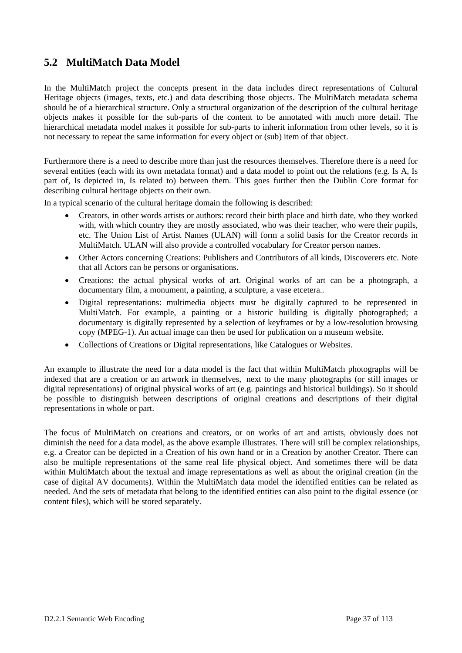# **5.2 MultiMatch Data Model**

In the MultiMatch project the concepts present in the data includes direct representations of Cultural Heritage objects (images, texts, etc.) and data describing those objects. The MultiMatch metadata schema should be of a hierarchical structure. Only a structural organization of the description of the cultural heritage objects makes it possible for the sub-parts of the content to be annotated with much more detail. The hierarchical metadata model makes it possible for sub-parts to inherit information from other levels, so it is not necessary to repeat the same information for every object or (sub) item of that object.

Furthermore there is a need to describe more than just the resources themselves. Therefore there is a need for several entities (each with its own metadata format) and a data model to point out the relations (e.g. Is A, Is part of, Is depicted in, Is related to) between them. This goes further then the Dublin Core format for describing cultural heritage objects on their own.

In a typical scenario of the cultural heritage domain the following is described:

- Creators, in other words artists or authors: record their birth place and birth date, who they worked with, with which country they are mostly associated, who was their teacher, who were their pupils, etc. The Union List of Artist Names (ULAN) will form a solid basis for the Creator records in MultiMatch. ULAN will also provide a controlled vocabulary for Creator person names.
- Other Actors concerning Creations: Publishers and Contributors of all kinds, Discoverers etc. Note that all Actors can be persons or organisations.
- Creations: the actual physical works of art. Original works of art can be a photograph, a documentary film, a monument, a painting, a sculpture, a vase etcetera..
- Digital representations: multimedia objects must be digitally captured to be represented in MultiMatch. For example, a painting or a historic building is digitally photographed; a documentary is digitally represented by a selection of keyframes or by a low-resolution browsing copy (MPEG-1). An actual image can then be used for publication on a museum website.
- Collections of Creations or Digital representations, like Catalogues or Websites.

An example to illustrate the need for a data model is the fact that within MultiMatch photographs will be indexed that are a creation or an artwork in themselves, next to the many photographs (or still images or digital representations) of original physical works of art (e.g. paintings and historical buildings). So it should be possible to distinguish between descriptions of original creations and descriptions of their digital representations in whole or part.

The focus of MultiMatch on creations and creators, or on works of art and artists, obviously does not diminish the need for a data model, as the above example illustrates. There will still be complex relationships, e.g. a Creator can be depicted in a Creation of his own hand or in a Creation by another Creator. There can also be multiple representations of the same real life physical object. And sometimes there will be data within MultiMatch about the textual and image representations as well as about the original creation (in the case of digital AV documents). Within the MultiMatch data model the identified entities can be related as needed. And the sets of metadata that belong to the identified entities can also point to the digital essence (or content files), which will be stored separately.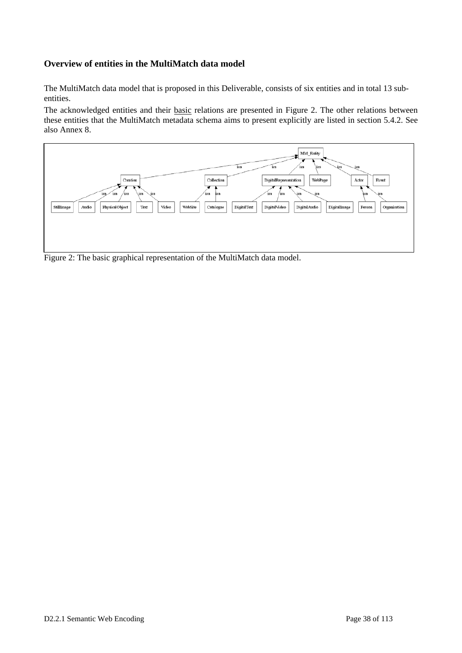#### **Overview of entities in the MultiMatch data model**

The MultiMatch data model that is proposed in this Deliverable, consists of six entities and in total 13 subentities.

The acknowledged entities and their **basic** relations are presented in Figure 2. The other relations between these entities that the MultiMatch metadata schema aims to present explicitly are listed in section 5.4.2. See also Annex 8.

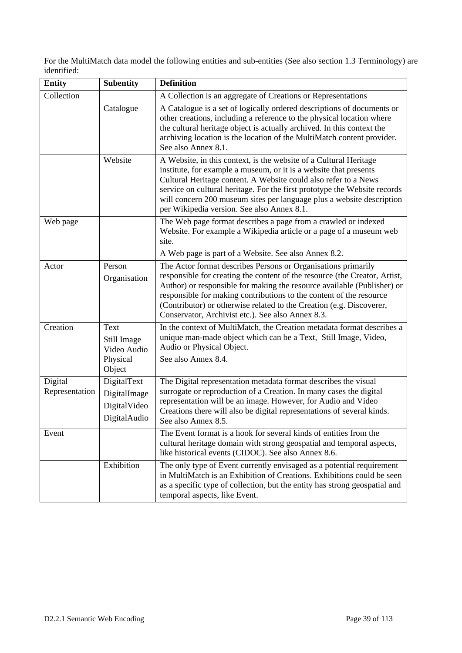For the MultiMatch data model the following entities and sub-entities (See also section 1.3 Terminology) are identified:

| <b>Entity</b>             | <b>Subentity</b>                                            | <b>Definition</b>                                                                                                                                                                                                                                                                                                                                                                                                          |
|---------------------------|-------------------------------------------------------------|----------------------------------------------------------------------------------------------------------------------------------------------------------------------------------------------------------------------------------------------------------------------------------------------------------------------------------------------------------------------------------------------------------------------------|
| Collection                |                                                             | A Collection is an aggregate of Creations or Representations                                                                                                                                                                                                                                                                                                                                                               |
|                           | Catalogue                                                   | A Catalogue is a set of logically ordered descriptions of documents or<br>other creations, including a reference to the physical location where<br>the cultural heritage object is actually archived. In this context the<br>archiving location is the location of the MultiMatch content provider.<br>See also Annex 8.1.                                                                                                 |
|                           | Website                                                     | A Website, in this context, is the website of a Cultural Heritage<br>institute, for example a museum, or it is a website that presents<br>Cultural Heritage content. A Website could also refer to a News<br>service on cultural heritage. For the first prototype the Website records<br>will concern 200 museum sites per language plus a website description<br>per Wikipedia version. See also Annex 8.1.              |
| Web page                  |                                                             | The Web page format describes a page from a crawled or indexed<br>Website. For example a Wikipedia article or a page of a museum web<br>site.<br>A Web page is part of a Website. See also Annex 8.2.                                                                                                                                                                                                                      |
| Actor                     | Person<br>Organisation                                      | The Actor format describes Persons or Organisations primarily<br>responsible for creating the content of the resource (the Creator, Artist,<br>Author) or responsible for making the resource available (Publisher) or<br>responsible for making contributions to the content of the resource<br>(Contributor) or otherwise related to the Creation (e.g. Discoverer,<br>Conservator, Archivist etc.). See also Annex 8.3. |
| Creation                  | Text<br>Still Image<br>Video Audio<br>Physical<br>Object    | In the context of MultiMatch, the Creation metadata format describes a<br>unique man-made object which can be a Text, Still Image, Video,<br>Audio or Physical Object.<br>See also Annex 8.4.                                                                                                                                                                                                                              |
| Digital<br>Representation | DigitalText<br>DigitalImage<br>DigitalVideo<br>DigitalAudio | The Digital representation metadata format describes the visual<br>surrogate or reproduction of a Creation. In many cases the digital<br>representation will be an image. However, for Audio and Video<br>Creations there will also be digital representations of several kinds.<br>See also Annex 8.5.                                                                                                                    |
| Event                     |                                                             | The Event format is a hook for several kinds of entities from the<br>cultural heritage domain with strong geospatial and temporal aspects,<br>like historical events (CIDOC). See also Annex 8.6.                                                                                                                                                                                                                          |
|                           | Exhibition                                                  | The only type of Event currently envisaged as a potential requirement<br>in MultiMatch is an Exhibition of Creations. Exhibitions could be seen<br>as a specific type of collection, but the entity has strong geospatial and<br>temporal aspects, like Event.                                                                                                                                                             |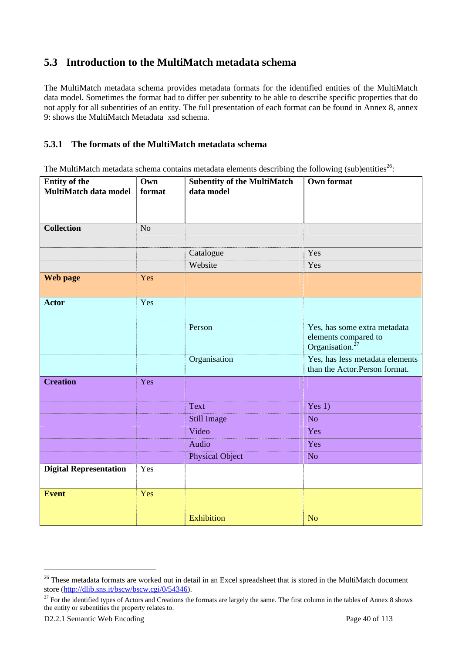# **5.3 Introduction to the MultiMatch metadata schema**

The MultiMatch metadata schema provides metadata formats for the identified entities of the MultiMatch data model. Sometimes the format had to differ per subentity to be able to describe specific properties that do not apply for all subentities of an entity. The full presentation of each format can be found in Annex 8, annex 9: shows the MultiMatch Metadata xsd schema.

#### **5.3.1 The formats of the MultiMatch metadata schema**

The MultiMatch metadata schema contains metadata elements describing the following (sub)entities<sup>26</sup>:

| <b>Entity of the</b><br>MultiMatch data model | Own<br>format  | <b>Subentity of the MultiMatch</b><br>data model | <b>Own format</b>                                                                   |
|-----------------------------------------------|----------------|--------------------------------------------------|-------------------------------------------------------------------------------------|
| <b>Collection</b>                             | N <sub>o</sub> |                                                  |                                                                                     |
|                                               |                | Catalogue                                        | Yes                                                                                 |
|                                               |                | Website                                          | Yes                                                                                 |
| Web page                                      | Yes            |                                                  |                                                                                     |
| <b>Actor</b>                                  | Yes            |                                                  |                                                                                     |
|                                               |                | Person                                           | Yes, has some extra metadata<br>elements compared to<br>Organisation. <sup>27</sup> |
|                                               |                | Organisation                                     | Yes, has less metadata elements<br>than the Actor.Person format.                    |
| <b>Creation</b>                               | Yes            |                                                  |                                                                                     |
|                                               |                | Text                                             | Yes $1)$                                                                            |
|                                               |                | Still Image                                      | N <sub>o</sub>                                                                      |
|                                               |                | Video                                            | Yes                                                                                 |
|                                               |                | Audio                                            | Yes                                                                                 |
|                                               |                | <b>Physical Object</b>                           | N <sub>o</sub>                                                                      |
| <b>Digital Representation</b>                 | Yes            |                                                  |                                                                                     |
| <b>Event</b>                                  | Yes            |                                                  |                                                                                     |
|                                               |                | <b>Exhibition</b>                                | <b>No</b>                                                                           |

<sup>&</sup>lt;sup>26</sup> These metadata formats are worked out in detail in an Excel spreadsheet that is stored in the MultiMatch document store (http://dlib.sns.it/bscw/bscw.cgi/0/54346).

 $27$  For the identified types of Actors and Creations the formats are largely the same. The first column in the tables of Annex 8 shows the entity or subentities the property relates to.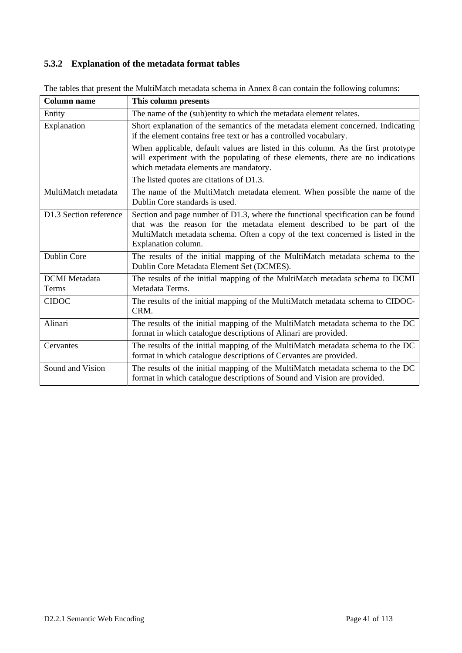#### **5.3.2 Explanation of the metadata format tables**

| <b>Column name</b>            | This column presents                                                                                                                                                                                                                                                   |
|-------------------------------|------------------------------------------------------------------------------------------------------------------------------------------------------------------------------------------------------------------------------------------------------------------------|
| Entity                        | The name of the (sub)entity to which the metadata element relates.                                                                                                                                                                                                     |
| Explanation                   | Short explanation of the semantics of the metadata element concerned. Indicating<br>if the element contains free text or has a controlled vocabulary.                                                                                                                  |
|                               | When applicable, default values are listed in this column. As the first prototype<br>will experiment with the populating of these elements, there are no indications<br>which metadata elements are mandatory.                                                         |
|                               | The listed quotes are citations of D1.3.                                                                                                                                                                                                                               |
| MultiMatch metadata           | The name of the MultiMatch metadata element. When possible the name of the<br>Dublin Core standards is used.                                                                                                                                                           |
| D1.3 Section reference        | Section and page number of D1.3, where the functional specification can be found<br>that was the reason for the metadata element described to be part of the<br>MultiMatch metadata schema. Often a copy of the text concerned is listed in the<br>Explanation column. |
| <b>Dublin Core</b>            | The results of the initial mapping of the MultiMatch metadata schema to the<br>Dublin Core Metadata Element Set (DCMES).                                                                                                                                               |
| <b>DCMI</b> Metadata<br>Terms | The results of the initial mapping of the MultiMatch metadata schema to DCMI<br>Metadata Terms.                                                                                                                                                                        |
| <b>CIDOC</b>                  | The results of the initial mapping of the MultiMatch metadata schema to CIDOC-<br>CRM.                                                                                                                                                                                 |
| Alinari                       | The results of the initial mapping of the MultiMatch metadata schema to the DC<br>format in which catalogue descriptions of Alinari are provided.                                                                                                                      |
| Cervantes                     | The results of the initial mapping of the MultiMatch metadata schema to the DC<br>format in which catalogue descriptions of Cervantes are provided.                                                                                                                    |
| Sound and Vision              | The results of the initial mapping of the MultiMatch metadata schema to the DC<br>format in which catalogue descriptions of Sound and Vision are provided.                                                                                                             |

The tables that present the MultiMatch metadata schema in Annex 8 can contain the following columns: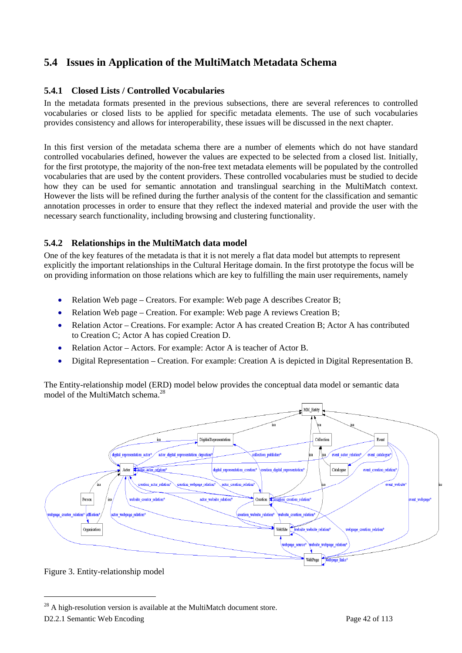# **5.4 Issues in Application of the MultiMatch Metadata Schema**

#### **5.4.1 Closed Lists / Controlled Vocabularies**

In the metadata formats presented in the previous subsections, there are several references to controlled vocabularies or closed lists to be applied for specific metadata elements. The use of such vocabularies provides consistency and allows for interoperability, these issues will be discussed in the next chapter.

In this first version of the metadata schema there are a number of elements which do not have standard controlled vocabularies defined, however the values are expected to be selected from a closed list. Initially, for the first prototype, the majority of the non-free text metadata elements will be populated by the controlled vocabularies that are used by the content providers. These controlled vocabularies must be studied to decide how they can be used for semantic annotation and translingual searching in the MultiMatch context. However the lists will be refined during the further analysis of the content for the classification and semantic annotation processes in order to ensure that they reflect the indexed material and provide the user with the necessary search functionality, including browsing and clustering functionality.

#### **5.4.2 Relationships in the MultiMatch data model**

One of the key features of the metadata is that it is not merely a flat data model but attempts to represent explicitly the important relationships in the Cultural Heritage domain. In the first prototype the focus will be on providing information on those relations which are key to fulfilling the main user requirements, namely

- Relation Web page Creators. For example: Web page A describes Creator B;
- Relation Web page Creation. For example: Web page A reviews Creation B;
- Relation Actor Creations. For example: Actor A has created Creation B; Actor A has contributed to Creation C; Actor A has copied Creation D.
- Relation Actor Actors. For example: Actor A is teacher of Actor B.
- Digital Representation Creation. For example: Creation A is depicted in Digital Representation B.

The Entity-relationship model (ERD) model below provides the conceptual data model or semantic data model of the MultiMatch schema.<sup>28</sup>



Figure 3. Entity-relationship model

 $^{28}$  A high-resolution version is available at the MultiMatch document store.

D2.2.1 Semantic Web Encoding Page 42 of 113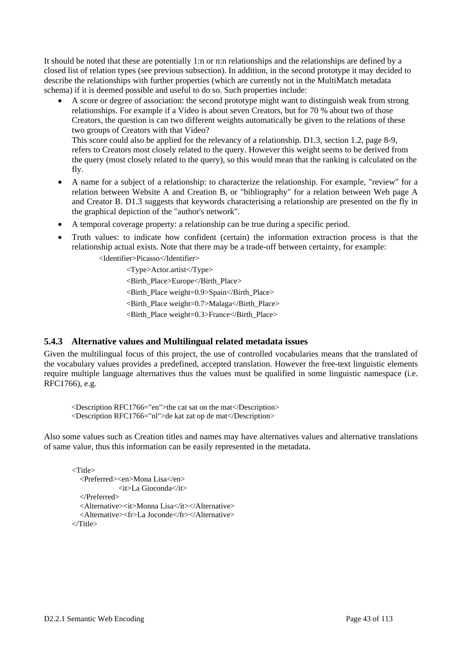It should be noted that these are potentially 1:n or n:n relationships and the relationships are defined by a closed list of relation types (see previous subsection). In addition, in the second prototype it may decided to describe the relationships with further properties (which are currently not in the MultiMatch metadata schema) if it is deemed possible and useful to do so. Such properties include:

- A score or degree of association: the second prototype might want to distinguish weak from strong relationships. For example if a Video is about seven Creators, but for 70 % about two of those Creators, the question is can two different weights automatically be given to the relations of these two groups of Creators with that Video? This score could also be applied for the relevancy of a relationship. D1.3, section 1.2, page 8-9, refers to Creators most closely related to the query. However this weight seems to be derived from the query (most closely related to the query), so this would mean that the ranking is calculated on the
	- fly.
- A name for a subject of a relationship: to characterize the relationship. For example, "review" for a relation between Website A and Creation B, or "bibliography" for a relation between Web page A and Creator B. D1.3 suggests that keywords characterising a relationship are presented on the fly in the graphical depiction of the "author's network".
- A temporal coverage property: a relationship can be true during a specific period.
- Truth values: to indicate how confident (certain) the information extraction process is that the relationship actual exists. Note that there may be a trade-off between certainty, for example:

<Identifier>Picasso</Identifier>

 <Type>Actor.artist</Type> <Birth\_Place>Europe</Birth\_Place> <Birth\_Place weight=0.9>Spain</Birth\_Place> <Birth\_Place weight=0.7>Malaga</Birth\_Place> <Birth\_Place weight=0.3>France</Birth\_Place>

#### **5.4.3 Alternative values and Multilingual related metadata issues**

Given the multilingual focus of this project, the use of controlled vocabularies means that the translated of the vocabulary values provides a predefined, accepted translation. However the free-text linguistic elements require multiple language alternatives thus the values must be qualified in some linguistic namespace (i.e. RFC1766), e.g.

<Description RFC1766="en">the cat sat on the mat</Description> <Description RFC1766="nl">de kat zat op de mat</Description>

Also some values such as Creation titles and names may have alternatives values and alternative translations of same value, thus this information can be easily represented in the metadata.

```
<Title> 
   <Preferred><en>Mona Lisa</en> 
                <it>La Gioconda</it> 
   </Preferred> 
   <Alternative><it>Monna Lisa</it></Alternative> 
   <Alternative><fr>La Joconde</fr></Alternative> 
ZTitle\sim
```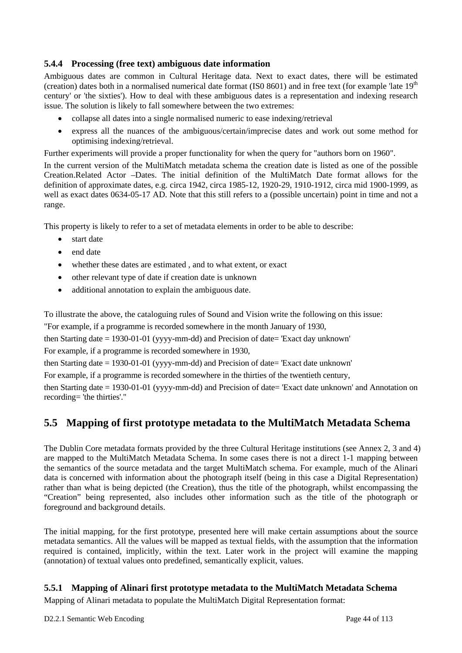#### **5.4.4 Processing (free text) ambiguous date information**

Ambiguous dates are common in Cultural Heritage data. Next to exact dates, there will be estimated (creation) dates both in a normalised numerical date format (ISO 8601) and in free text (for example 'late  $19<sup>th</sup>$ century' or 'the sixties'). How to deal with these ambiguous dates is a representation and indexing research issue. The solution is likely to fall somewhere between the two extremes:

- collapse all dates into a single normalised numeric to ease indexing/retrieval
- express all the nuances of the ambiguous/certain/imprecise dates and work out some method for optimising indexing/retrieval.

Further experiments will provide a proper functionality for when the query for "authors born on 1960".

In the current version of the MultiMatch metadata schema the creation date is listed as one of the possible Creation.Related Actor –Dates. The initial definition of the MultiMatch Date format allows for the definition of approximate dates, e.g. circa 1942, circa 1985-12, 1920-29, 1910-1912, circa mid 1900-1999, as well as exact dates 0634-05-17 AD. Note that this still refers to a (possible uncertain) point in time and not a range.

This property is likely to refer to a set of metadata elements in order to be able to describe:

- start date
- end date
- whether these dates are estimated, and to what extent, or exact
- other relevant type of date if creation date is unknown
- additional annotation to explain the ambiguous date.

To illustrate the above, the cataloguing rules of Sound and Vision write the following on this issue:

"For example, if a programme is recorded somewhere in the month January of 1930,

then Starting date = 1930-01-01 (yyyy-mm-dd) and Precision of date= 'Exact day unknown'

For example, if a programme is recorded somewhere in 1930,

then Starting date  $= 1930-01-01$  (yyyy-mm-dd) and Precision of date  $=$  'Exact date unknown'

For example, if a programme is recorded somewhere in the thirties of the twentieth century,

then Starting date = 1930-01-01 (yyyy-mm-dd) and Precision of date= 'Exact date unknown' and Annotation on recording= 'the thirties'."

## **5.5 Mapping of first prototype metadata to the MultiMatch Metadata Schema**

The Dublin Core metadata formats provided by the three Cultural Heritage institutions (see Annex 2, 3 and 4) are mapped to the MultiMatch Metadata Schema. In some cases there is not a direct 1-1 mapping between the semantics of the source metadata and the target MultiMatch schema. For example, much of the Alinari data is concerned with information about the photograph itself (being in this case a Digital Representation) rather than what is being depicted (the Creation), thus the title of the photograph, whilst encompassing the "Creation" being represented, also includes other information such as the title of the photograph or foreground and background details.

The initial mapping, for the first prototype, presented here will make certain assumptions about the source metadata semantics. All the values will be mapped as textual fields, with the assumption that the information required is contained, implicitly, within the text. Later work in the project will examine the mapping (annotation) of textual values onto predefined, semantically explicit, values.

#### **5.5.1 Mapping of Alinari first prototype metadata to the MultiMatch Metadata Schema**

Mapping of Alinari metadata to populate the MultiMatch Digital Representation format: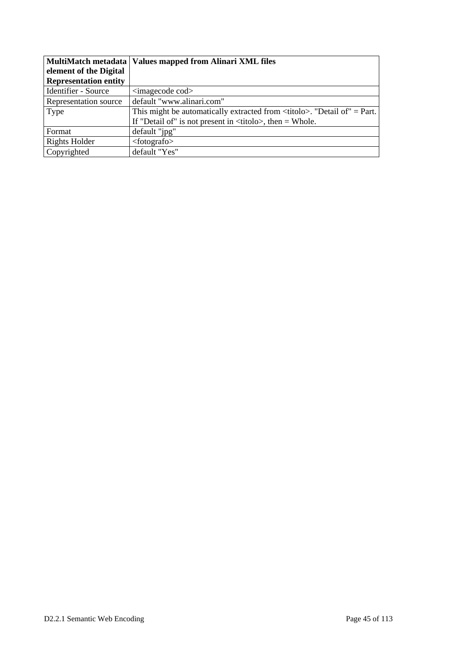|                              | MultiMatch metadata   Values mapped from Alinari XML files                          |
|------------------------------|-------------------------------------------------------------------------------------|
| element of the Digital       |                                                                                     |
| <b>Representation entity</b> |                                                                                     |
| Identifier - Source          | $\langle$ imagecode cod $\rangle$                                                   |
| Representation source        | default "www.alinari.com"                                                           |
| Type                         | This might be automatically extracted from $\lt$ titolo $\gt$ . "Detail of" = Part. |
|                              | If "Detail of" is not present in $\langle\langle\text{t})\rangle$ then = Whole.     |
| Format                       | default "jpg"                                                                       |
| Rights Holder                | $footo$                                                                             |
| Copyrighted                  | default "Yes"                                                                       |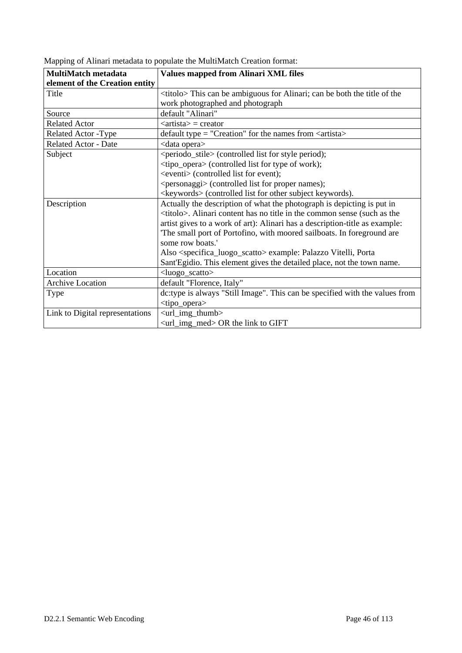| <b>MultiMatch metadata</b>      | <b>Values mapped from Alinari XML files</b>                                            |
|---------------------------------|----------------------------------------------------------------------------------------|
| element of the Creation entity  |                                                                                        |
| Title                           | <titolo> This can be ambiguous for Alinari; can be both the title of the</titolo>      |
|                                 | work photographed and photograph                                                       |
| Source                          | default "Alinari"                                                                      |
| <b>Related Actor</b>            | $\langle$ artista $\rangle$ = creator                                                  |
| Related Actor -Type             | default type = "Creation" for the names from <artista></artista>                       |
| <b>Related Actor - Date</b>     | <data opera=""></data>                                                                 |
| Subject                         | <periodo_stile> (controlled list for style period);</periodo_stile>                    |
|                                 | <tipo_opera> (controlled list for type of work);</tipo_opera>                          |
|                                 | <eventi> (controlled list for event);</eventi>                                         |
|                                 | <personaggi> (controlled list for proper names);</personaggi>                          |
|                                 | <keywords> (controlled list for other subject keywords).</keywords>                    |
| Description                     | Actually the description of what the photograph is depicting is put in                 |
|                                 | <titolo>. Alinari content has no title in the common sense (such as the</titolo>       |
|                                 | artist gives to a work of art): Alinari has a description-title as example:            |
|                                 | 'The small port of Portofino, with moored sailboats. In foreground are                 |
|                                 | some row boats.'                                                                       |
|                                 | Also <specifica_luogo_scatto> example: Palazzo Vitelli, Porta</specifica_luogo_scatto> |
|                                 | Sant'Egidio. This element gives the detailed place, not the town name.                 |
| Location                        | <luogo_scatto></luogo_scatto>                                                          |
| Archive Location                | default "Florence, Italy"                                                              |
| Type                            | dc:type is always "Still Image". This can be specified with the values from            |
|                                 | <tipo_opera></tipo_opera>                                                              |
| Link to Digital representations | <url_img_thumb></url_img_thumb>                                                        |
|                                 | <url_img_med> OR the link to GIFT</url_img_med>                                        |

Mapping of Alinari metadata to populate the MultiMatch Creation format: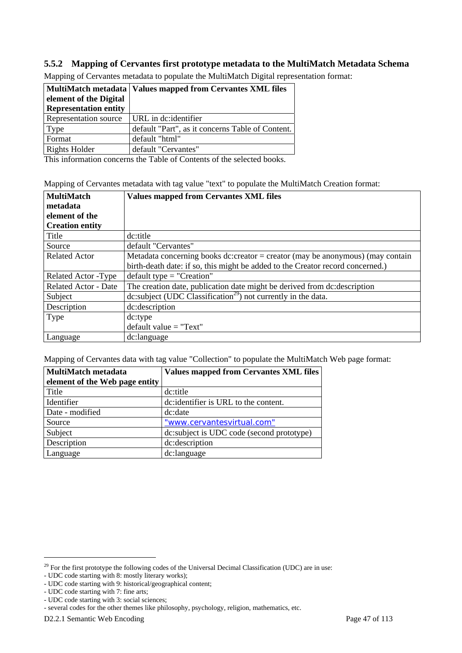#### **5.5.2 Mapping of Cervantes first prototype metadata to the MultiMatch Metadata Schema**

|                              | MultiMatch metadata   Values mapped from Cervantes XML files |
|------------------------------|--------------------------------------------------------------|
| element of the Digital       |                                                              |
| <b>Representation entity</b> |                                                              |
| Representation source        | URL in dc:identifier                                         |
| Type                         | default "Part", as it concerns Table of Content.             |
| Format                       | default "html"                                               |
| Rights Holder                | default "Cervantes"                                          |

Mapping of Cervantes metadata to populate the MultiMatch Digital representation format:

This information concerns the Table of Contents of the selected books.

|  |  |  |  |  |  |  |  |  | Mapping of Cervantes metadata with tag value "text" to populate the MultiMatch Creation format: |
|--|--|--|--|--|--|--|--|--|-------------------------------------------------------------------------------------------------|
|  |  |  |  |  |  |  |  |  |                                                                                                 |

| <b>MultiMatch</b><br>metadata | <b>Values mapped from Cervantes XML files</b>                                           |
|-------------------------------|-----------------------------------------------------------------------------------------|
| element of the                |                                                                                         |
| <b>Creation entity</b>        |                                                                                         |
| Title                         | dc:title                                                                                |
| Source                        | default "Cervantes"                                                                     |
| <b>Related Actor</b>          | Metadata concerning books dc:creator = creator (may be anonymous) (may contain          |
|                               | birth-death date: if so, this might be added to the Creator record concerned.)          |
| Related Actor - Type          | $default type = "Creaction"$                                                            |
| <b>Related Actor - Date</b>   | The creation date, publication date might be derived from dc: description               |
| Subject                       | dc:subject ( $\overline{UDC}$ Classification <sup>29</sup> ) not currently in the data. |
| Description                   | dc:description                                                                          |
| Type                          | dc:type                                                                                 |
|                               | $default value = "Text"$                                                                |
| Language                      | dc:language                                                                             |

Mapping of Cervantes data with tag value "Collection" to populate the MultiMatch Web page format:

| <b>MultiMatch metadata</b>     | <b>Values mapped from Cervantes XML files</b> |
|--------------------------------|-----------------------------------------------|
| element of the Web page entity |                                               |
| Title                          | dc:title                                      |
| Identifier                     | dc: identifier is URL to the content.         |
| Date - modified                | dc:date                                       |
| Source                         | "www.cervantesvirtual.com"                    |
| Subject                        | dc:subject is UDC code (second prototype)     |
| Description                    | dc:description                                |
| Language                       | dc:language                                   |

 $29$  For the first prototype the following codes of the Universal Decimal Classification (UDC) are in use:

<sup>-</sup> UDC code starting with 8: mostly literary works);

<sup>-</sup> UDC code starting with 9: historical/geographical content;

<sup>-</sup> UDC code starting with 7: fine arts;

<sup>-</sup> UDC code starting with 3: social sciences;

<sup>-</sup> several codes for the other themes like philosophy, psychology, religion, mathematics, etc.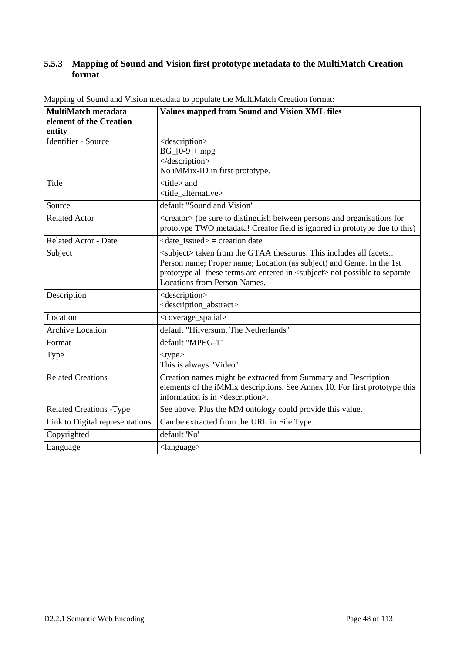#### **5.5.3 Mapping of Sound and Vision first prototype metadata to the MultiMatch Creation format**

| <b>MultiMatch metadata</b><br>element of the Creation<br>entity | <b>Values mapped from Sound and Vision XML files</b>                                                                                                                                                                                                                                      |
|-----------------------------------------------------------------|-------------------------------------------------------------------------------------------------------------------------------------------------------------------------------------------------------------------------------------------------------------------------------------------|
| Identifier - Source                                             | <description><br/><math>BG_{0-9}+mpg</math><br/></description><br>No iMMix-ID in first prototype.                                                                                                                                                                                         |
| Title                                                           | <title> and<br/><title alternative=""></title></title>                                                                                                                                                                                                                                    |
| Source                                                          | default "Sound and Vision"                                                                                                                                                                                                                                                                |
| <b>Related Actor</b>                                            | <creator> (be sure to distinguish between persons and organisations for<br/>prototype TWO metadata! Creator field is ignored in prototype due to this)</creator>                                                                                                                          |
| <b>Related Actor - Date</b>                                     | $\langle$ date issued $\rangle$ = creation date                                                                                                                                                                                                                                           |
| Subject                                                         | <subject> taken from the GTAA thesaurus. This includes all facets::<br/>Person name; Proper name; Location (as subject) and Genre. In the 1st<br/>prototype all these terms are entered in <subject> not possible to separate<br/><b>Locations from Person Names.</b></subject></subject> |
| Description                                                     | <description><br/><description_abstract></description_abstract></description>                                                                                                                                                                                                             |
| Location                                                        | <coverage_spatial></coverage_spatial>                                                                                                                                                                                                                                                     |
| Archive Location                                                | default "Hilversum, The Netherlands"                                                                                                                                                                                                                                                      |
| Format                                                          | default "MPEG-1"                                                                                                                                                                                                                                                                          |
| Type                                                            | $<$ type $>$<br>This is always "Video"                                                                                                                                                                                                                                                    |
| <b>Related Creations</b>                                        | Creation names might be extracted from Summary and Description<br>elements of the iMMix descriptions. See Annex 10. For first prototype this<br>information is in <description>.</description>                                                                                            |
| <b>Related Creations -Type</b>                                  | See above. Plus the MM ontology could provide this value.                                                                                                                                                                                                                                 |
| Link to Digital representations                                 | Can be extracted from the URL in File Type.                                                                                                                                                                                                                                               |
| Copyrighted                                                     | default 'No'                                                                                                                                                                                                                                                                              |
| Language                                                        | $\langle$ language $\rangle$                                                                                                                                                                                                                                                              |

Mapping of Sound and Vision metadata to populate the MultiMatch Creation format: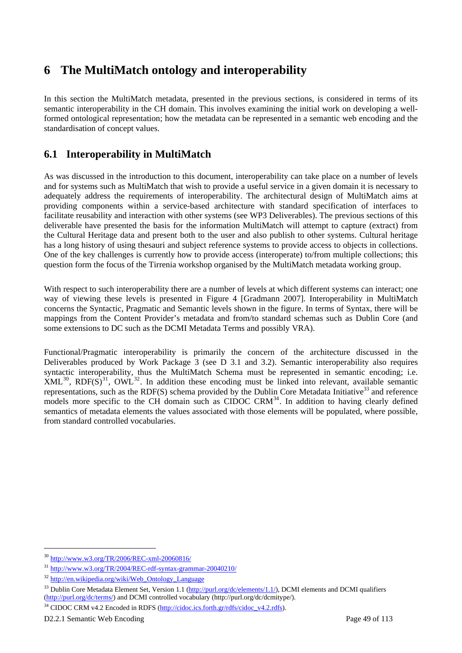# **6 The MultiMatch ontology and interoperability**

In this section the MultiMatch metadata, presented in the previous sections, is considered in terms of its semantic interoperability in the CH domain. This involves examining the initial work on developing a wellformed ontological representation; how the metadata can be represented in a semantic web encoding and the standardisation of concept values.

# **6.1 Interoperability in MultiMatch**

As was discussed in the introduction to this document, interoperability can take place on a number of levels and for systems such as MultiMatch that wish to provide a useful service in a given domain it is necessary to adequately address the requirements of interoperability. The architectural design of MultiMatch aims at providing components within a service-based architecture with standard specification of interfaces to facilitate reusability and interaction with other systems (see WP3 Deliverables). The previous sections of this deliverable have presented the basis for the information MultiMatch will attempt to capture (extract) from the Cultural Heritage data and present both to the user and also publish to other systems. Cultural heritage has a long history of using thesauri and subject reference systems to provide access to objects in collections. One of the key challenges is currently how to provide access (interoperate) to/from multiple collections; this question form the focus of the Tirrenia workshop organised by the MultiMatch metadata working group.

With respect to such interoperability there are a number of levels at which different systems can interact; one way of viewing these levels is presented in Figure 4 [Gradmann 2007]. Interoperability in MultiMatch concerns the Syntactic, Pragmatic and Semantic levels shown in the figure. In terms of Syntax, there will be mappings from the Content Provider's metadata and from/to standard schemas such as Dublin Core (and some extensions to DC such as the DCMI Metadata Terms and possibly VRA).

Functional/Pragmatic interoperability is primarily the concern of the architecture discussed in the Deliverables produced by Work Package 3 (see D 3.1 and 3.2). Semantic interoperability also requires syntactic interoperability, thus the MultiMatch Schema must be represented in semantic encoding; i.e.  $XML^{30}$ ,  $RDF(S)^{31}$ ,  $OWL^{32}$ . In addition these encoding must be linked into relevant, available semantic representations, such as the RDF(S) schema provided by the Dublin Core Metadata Initiative<sup>33</sup> and reference models more specific to the CH domain such as CIDOC CRM<sup>34</sup>. In addition to having clearly defined semantics of metadata elements the values associated with those elements will be populated, where possible, from standard controlled vocabularies.

<sup>30</sup> http://www.w3.org/TR/2006/REC-xml-20060816/

<sup>31</sup> http://www.w3.org/TR/2004/REC-rdf-syntax-grammar-20040210/

<sup>32</sup> http://en.wikipedia.org/wiki/Web\_Ontology\_Language

<sup>&</sup>lt;sup>33</sup> Dublin Core Metadata Element Set, Version 1.1 (http://purl.org/dc/elements/1.1/), DCMI elements and DCMI qualifiers (http://purl.org/dc/terms/) and DCMI controlled vocabulary (http://purl.org/dc/dcmitype/).

<sup>&</sup>lt;sup>34</sup> CIDOC CRM v4.2 Encoded in RDFS (http://cidoc.ics.forth.gr/rdfs/cidoc\_v4.2.rdfs).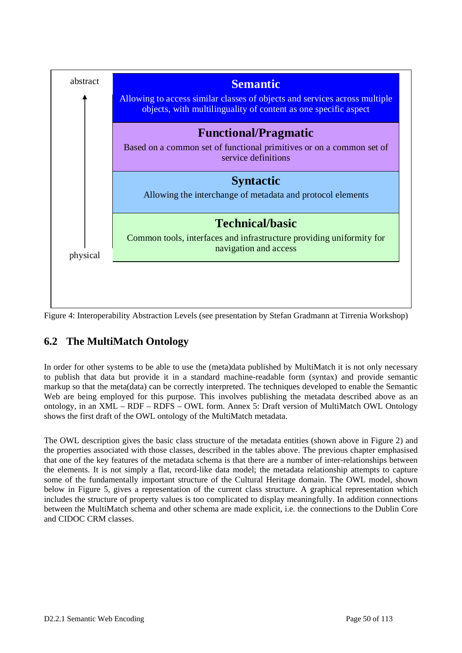

Figure 4: Interoperability Abstraction Levels (see presentation by Stefan Gradmann at Tirrenia Workshop)

# **6.2 The MultiMatch Ontology**

In order for other systems to be able to use the (meta)data published by MultiMatch it is not only necessary to publish that data but provide it in a standard machine-readable form (syntax) and provide semantic markup so that the meta(data) can be correctly interpreted. The techniques developed to enable the Semantic Web are being employed for this purpose. This involves publishing the metadata described above as an ontology, in an XML – RDF – RDFS – OWL form. Annex 5: Draft version of MultiMatch OWL Ontology shows the first draft of the OWL ontology of the MultiMatch metadata.

The OWL description gives the basic class structure of the metadata entities (shown above in Figure 2) and the properties associated with those classes, described in the tables above. The previous chapter emphasised that one of the key features of the metadata schema is that there are a number of inter-relationships between the elements. It is not simply a flat, record-like data model; the metadata relationship attempts to capture some of the fundamentally important structure of the Cultural Heritage domain. The OWL model, shown below in Figure 5, gives a representation of the current class structure. A graphical representation which includes the structure of property values is too complicated to display meaningfully. In addition connections between the MultiMatch schema and other schema are made explicit, i.e. the connections to the Dublin Core and CIDOC CRM classes.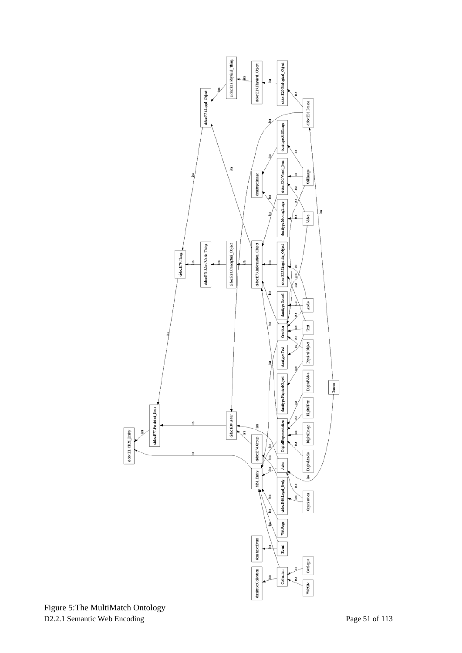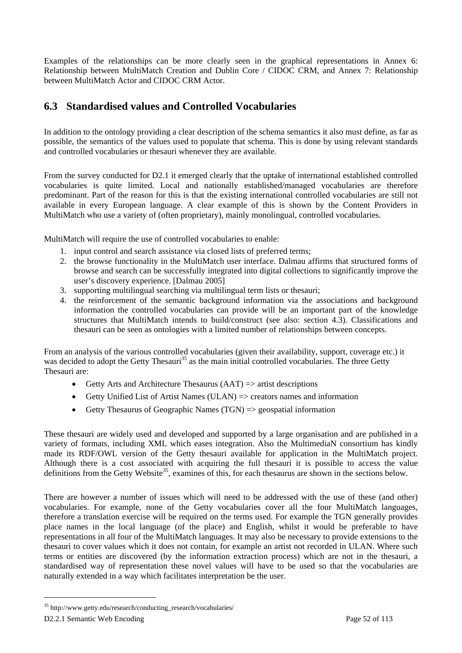Examples of the relationships can be more clearly seen in the graphical representations in Annex 6: Relationship between MultiMatch Creation and Dublin Core / CIDOC CRM, and Annex 7: Relationship between MultiMatch Actor and CIDOC CRM Actor.

# **6.3 Standardised values and Controlled Vocabularies**

In addition to the ontology providing a clear description of the schema semantics it also must define, as far as possible, the semantics of the values used to populate that schema. This is done by using relevant standards and controlled vocabularies or thesauri whenever they are available.

From the survey conducted for D2.1 it emerged clearly that the uptake of international established controlled vocabularies is quite limited. Local and nationally established/managed vocabularies are therefore predominant. Part of the reason for this is that the existing international controlled vocabularies are still not available in every European language. A clear example of this is shown by the Content Providers in MultiMatch who use a variety of (often proprietary), mainly monolingual, controlled vocabularies.

MultiMatch will require the use of controlled vocabularies to enable:

- 1. input control and search assistance via closed lists of preferred terms;
- 2. the browse functionality in the MultiMatch user interface. Dalmau affirms that structured forms of browse and search can be successfully integrated into digital collections to significantly improve the user's discovery experience. [Dalmau 2005]
- 3. supporting multilingual searching via multilingual term lists or thesauri;
- 4. the reinforcement of the semantic background information via the associations and background information the controlled vocabularies can provide will be an important part of the knowledge structures that MultiMatch intends to build/construct (see also: section 4.3). Classifications and thesauri can be seen as ontologies with a limited number of relationships between concepts.

From an analysis of the various controlled vocabularies (given their availability, support, coverage etc.) it was decided to adopt the Getty Thesauri<sup>35</sup> as the main initial controlled vocabularies. The three Getty Thesauri are:

- Getty Arts and Architecture Thesaurus  $(AAT) \implies$  artist descriptions
- Getty Unified List of Artist Names (ULAN)  $\Rightarrow$  creators names and information
- Getty Thesaurus of Geographic Names (TGN) => geospatial information

These thesauri are widely used and developed and supported by a large organisation and are published in a variety of formats, including XML which eases integration. Also the MultimediaN consortium has kindly made its RDF/OWL version of the Getty thesauri available for application in the MultiMatch project. Although there is a cost associated with acquiring the full thesauri it is possible to access the value definitions from the Getty Website<sup>35</sup>, examines of this, for each thesaurus are shown in the sections below.

There are however a number of issues which will need to be addressed with the use of these (and other) vocabularies. For example, none of the Getty vocabularies cover all the four MultiMatch languages, therefore a translation exercise will be required on the terms used. For example the TGN generally provides place names in the local language (of the place) and English, whilst it would be preferable to have representations in all four of the MultiMatch languages. It may also be necessary to provide extensions to the thesauri to cover values which it does not contain, for example an artist not recorded in ULAN. Where such terms or entities are discovered (by the information extraction process) which are not in the thesauri, a standardised way of representation these novel values will have to be used so that the vocabularies are naturally extended in a way which facilitates interpretation be the user.

<sup>35</sup> http://www.getty.edu/research/conducting\_research/vocabularies/

D2.2.1 Semantic Web Encoding Page 52 of 113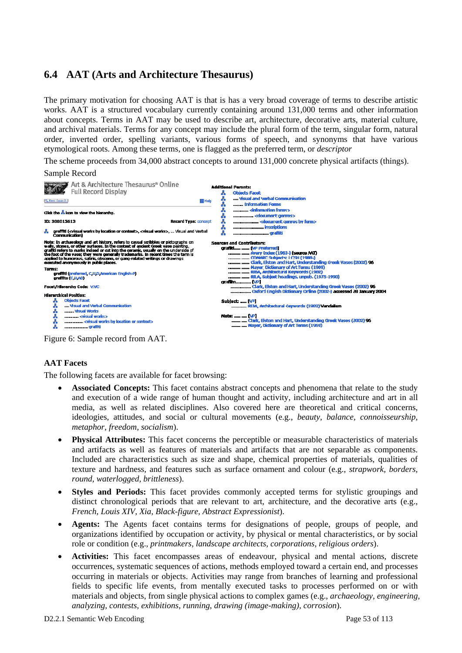# **6.4 AAT (Arts and Architecture Thesaurus)**

The primary motivation for choosing AAT is that is has a very broad coverage of terms to describe artistic works. AAT is a structured vocabulary currently containing around 131,000 terms and other information about concepts. Terms in AAT may be used to describe art, architecture, decorative arts, material culture, and archival materials. Terms for any concept may include the plural form of the term, singular form, natural order, inverted order, spelling variants, various forms of speech, and synonyms that have various etymological roots. Among these terms, one is flagged as the preferred term, or *descriptor*

The scheme proceeds from 34,000 abstract concepts to around 131,000 concrete physical artifacts (things).



Figure 6: Sample record from AAT.

#### **AAT Facets**

The following facets are available for facet browsing:

- **Associated Concepts:** This facet contains abstract concepts and phenomena that relate to the study and execution of a wide range of human thought and activity, including architecture and art in all media, as well as related disciplines. Also covered here are theoretical and critical concerns, ideologies, attitudes, and social or cultural movements (e.g., *beauty, balance, connoisseurship, metaphor, freedom, socialism*).
- **Physical Attributes:** This facet concerns the perceptible or measurable characteristics of materials and artifacts as well as features of materials and artifacts that are not separable as components. Included are characteristics such as size and shape, chemical properties of materials, qualities of texture and hardness, and features such as surface ornament and colour (e.g., *strapwork, borders, round, waterlogged, brittleness*).
- **Styles and Periods:** This facet provides commonly accepted terms for stylistic groupings and distinct chronological periods that are relevant to art, architecture, and the decorative arts (e.g., *French, Louis XIV, Xia, Black-figure, Abstract Expressionist*).
- **Agents:** The Agents facet contains terms for designations of people, groups of people, and organizations identified by occupation or activity, by physical or mental characteristics, or by social role or condition (e.g., *printmakers, landscape architects, corporations, religious orders*).
- **Activities:** This facet encompasses areas of endeavour, physical and mental actions, discrete occurrences, systematic sequences of actions, methods employed toward a certain end, and processes occurring in materials or objects. Activities may range from branches of learning and professional fields to specific life events, from mentally executed tasks to processes performed on or with materials and objects, from single physical actions to complex games (e.g., *archaeology, engineering, analyzing, contests, exhibitions, running, drawing (image-making), corrosion*).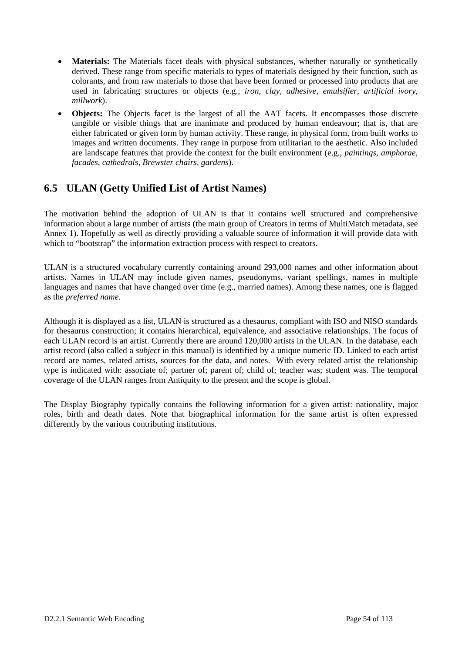- **Materials:** The Materials facet deals with physical substances, whether naturally or synthetically derived. These range from specific materials to types of materials designed by their function, such as colorants, and from raw materials to those that have been formed or processed into products that are used in fabricating structures or objects (e.g., *iron, clay, adhesive, emulsifier, artificial ivory, millwork*).
- **Objects:** The Objects facet is the largest of all the AAT facets. It encompasses those discrete tangible or visible things that are inanimate and produced by human endeavour; that is, that are either fabricated or given form by human activity. These range, in physical form, from built works to images and written documents. They range in purpose from utilitarian to the aesthetic. Also included are landscape features that provide the context for the built environment (e.g., *paintings, amphorae, facades, cathedrals, Brewster chairs, gardens*).

# **6.5 ULAN (Getty Unified List of Artist Names)**

The motivation behind the adoption of ULAN is that it contains well structured and comprehensive information about a large number of artists (the main group of Creators in terms of MultiMatch metadata, see Annex 1). Hopefully as well as directly providing a valuable source of information it will provide data with which to "bootstrap" the information extraction process with respect to creators.

ULAN is a structured vocabulary currently containing around 293,000 names and other information about artists. Names in ULAN may include given names, pseudonyms, variant spellings, names in multiple languages and names that have changed over time (e.g., married names). Among these names, one is flagged as the *preferred name*.

Although it is displayed as a list, ULAN is structured as a thesaurus, compliant with ISO and NISO standards for thesaurus construction; it contains hierarchical, equivalence, and associative relationships. The focus of each ULAN record is an artist. Currently there are around 120,000 artists in the ULAN. In the database, each artist record (also called a *subject* in this manual) is identified by a unique numeric ID. Linked to each artist record are names, related artists, sources for the data, and notes. With every related artist the relationship type is indicated with: associate of; partner of; parent of; child of; teacher was; student was. The temporal coverage of the ULAN ranges from Antiquity to the present and the scope is global.

The Display Biography typically contains the following information for a given artist: nationality, major roles, birth and death dates. Note that biographical information for the same artist is often expressed differently by the various contributing institutions.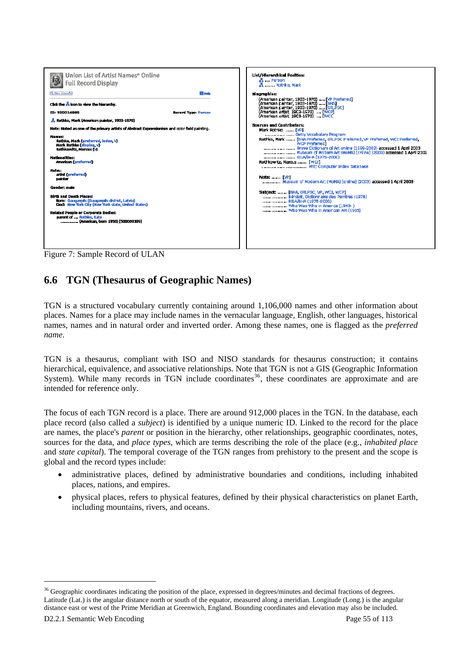

# **6.6 TGN (Thesaurus of Geographic Names)**

TGN is a structured vocabulary currently containing around 1,106,000 names and other information about places. Names for a place may include names in the vernacular language, English, other languages, historical names, names and in natural order and inverted order. Among these names, one is flagged as the *preferred name*.

TGN is a thesaurus, compliant with ISO and NISO standards for thesaurus construction; it contains hierarchical, equivalence, and associative relationships. Note that TGN is not a GIS (Geographic Information System). While many records in TGN include coordinates<sup>36</sup>, these coordinates are approximate and are intended for reference only.

The focus of each TGN record is a place. There are around 912,000 places in the TGN. In the database, each place record (also called a *subject*) is identified by a unique numeric ID. Linked to the record for the place are names, the place's *parent* or position in the hierarchy, other relationships, geographic coordinates, notes, sources for the data, and *place types*, which are terms describing the role of the place (e.g., *inhabited place* and *state capital*). The temporal coverage of the TGN ranges from prehistory to the present and the scope is global and the record types include:

- administrative places, defined by administrative boundaries and conditions, including inhabited places, nations, and empires.
- physical places, refers to physical features, defined by their physical characteristics on planet Earth, including mountains, rivers, and oceans.

<sup>&</sup>lt;sup>36</sup> Geographic coordinates indicating the position of the place, expressed in degrees/minutes and decimal fractions of degrees. Latitude (Lat.) is the angular distance north or south of the equator, measured along a meridian. Longitude (Long.) is the angular distance east or west of the Prime Meridian at Greenwich, England. Bounding coordinates and elevation may also be included.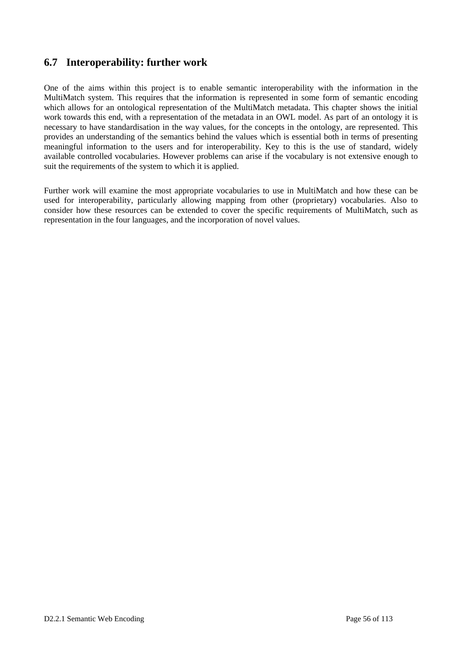## **6.7 Interoperability: further work**

One of the aims within this project is to enable semantic interoperability with the information in the MultiMatch system. This requires that the information is represented in some form of semantic encoding which allows for an ontological representation of the MultiMatch metadata. This chapter shows the initial work towards this end, with a representation of the metadata in an OWL model. As part of an ontology it is necessary to have standardisation in the way values, for the concepts in the ontology, are represented. This provides an understanding of the semantics behind the values which is essential both in terms of presenting meaningful information to the users and for interoperability. Key to this is the use of standard, widely available controlled vocabularies. However problems can arise if the vocabulary is not extensive enough to suit the requirements of the system to which it is applied.

Further work will examine the most appropriate vocabularies to use in MultiMatch and how these can be used for interoperability, particularly allowing mapping from other (proprietary) vocabularies. Also to consider how these resources can be extended to cover the specific requirements of MultiMatch, such as representation in the four languages, and the incorporation of novel values.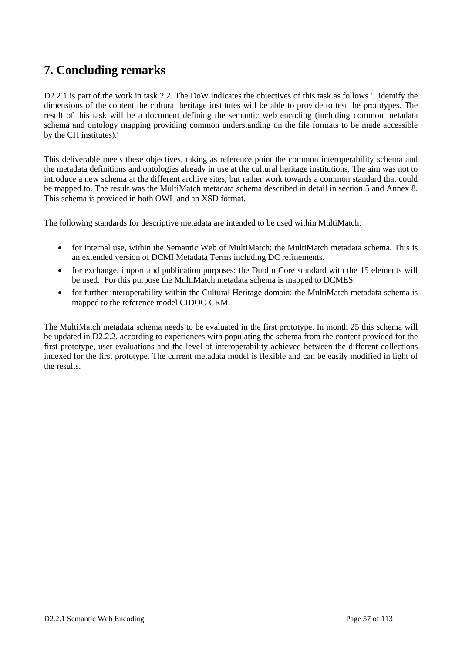# **7. Concluding remarks**

D2.2.1 is part of the work in task 2.2. The DoW indicates the objectives of this task as follows '...identify the dimensions of the content the cultural heritage institutes will be able to provide to test the prototypes. The result of this task will be a document defining the semantic web encoding (including common metadata schema and ontology mapping providing common understanding on the file formats to be made accessible by the CH institutes).'

This deliverable meets these objectives, taking as reference point the common interoperability schema and the metadata definitions and ontologies already in use at the cultural heritage institutions. The aim was not to introduce a new schema at the different archive sites, but rather work towards a common standard that could be mapped to. The result was the MultiMatch metadata schema described in detail in section 5 and Annex 8. This schema is provided in both OWL and an XSD format.

The following standards for descriptive metadata are intended to be used within MultiMatch:

- for internal use, within the Semantic Web of MultiMatch: the MultiMatch metadata schema. This is an extended version of DCMI Metadata Terms including DC refinements.
- for exchange, import and publication purposes: the Dublin Core standard with the 15 elements will be used. For this purpose the MultiMatch metadata schema is mapped to DCMES.
- for further interoperability within the Cultural Heritage domain: the MultiMatch metadata schema is mapped to the reference model CIDOC-CRM.

The MultiMatch metadata schema needs to be evaluated in the first prototype. In month 25 this schema will be updated in D2.2.2, according to experiences with populating the schema from the content provided for the first prototype, user evaluations and the level of interoperability achieved between the different collections indexed for the first prototype. The current metadata model is flexible and can be easily modified in light of the results.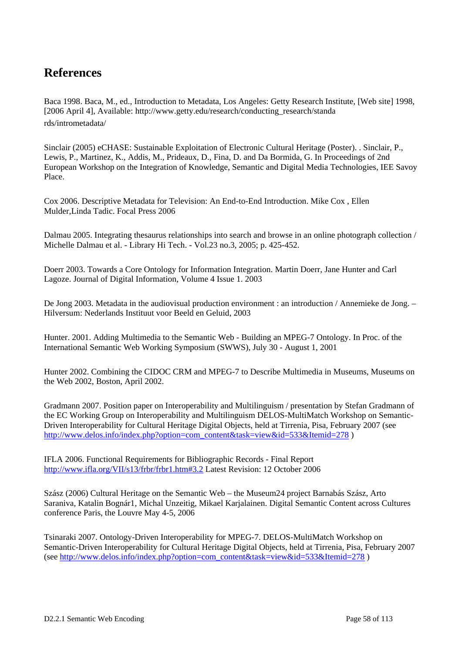# **References**

Baca 1998. Baca, M., ed., Introduction to Metadata, Los Angeles: Getty Research Institute, [Web site] 1998, [2006 April 4], Available: http://www.getty.edu/research/conducting\_research/standa rds/intrometadata/

Sinclair (2005) eCHASE: Sustainable Exploitation of Electronic Cultural Heritage (Poster). . Sinclair, P., Lewis, P., Martinez, K., Addis, M., Prideaux, D., Fina, D. and Da Bormida, G. In Proceedings of 2nd European Workshop on the Integration of Knowledge, Semantic and Digital Media Technologies, IEE Savoy Place.

Cox 2006. Descriptive Metadata for Television: An End-to-End Introduction. Mike Cox , Ellen Mulder,Linda Tadic. Focal Press 2006

Dalmau 2005. Integrating thesaurus relationships into search and browse in an online photograph collection / Michelle Dalmau et al. - Library Hi Tech. - Vol.23 no.3, 2005; p. 425-452.

Doerr 2003. Towards a Core Ontology for Information Integration. Martin Doerr, Jane Hunter and Carl Lagoze. Journal of Digital Information, Volume 4 Issue 1. 2003

De Jong 2003. Metadata in the audiovisual production environment : an introduction / Annemieke de Jong. – Hilversum: Nederlands Instituut voor Beeld en Geluid, 2003

Hunter. 2001. Adding Multimedia to the Semantic Web - Building an MPEG-7 Ontology. In Proc. of the International Semantic Web Working Symposium (SWWS), July 30 - August 1, 2001

Hunter 2002. Combining the CIDOC CRM and MPEG-7 to Describe Multimedia in Museums, Museums on the Web 2002, Boston, April 2002.

Gradmann 2007. Position paper on Interoperability and Multilinguism / presentation by Stefan Gradmann of the EC Working Group on Interoperability and Multilinguism DELOS-MultiMatch Workshop on Semantic-Driven Interoperability for Cultural Heritage Digital Objects, held at Tirrenia, Pisa, February 2007 (see http://www.delos.info/index.php?option=com\_content&task=view&id=533&Itemid=278 )

IFLA 2006. Functional Requirements for Bibliographic Records - Final Report http://www.ifla.org/VII/s13/frbr/frbr1.htm#3.2 Latest Revision: 12 October 2006

Szász (2006) Cultural Heritage on the Semantic Web – the Museum24 project Barnabás Szász, Arto Saraniva, Katalin Bognár1, Michal Unzeitig, Mikael Karjalainen. Digital Semantic Content across Cultures conference Paris, the Louvre May 4-5, 2006

Tsinaraki 2007. Ontology-Driven Interoperability for MPEG-7. DELOS-MultiMatch Workshop on Semantic-Driven Interoperability for Cultural Heritage Digital Objects, held at Tirrenia, Pisa, February 2007 (see http://www.delos.info/index.php?option=com\_content&task=view&id=533&Itemid=278 )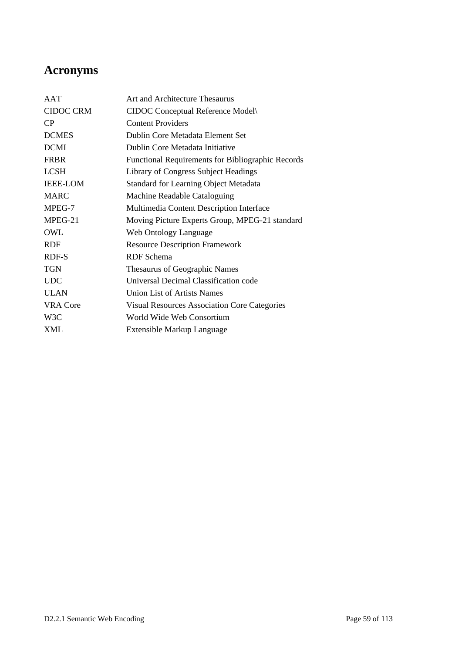# **Acronyms**

| AAT              | Art and Architecture Thesaurus                      |
|------------------|-----------------------------------------------------|
| <b>CIDOC CRM</b> | CIDOC Conceptual Reference Model                    |
| CP               | <b>Content Providers</b>                            |
| <b>DCMES</b>     | Dublin Core Metadata Element Set                    |
| <b>DCMI</b>      | Dublin Core Metadata Initiative                     |
| <b>FRBR</b>      | Functional Requirements for Bibliographic Records   |
| <b>LCSH</b>      | Library of Congress Subject Headings                |
| <b>IEEE-LOM</b>  | <b>Standard for Learning Object Metadata</b>        |
| <b>MARC</b>      | Machine Readable Cataloguing                        |
| MPEG-7           | Multimedia Content Description Interface            |
| MPEG-21          | Moving Picture Experts Group, MPEG-21 standard      |
| OWL              | Web Ontology Language                               |
| <b>RDF</b>       | <b>Resource Description Framework</b>               |
| RDF-S            | RDF Schema                                          |
| <b>TGN</b>       | Thesaurus of Geographic Names                       |
| <b>UDC</b>       | Universal Decimal Classification code               |
| <b>ULAN</b>      | <b>Union List of Artists Names</b>                  |
| <b>VRA Core</b>  | <b>Visual Resources Association Core Categories</b> |
| W3C              | World Wide Web Consortium                           |
| XML              | Extensible Markup Language                          |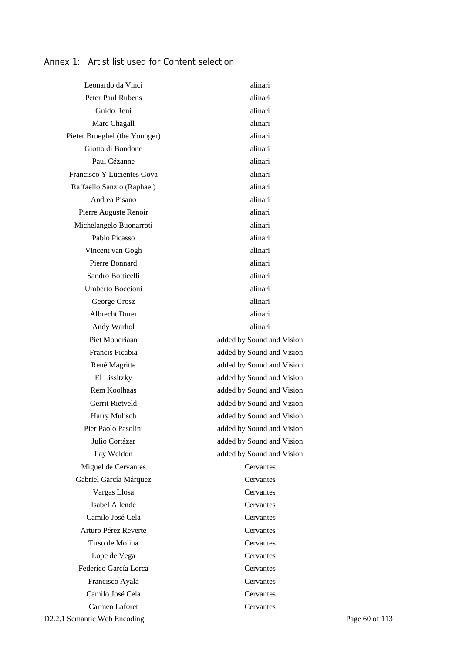## Annex 1: Artist list used for Content selection

| Leonardo da Vinci             | alinari                   |                |
|-------------------------------|---------------------------|----------------|
| Peter Paul Rubens             | alinari                   |                |
| Guido Reni                    | alinari                   |                |
| Marc Chagall                  | alinari                   |                |
| Pieter Brueghel (the Younger) | alinari                   |                |
| Giotto di Bondone             | alinari                   |                |
| Paul Cézanne                  | alinari                   |                |
| Francisco Y Lucientes Goya    | alinari                   |                |
| Raffaello Sanzio (Raphael)    | alinari                   |                |
| Andrea Pisano                 | alinari                   |                |
| Pierre Auguste Renoir         | alinari                   |                |
| Michelangelo Buonarroti       | alinari                   |                |
| Pablo Picasso                 | alinari                   |                |
| Vincent van Gogh              | alinari                   |                |
| Pierre Bonnard                | alinari                   |                |
| Sandro Botticelli             | alinari                   |                |
| Umberto Boccioni              | alinari                   |                |
| George Grosz                  | alinari                   |                |
| <b>Albrecht Durer</b>         | alinari                   |                |
| Andy Warhol                   | alinari                   |                |
| Piet Mondriaan                | added by Sound and Vision |                |
| Francis Picabia               | added by Sound and Vision |                |
| René Magritte                 | added by Sound and Vision |                |
| El Lissitzky                  | added by Sound and Vision |                |
| Rem Koolhaas                  | added by Sound and Vision |                |
| Gerrit Rietveld               | added by Sound and Vision |                |
| Harry Mulisch                 | added by Sound and Vision |                |
| Pier Paolo Pasolini           | added by Sound and Vision |                |
| Julio Cortázar                | added by Sound and Vision |                |
| Fay Weldon                    | added by Sound and Vision |                |
| Miguel de Cervantes           | Cervantes                 |                |
| Gabriel García Márquez        | Cervantes                 |                |
| Vargas Llosa                  | Cervantes                 |                |
| Isabel Allende                | Cervantes                 |                |
| Camilo José Cela              | Cervantes                 |                |
| Arturo Pérez Reverte          | Cervantes                 |                |
| Tirso de Molina               | Cervantes                 |                |
| Lope de Vega                  | Cervantes                 |                |
| Federico García Lorca         | Cervantes                 |                |
| Francisco Ayala               | Cervantes                 |                |
| Camilo José Cela              | Cervantes                 |                |
| Carmen Laforet                | Cervantes                 |                |
| D2.2.1 Semantic Web Encoding  |                           | Page 60 of 113 |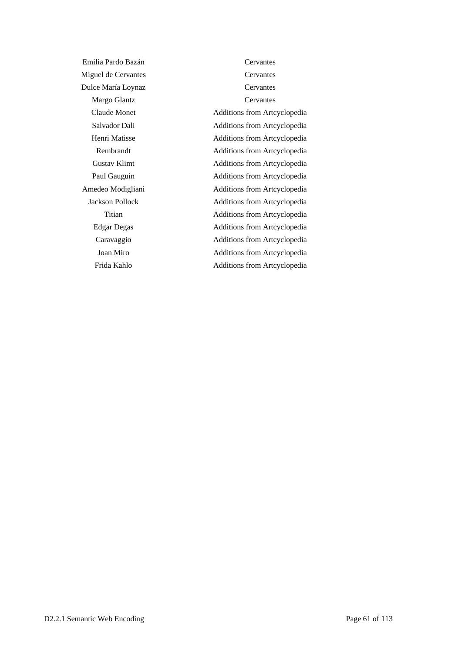Emilia Pardo Bazán Cervantes Miguel de Cervantes Cervantes Dulce María Loynaz Cervantes Margo Glantz Cervantes Claude Monet Additions from Artcyclopedia Salvador Dali Additions from Artcyclopedia Henri Matisse Additions from Artcyclopedia Rembrandt Additions from Artcyclopedia Gustav Klimt Additions from Artcyclopedia Paul Gauguin Additions from Artcyclopedia Amedeo Modigliani Additions from Artcyclopedia Jackson Pollock Additions from Artcyclopedia Edgar Degas Additions from Artcyclopedia Caravaggio Additions from Artcyclopedia Joan Miro Additions from Artcyclopedia

Titian Additions from Artcyclopedia Frida Kahlo Additions from Artcyclopedia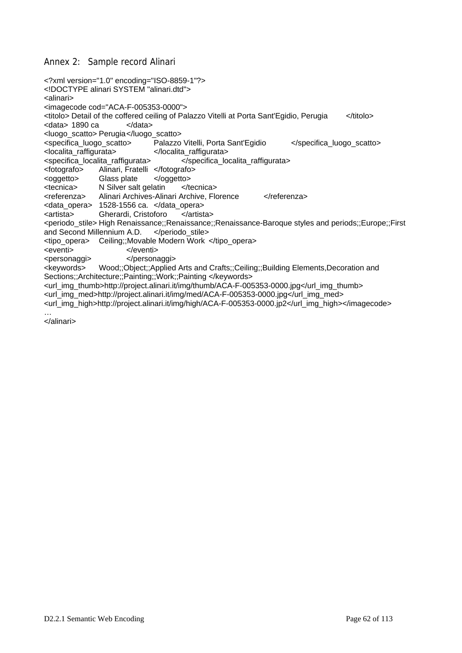#### Annex 2: Sample record Alinari

<?xml version="1.0" encoding="ISO-8859-1"?> <!DOCTYPE alinari SYSTEM "alinari.dtd"> <alinari> <imagecode cod="ACA-F-005353-0000"> <titolo> Detail of the coffered ceiling of Palazzo Vitelli at Porta Sant'Egidio, Perugia </titolo> <data> 1890 ca </data> <luogo\_scatto> Perugia </luogo\_scatto> <specifica\_luogo\_scatto> Palazzo Vitelli, Porta Sant'Egidio </specifica\_luogo\_scatto> <localita\_raffigurata> </localita\_raffigurata> <specifica\_localita\_raffigurata> </specifica\_localita\_raffigurata> <fotografo> Alinari, Fratelli </fotografo> <oggetto> Glass plate </oggetto> <tecnica> N Silver salt gelatin </tecnica> <referenza> Alinari Archives-Alinari Archive, Florence </referenza> <data\_opera> 1528-1556 ca. </data\_opera> <artista> Gherardi, Cristoforo </artista> <periodo\_stile> High Renaissance;;Renaissance;;Renaissance-Baroque styles and periods;;Europe;;First and Second Millennium A.D. </periodo\_stile> <tipo\_opera> Ceiling;;Movable Modern Work </tipo\_opera> <eventi>
</eventi>
</eventi> <personaggi> </personaggi> <keywords> Wood;;Object;;Applied Arts and Crafts;;Ceiling;;Building Elements,Decoration and Sections::Architecture::Painting::Work::Painting </keywords> <url\_img\_thumb>http://project.alinari.it/img/thumb/ACA-F-005353-0000.jpg</url\_img\_thumb> <url\_img\_med>http://project.alinari.it/img/med/ACA-F-005353-0000.jpg</url\_img\_med> <url\_img\_high>http://project.alinari.it/img/high/ACA-F-005353-0000.jp2</url\_img\_high></imagecode> …

</alinari>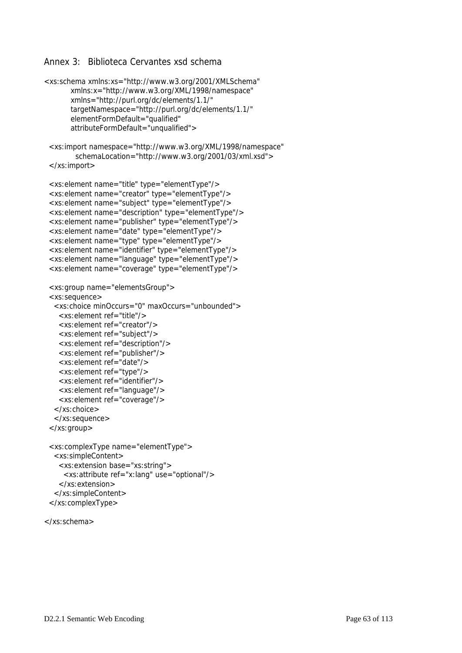#### Annex 3: Biblioteca Cervantes xsd schema

```
<xs:schema xmlns:xs="http://www.w3.org/2001/XMLSchema" 
        xmlns:x="http://www.w3.org/XML/1998/namespace" 
        xmlns="http://purl.org/dc/elements/1.1/" 
        targetNamespace="http://purl.org/dc/elements/1.1/" 
        elementFormDefault="qualified" 
        attributeFormDefault="unqualified"> 
  <xs:import namespace="http://www.w3.org/XML/1998/namespace" 
         schemaLocation="http://www.w3.org/2001/03/xml.xsd"> 
  </xs:import> 
  <xs:element name="title" type="elementType"/> 
  <xs:element name="creator" type="elementType"/> 
  <xs:element name="subject" type="elementType"/> 
  <xs:element name="description" type="elementType"/> 
  <xs:element name="publisher" type="elementType"/> 
  <xs:element name="date" type="elementType"/> 
  <xs:element name="type" type="elementType"/> 
  <xs:element name="identifier" type="elementType"/> 
  <xs:element name="language" type="elementType"/> 
  <xs:element name="coverage" type="elementType"/> 
  <xs:group name="elementsGroup"> 
  <xs:sequence> 
   <xs:choice minOccurs="0" maxOccurs="unbounded"> 
    <xs:element ref="title"/> 
    <xs:element ref="creator"/> 
    <xs:element ref="subject"/> 
    <xs:element ref="description"/> 
    <xs:element ref="publisher"/> 
    <xs:element ref="date"/> 
    <xs:element ref="type"/> 
    <xs:element ref="identifier"/> 
    <xs:element ref="language"/> 
    <xs:element ref="coverage"/> 
   </xs:choice> 
   </xs:sequence> 
  </xs:group> 
  <xs:complexType name="elementType"> 
   <xs:simpleContent> 
    <xs:extension base="xs:string"> 
      <xs:attribute ref="x:lang" use="optional"/> 
    </xs:extension> 
   </xs:simpleContent> 
  </xs:complexType>
```

```
</xs:schema>
```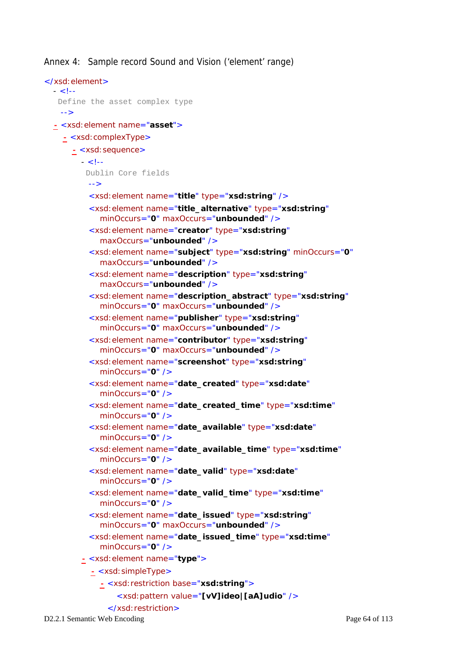Annex 4: Sample record Sound and Vision ('element' range)

```
</xsd:element>
 - < 1- Define the asset complex type 
   --> 
 - <xsd:element name="asset">
   - <xsd:complexType>
     - <xsd:sequence>
        - <!- Dublin Core fields 
         --> 
          <xsd:element name="title" type="xsd:string" /> 
          <xsd:element name="title_alternative" type="xsd:string"
            minOccurs="0" maxOccurs="unbounded" /> 
          <xsd:element name="creator" type="xsd:string"
            maxOccurs="unbounded" /> 
          <xsd:element name="subject" type="xsd:string" minOccurs="0"
            maxOccurs="unbounded" /> 
          <xsd:element name="description" type="xsd:string"
            maxOccurs="unbounded" /> 
          <xsd:element name="description_abstract" type="xsd:string"
            minOccurs="0" maxOccurs="unbounded" /> 
          <xsd:element name="publisher" type="xsd:string"
            minOccurs="0" maxOccurs="unbounded" /> 
          <xsd:element name="contributor" type="xsd:string"
            minOccurs="0" maxOccurs="unbounded" /> 
          <xsd:element name="screenshot" type="xsd:string"
            minOccurs="0" /> 
          <xsd:element name="date_created" type="xsd:date"
            minOccurs="0" /> 
          <xsd:element name="date_created_time" type="xsd:time"
            minOccurs="0" /> 
          <xsd:element name="date_available" type="xsd:date"
            minOccurs="0" /> 
          <xsd:element name="date_available_time" type="xsd:time"
            minOccurs="0" /> 
          <xsd:element name="date_valid" type="xsd:date"
            minOccurs="0" /> 
          <xsd:element name="date_valid_time" type="xsd:time"
            minOccurs="0" /> 
          <xsd:element name="date_issued" type="xsd:string"
            minOccurs="0" maxOccurs="unbounded" /> 
          <xsd:element name="date_issued_time" type="xsd:time"
            minOccurs="0" /> 
        - <xsd:element name="type">
          - <xsd:simpleType>
            - <xsd:restriction base="xsd:string">
                <xsd:pattern value="[vV]ideo|[aA]udio" /> 
              </xsd:restriction>
```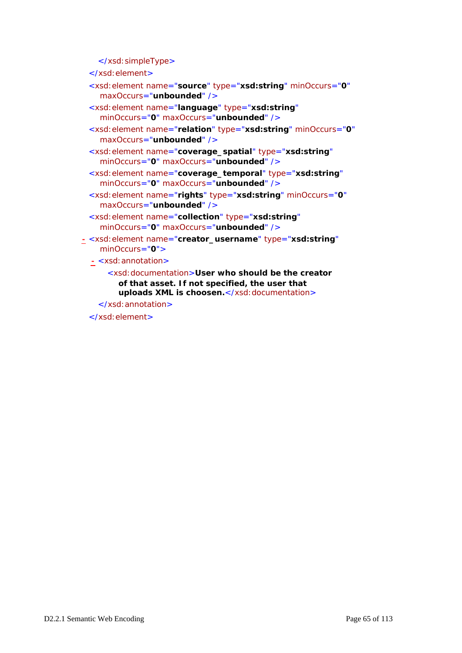</xsd:simpleType>

```
</xsd:element>
```
- <xsd:element name="**source**" type="**xsd:string**" minOccurs="**0**" maxOccurs="**unbounded**" />
- <xsd:element name="**language**" type="**xsd:string**" minOccurs="**0**" maxOccurs="**unbounded**" />
- <xsd:element name="**relation**" type="**xsd:string**" minOccurs="**0**" maxOccurs="**unbounded**" />
- <xsd:element name="**coverage\_spatial**" type="**xsd:string**" minOccurs="**0**" maxOccurs="**unbounded**" />
- <xsd:element name="**coverage\_temporal**" type="**xsd:string**" minOccurs="**0**" maxOccurs="**unbounded**" />
- <xsd:element name="**rights**" type="**xsd:string**" minOccurs="**0**" maxOccurs="**unbounded**" />
- <xsd:element name="**collection**" type="**xsd:string**" minOccurs="**0**" maxOccurs="**unbounded**" />
- **-** <xsd:element name="**creator\_username**" type="**xsd:string**" minOccurs="**0**">
	- **-** <xsd:annotation>
		- <xsd:documentation>**User who should be the creator of that asset. If not specified, the user that uploads XML is choosen.**</xsd:documentation>
		- </xsd:annotation>

</xsd:element>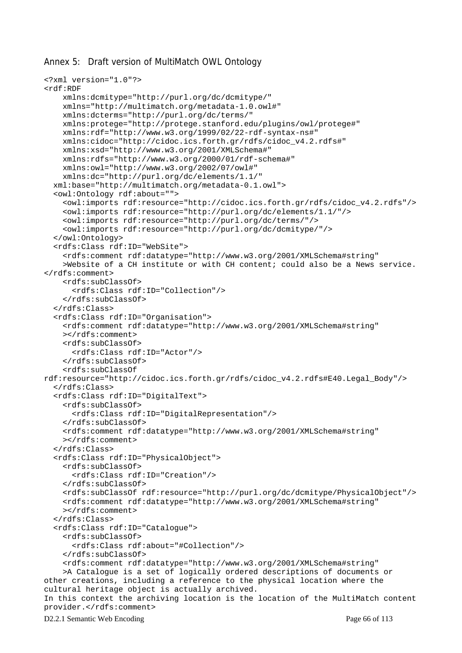#### Annex 5: Draft version of MultiMatch OWL Ontology

```
<?xml version="1.0"?> 
<rdf:RDF 
     xmlns:dcmitype="http://purl.org/dc/dcmitype/" 
     xmlns="http://multimatch.org/metadata-1.0.owl#" 
     xmlns:dcterms="http://purl.org/dc/terms/" 
     xmlns:protege="http://protege.stanford.edu/plugins/owl/protege#" 
     xmlns:rdf="http://www.w3.org/1999/02/22-rdf-syntax-ns#" 
     xmlns:cidoc="http://cidoc.ics.forth.gr/rdfs/cidoc_v4.2.rdfs#" 
     xmlns:xsd="http://www.w3.org/2001/XMLSchema#" 
     xmlns:rdfs="http://www.w3.org/2000/01/rdf-schema#" 
     xmlns:owl="http://www.w3.org/2002/07/owl#" 
     xmlns:dc="http://purl.org/dc/elements/1.1/" 
   xml:base="http://multimatch.org/metadata-0.1.owl"> 
   <owl:Ontology rdf:about=""> 
     <owl:imports rdf:resource="http://cidoc.ics.forth.gr/rdfs/cidoc_v4.2.rdfs"/> 
     <owl:imports rdf:resource="http://purl.org/dc/elements/1.1/"/> 
     <owl:imports rdf:resource="http://purl.org/dc/terms/"/> 
     <owl:imports rdf:resource="http://purl.org/dc/dcmitype/"/> 
   </owl:Ontology> 
   <rdfs:Class rdf:ID="WebSite"> 
     <rdfs:comment rdf:datatype="http://www.w3.org/2001/XMLSchema#string" 
     >Website of a CH institute or with CH content; could also be a News service. 
</rdfs:comment> 
     <rdfs:subClassOf> 
       <rdfs:Class rdf:ID="Collection"/> 
     </rdfs:subClassOf> 
   </rdfs:Class> 
   <rdfs:Class rdf:ID="Organisation"> 
     <rdfs:comment rdf:datatype="http://www.w3.org/2001/XMLSchema#string" 
     ></rdfs:comment> 
     <rdfs:subClassOf> 
       <rdfs:Class rdf:ID="Actor"/> 
     </rdfs:subClassOf> 
     <rdfs:subClassOf 
rdf:resource="http://cidoc.ics.forth.gr/rdfs/cidoc_v4.2.rdfs#E40.Legal_Body"/> 
   </rdfs:Class> 
   <rdfs:Class rdf:ID="DigitalText"> 
     <rdfs:subClassOf> 
       <rdfs:Class rdf:ID="DigitalRepresentation"/> 
     </rdfs:subClassOf> 
     <rdfs:comment rdf:datatype="http://www.w3.org/2001/XMLSchema#string" 
     ></rdfs:comment> 
   </rdfs:Class> 
   <rdfs:Class rdf:ID="PhysicalObject"> 
     <rdfs:subClassOf> 
       <rdfs:Class rdf:ID="Creation"/> 
     </rdfs:subClassOf> 
     <rdfs:subClassOf rdf:resource="http://purl.org/dc/dcmitype/PhysicalObject"/> 
     <rdfs:comment rdf:datatype="http://www.w3.org/2001/XMLSchema#string" 
     ></rdfs:comment> 
   </rdfs:Class> 
   <rdfs:Class rdf:ID="Catalogue"> 
     <rdfs:subClassOf> 
       <rdfs:Class rdf:about="#Collection"/> 
     </rdfs:subClassOf> 
     <rdfs:comment rdf:datatype="http://www.w3.org/2001/XMLSchema#string" 
     >A Catalogue is a set of logically ordered descriptions of documents or 
other creations, including a reference to the physical location where the 
cultural heritage object is actually archived. 
In this context the archiving location is the location of the MultiMatch content 
provider.</rdfs:comment>
```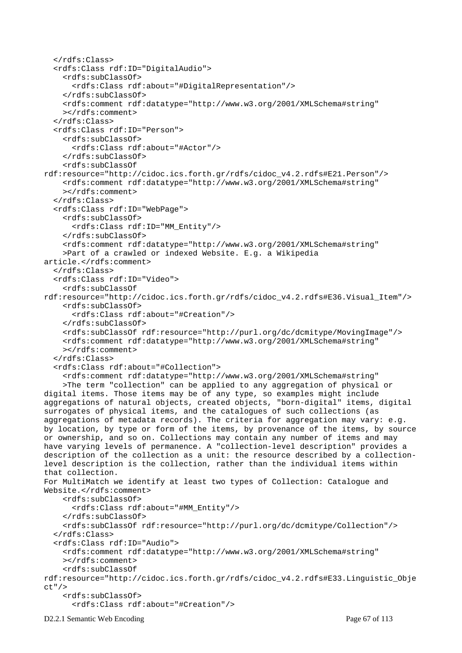```
 </rdfs:Class> 
   <rdfs:Class rdf:ID="DigitalAudio"> 
     <rdfs:subClassOf> 
       <rdfs:Class rdf:about="#DigitalRepresentation"/> 
     </rdfs:subClassOf> 
     <rdfs:comment rdf:datatype="http://www.w3.org/2001/XMLSchema#string" 
     ></rdfs:comment> 
   </rdfs:Class> 
   <rdfs:Class rdf:ID="Person"> 
     <rdfs:subClassOf> 
       <rdfs:Class rdf:about="#Actor"/> 
     </rdfs:subClassOf> 
     <rdfs:subClassOf 
rdf:resource="http://cidoc.ics.forth.gr/rdfs/cidoc_v4.2.rdfs#E21.Person"/> 
     <rdfs:comment rdf:datatype="http://www.w3.org/2001/XMLSchema#string" 
     ></rdfs:comment> 
   </rdfs:Class> 
   <rdfs:Class rdf:ID="WebPage"> 
     <rdfs:subClassOf> 
       <rdfs:Class rdf:ID="MM_Entity"/> 
     </rdfs:subClassOf> 
     <rdfs:comment rdf:datatype="http://www.w3.org/2001/XMLSchema#string" 
     >Part of a crawled or indexed Website. E.g. a Wikipedia 
article.</rdfs:comment> 
   </rdfs:Class> 
   <rdfs:Class rdf:ID="Video"> 
     <rdfs:subClassOf 
rdf:resource="http://cidoc.ics.forth.gr/rdfs/cidoc_v4.2.rdfs#E36.Visual_Item"/> 
     <rdfs:subClassOf> 
       <rdfs:Class rdf:about="#Creation"/> 
     </rdfs:subClassOf> 
     <rdfs:subClassOf rdf:resource="http://purl.org/dc/dcmitype/MovingImage"/> 
     <rdfs:comment rdf:datatype="http://www.w3.org/2001/XMLSchema#string" 
    ></rdfs:comment>
   </rdfs:Class> 
   <rdfs:Class rdf:about="#Collection"> 
     <rdfs:comment rdf:datatype="http://www.w3.org/2001/XMLSchema#string" 
     >The term "collection" can be applied to any aggregation of physical or 
digital items. Those items may be of any type, so examples might include 
aggregations of natural objects, created objects, "born-digital" items, digital 
surrogates of physical items, and the catalogues of such collections (as 
aggregations of metadata records). The criteria for aggregation may vary: e.g. 
by location, by type or form of the items, by provenance of the items, by source 
or ownership, and so on. Collections may contain any number of items and may 
have varying levels of permanence. A "collection-level description" provides a 
description of the collection as a unit: the resource described by a collection-
level description is the collection, rather than the individual items within 
that collection. 
For MultiMatch we identify at least two types of Collection: Catalogue and 
Website.</rdfs:comment>
     <rdfs:subClassOf> 
       <rdfs:Class rdf:about="#MM_Entity"/> 
     </rdfs:subClassOf> 
     <rdfs:subClassOf rdf:resource="http://purl.org/dc/dcmitype/Collection"/> 
   </rdfs:Class> 
   <rdfs:Class rdf:ID="Audio"> 
     <rdfs:comment rdf:datatype="http://www.w3.org/2001/XMLSchema#string" 
     ></rdfs:comment> 
     <rdfs:subClassOf 
rdf:resource="http://cidoc.ics.forth.gr/rdfs/cidoc_v4.2.rdfs#E33.Linguistic_Obje
ct"/> 
     <rdfs:subClassOf> 
       <rdfs:Class rdf:about="#Creation"/>
```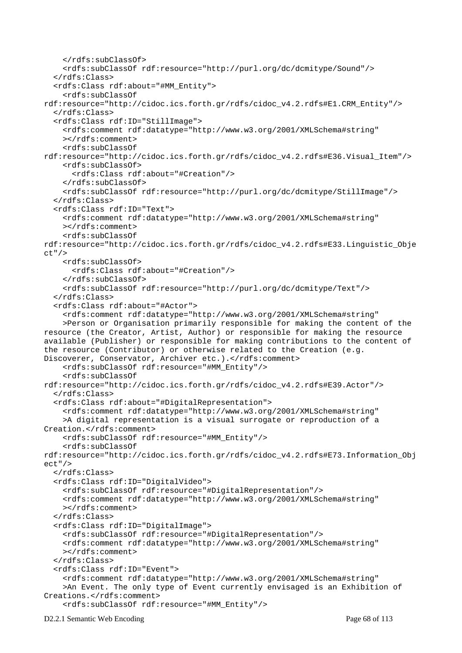```
 </rdfs:subClassOf> 
     <rdfs:subClassOf rdf:resource="http://purl.org/dc/dcmitype/Sound"/> 
   </rdfs:Class> 
   <rdfs:Class rdf:about="#MM_Entity"> 
     <rdfs:subClassOf 
rdf:resource="http://cidoc.ics.forth.gr/rdfs/cidoc_v4.2.rdfs#E1.CRM_Entity"/> 
   </rdfs:Class> 
   <rdfs:Class rdf:ID="StillImage"> 
     <rdfs:comment rdf:datatype="http://www.w3.org/2001/XMLSchema#string" 
     ></rdfs:comment> 
     <rdfs:subClassOf 
rdf:resource="http://cidoc.ics.forth.gr/rdfs/cidoc_v4.2.rdfs#E36.Visual_Item"/> 
     <rdfs:subClassOf> 
       <rdfs:Class rdf:about="#Creation"/> 
     </rdfs:subClassOf> 
     <rdfs:subClassOf rdf:resource="http://purl.org/dc/dcmitype/StillImage"/> 
   </rdfs:Class> 
   <rdfs:Class rdf:ID="Text"> 
     <rdfs:comment rdf:datatype="http://www.w3.org/2001/XMLSchema#string" 
     ></rdfs:comment> 
     <rdfs:subClassOf 
rdf:resource="http://cidoc.ics.forth.gr/rdfs/cidoc_v4.2.rdfs#E33.Linguistic_Obje
ct"/> 
     <rdfs:subClassOf> 
       <rdfs:Class rdf:about="#Creation"/> 
     </rdfs:subClassOf> 
     <rdfs:subClassOf rdf:resource="http://purl.org/dc/dcmitype/Text"/> 
   </rdfs:Class> 
   <rdfs:Class rdf:about="#Actor"> 
     <rdfs:comment rdf:datatype="http://www.w3.org/2001/XMLSchema#string" 
     >Person or Organisation primarily responsible for making the content of the 
resource (the Creator, Artist, Author) or responsible for making the resource 
available (Publisher) or responsible for making contributions to the content of 
the resource (Contributor) or otherwise related to the Creation (e.g. 
Discoverer, Conservator, Archiver etc.).</rdfs:comment>
     <rdfs:subClassOf rdf:resource="#MM_Entity"/> 
     <rdfs:subClassOf 
rdf:resource="http://cidoc.ics.forth.gr/rdfs/cidoc_v4.2.rdfs#E39.Actor"/> 
   </rdfs:Class> 
   <rdfs:Class rdf:about="#DigitalRepresentation"> 
     <rdfs:comment rdf:datatype="http://www.w3.org/2001/XMLSchema#string" 
     >A digital representation is a visual surrogate or reproduction of a 
Creation.</rdfs:comment>
     <rdfs:subClassOf rdf:resource="#MM_Entity"/> 
     <rdfs:subClassOf 
rdf:resource="http://cidoc.ics.forth.gr/rdfs/cidoc_v4.2.rdfs#E73.Information_Obj
ect"/> 
   </rdfs:Class> 
   <rdfs:Class rdf:ID="DigitalVideo"> 
     <rdfs:subClassOf rdf:resource="#DigitalRepresentation"/> 
     <rdfs:comment rdf:datatype="http://www.w3.org/2001/XMLSchema#string" 
     ></rdfs:comment> 
   </rdfs:Class> 
   <rdfs:Class rdf:ID="DigitalImage"> 
     <rdfs:subClassOf rdf:resource="#DigitalRepresentation"/> 
     <rdfs:comment rdf:datatype="http://www.w3.org/2001/XMLSchema#string" 
     ></rdfs:comment> 
   </rdfs:Class> 
   <rdfs:Class rdf:ID="Event"> 
     <rdfs:comment rdf:datatype="http://www.w3.org/2001/XMLSchema#string" 
     >An Event. The only type of Event currently envisaged is an Exhibition of 
Creations.</rdfs:comment>
     <rdfs:subClassOf rdf:resource="#MM_Entity"/>
```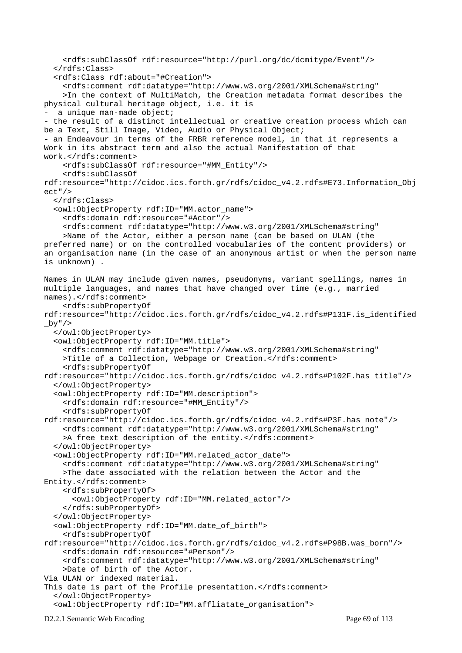```
 <rdfs:subClassOf rdf:resource="http://purl.org/dc/dcmitype/Event"/> 
   </rdfs:Class> 
   <rdfs:Class rdf:about="#Creation"> 
     <rdfs:comment rdf:datatype="http://www.w3.org/2001/XMLSchema#string" 
     >In the context of MultiMatch, the Creation metadata format describes the 
physical cultural heritage object, i.e. it is 
 a unique man-made object;
- the result of a distinct intellectual or creative creation process which can 
be a Text, Still Image, Video, Audio or Physical Object; 
- an Endeavour in terms of the FRBR reference model, in that it represents a 
Work in its abstract term and also the actual Manifestation of that 
work.</rdfs:comment>
     <rdfs:subClassOf rdf:resource="#MM_Entity"/> 
     <rdfs:subClassOf 
rdf:resource="http://cidoc.ics.forth.gr/rdfs/cidoc_v4.2.rdfs#E73.Information_Obj
ect"/> 
   </rdfs:Class> 
   <owl:ObjectProperty rdf:ID="MM.actor_name"> 
     <rdfs:domain rdf:resource="#Actor"/> 
     <rdfs:comment rdf:datatype="http://www.w3.org/2001/XMLSchema#string" 
     >Name of the Actor, either a person name (can be based on ULAN (the 
preferred name) or on the controlled vocabularies of the content providers) or 
an organisation name (in the case of an anonymous artist or when the person name 
is unknown) . 
Names in ULAN may include given names, pseudonyms, variant spellings, names in 
multiple languages, and names that have changed over time (e.g., married 
names).</rdfs:comment>
     <rdfs:subPropertyOf 
rdf:resource="http://cidoc.ics.forth.gr/rdfs/cidoc_v4.2.rdfs#P131F.is_identified
_bby" />
   </owl:ObjectProperty> 
   <owl:ObjectProperty rdf:ID="MM.title"> 
     <rdfs:comment rdf:datatype="http://www.w3.org/2001/XMLSchema#string" 
    >Title of a Collection, Webpage or Creation.</rdfs:comment>
     <rdfs:subPropertyOf 
rdf:resource="http://cidoc.ics.forth.gr/rdfs/cidoc_v4.2.rdfs#P102F.has_title"/> 
   </owl:ObjectProperty> 
   <owl:ObjectProperty rdf:ID="MM.description"> 
     <rdfs:domain rdf:resource="#MM_Entity"/> 
     <rdfs:subPropertyOf 
rdf:resource="http://cidoc.ics.forth.gr/rdfs/cidoc_v4.2.rdfs#P3F.has_note"/> 
     <rdfs:comment rdf:datatype="http://www.w3.org/2001/XMLSchema#string" 
    >A free text description of the entity.</rdfs:comment>
   </owl:ObjectProperty> 
   <owl:ObjectProperty rdf:ID="MM.related_actor_date"> 
     <rdfs:comment rdf:datatype="http://www.w3.org/2001/XMLSchema#string" 
     >The date associated with the relation between the Actor and the 
Entity.</rdfs:comment> 
     <rdfs:subPropertyOf> 
       <owl:ObjectProperty rdf:ID="MM.related_actor"/> 
     </rdfs:subPropertyOf> 
   </owl:ObjectProperty> 
   <owl:ObjectProperty rdf:ID="MM.date_of_birth"> 
     <rdfs:subPropertyOf 
rdf:resource="http://cidoc.ics.forth.gr/rdfs/cidoc_v4.2.rdfs#P98B.was_born"/> 
     <rdfs:domain rdf:resource="#Person"/> 
     <rdfs:comment rdf:datatype="http://www.w3.org/2001/XMLSchema#string" 
     >Date of birth of the Actor. 
Via ULAN or indexed material. 
This date is part of the Profile presentation.</rdfs:comment>
   </owl:ObjectProperty> 
   <owl:ObjectProperty rdf:ID="MM.affliatate_organisation">
```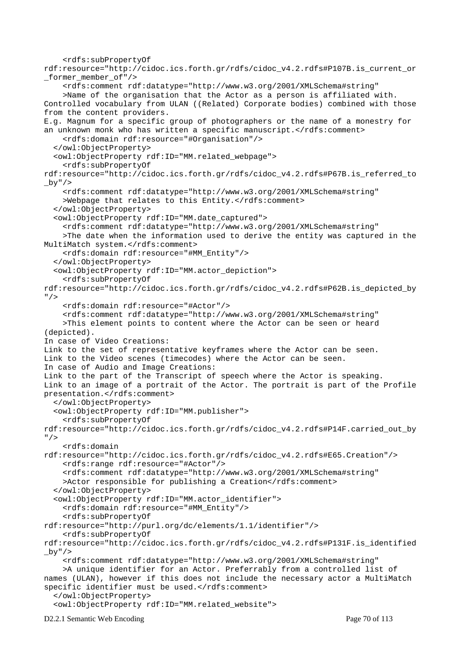```
 <rdfs:subPropertyOf 
rdf:resource="http://cidoc.ics.forth.gr/rdfs/cidoc_v4.2.rdfs#P107B.is_current_or
_former_member_of"/> 
     <rdfs:comment rdf:datatype="http://www.w3.org/2001/XMLSchema#string" 
     >Name of the organisation that the Actor as a person is affiliated with. 
Controlled vocabulary from ULAN ((Related) Corporate bodies) combined with those 
from the content providers. 
E.g. Magnum for a specific group of photographers or the name of a monestry for 
an unknown monk who has written a specific manuscript.</rdfs:comment>
     <rdfs:domain rdf:resource="#Organisation"/> 
   </owl:ObjectProperty> 
   <owl:ObjectProperty rdf:ID="MM.related_webpage"> 
     <rdfs:subPropertyOf 
rdf:resource="http://cidoc.ics.forth.gr/rdfs/cidoc_v4.2.rdfs#P67B.is_referred_to
by'' />
     <rdfs:comment rdf:datatype="http://www.w3.org/2001/XMLSchema#string" 
    >Webpage that relates to this Entity.</rdfs:comment>
   </owl:ObjectProperty> 
   <owl:ObjectProperty rdf:ID="MM.date_captured"> 
     <rdfs:comment rdf:datatype="http://www.w3.org/2001/XMLSchema#string" 
     >The date when the information used to derive the entity was captured in the 
MultiMatch system.</rdfs:comment>
     <rdfs:domain rdf:resource="#MM_Entity"/> 
   </owl:ObjectProperty> 
   <owl:ObjectProperty rdf:ID="MM.actor_depiction"> 
     <rdfs:subPropertyOf 
rdf:resource="http://cidoc.ics.forth.gr/rdfs/cidoc_v4.2.rdfs#P62B.is_depicted_by
" />
     <rdfs:domain rdf:resource="#Actor"/> 
     <rdfs:comment rdf:datatype="http://www.w3.org/2001/XMLSchema#string" 
     >This element points to content where the Actor can be seen or heard 
(depicted). 
In case of Video Creations: 
Link to the set of representative keyframes where the Actor can be seen. 
Link to the Video scenes (timecodes) where the Actor can be seen. 
In case of Audio and Image Creations: 
Link to the part of the Transcript of speech where the Actor is speaking. 
Link to an image of a portrait of the Actor. The portrait is part of the Profile 
presentation.</rdfs:comment>
   </owl:ObjectProperty> 
   <owl:ObjectProperty rdf:ID="MM.publisher"> 
     <rdfs:subPropertyOf 
rdf:resource="http://cidoc.ics.forth.gr/rdfs/cidoc_v4.2.rdfs#P14F.carried_out_by
'' / >
     <rdfs:domain 
rdf:resource="http://cidoc.ics.forth.gr/rdfs/cidoc_v4.2.rdfs#E65.Creation"/> 
     <rdfs:range rdf:resource="#Actor"/> 
     <rdfs:comment rdf:datatype="http://www.w3.org/2001/XMLSchema#string" 
    >Actor responsible for publishing a Creation</rdfs:comment>
   </owl:ObjectProperty> 
   <owl:ObjectProperty rdf:ID="MM.actor_identifier"> 
     <rdfs:domain rdf:resource="#MM_Entity"/> 
     <rdfs:subPropertyOf 
rdf:resource="http://purl.org/dc/elements/1.1/identifier"/> 
     <rdfs:subPropertyOf 
rdf:resource="http://cidoc.ics.forth.gr/rdfs/cidoc_v4.2.rdfs#P131F.is_identified
\frac{1}{2}by"/>
     <rdfs:comment rdf:datatype="http://www.w3.org/2001/XMLSchema#string" 
     >A unique identifier for an Actor. Preferrably from a controlled list of 
names (ULAN), however if this does not include the necessary actor a MultiMatch
specific identifier must be used.</rdfs:comment>
   </owl:ObjectProperty> 
   <owl:ObjectProperty rdf:ID="MM.related_website">
```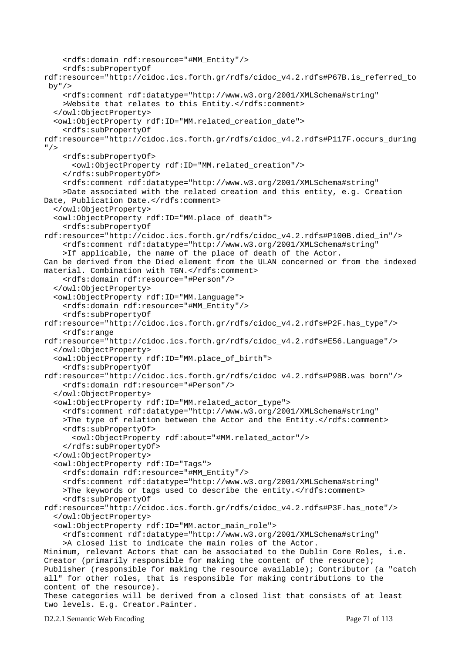```
 <rdfs:domain rdf:resource="#MM_Entity"/> 
     <rdfs:subPropertyOf 
rdf:resource="http://cidoc.ics.forth.gr/rdfs/cidoc_v4.2.rdfs#P67B.is_referred_to
_by"/> 
     <rdfs:comment rdf:datatype="http://www.w3.org/2001/XMLSchema#string" 
    >Website that relates to this Entity.</rdfs:comment>
   </owl:ObjectProperty> 
   <owl:ObjectProperty rdf:ID="MM.related_creation_date"> 
     <rdfs:subPropertyOf 
rdf:resource="http://cidoc.ics.forth.gr/rdfs/cidoc_v4.2.rdfs#P117F.occurs_during
" />
     <rdfs:subPropertyOf> 
       <owl:ObjectProperty rdf:ID="MM.related_creation"/> 
     </rdfs:subPropertyOf> 
     <rdfs:comment rdf:datatype="http://www.w3.org/2001/XMLSchema#string" 
     >Date associated with the related creation and this entity, e.g. Creation 
Date, Publication Date.</rdfs:comment>
   </owl:ObjectProperty> 
   <owl:ObjectProperty rdf:ID="MM.place_of_death"> 
     <rdfs:subPropertyOf 
rdf:resource="http://cidoc.ics.forth.gr/rdfs/cidoc_v4.2.rdfs#P100B.died_in"/> 
     <rdfs:comment rdf:datatype="http://www.w3.org/2001/XMLSchema#string" 
     >If applicable, the name of the place of death of the Actor. 
Can be derived from the Died element from the ULAN concerned or from the indexed 
material. Combination with TGN.</rdfs:comment>
     <rdfs:domain rdf:resource="#Person"/> 
   </owl:ObjectProperty> 
   <owl:ObjectProperty rdf:ID="MM.language"> 
     <rdfs:domain rdf:resource="#MM_Entity"/> 
     <rdfs:subPropertyOf 
rdf:resource="http://cidoc.ics.forth.gr/rdfs/cidoc_v4.2.rdfs#P2F.has_type"/> 
     <rdfs:range 
rdf:resource="http://cidoc.ics.forth.gr/rdfs/cidoc_v4.2.rdfs#E56.Language"/> 
   </owl:ObjectProperty> 
   <owl:ObjectProperty rdf:ID="MM.place_of_birth"> 
     <rdfs:subPropertyOf 
rdf:resource="http://cidoc.ics.forth.gr/rdfs/cidoc_v4.2.rdfs#P98B.was_born"/> 
     <rdfs:domain rdf:resource="#Person"/> 
   </owl:ObjectProperty> 
   <owl:ObjectProperty rdf:ID="MM.related_actor_type"> 
     <rdfs:comment rdf:datatype="http://www.w3.org/2001/XMLSchema#string" 
    >The type of relation between the Actor and the Entity.</rdfs:comment>
     <rdfs:subPropertyOf> 
       <owl:ObjectProperty rdf:about="#MM.related_actor"/> 
     </rdfs:subPropertyOf> 
   </owl:ObjectProperty> 
   <owl:ObjectProperty rdf:ID="Tags"> 
     <rdfs:domain rdf:resource="#MM_Entity"/> 
     <rdfs:comment rdf:datatype="http://www.w3.org/2001/XMLSchema#string" 
    >The keywords or tags used to describe the entity. </rdfs: comment>
     <rdfs:subPropertyOf 
rdf:resource="http://cidoc.ics.forth.gr/rdfs/cidoc_v4.2.rdfs#P3F.has_note"/> 
   </owl:ObjectProperty> 
   <owl:ObjectProperty rdf:ID="MM.actor_main_role"> 
     <rdfs:comment rdf:datatype="http://www.w3.org/2001/XMLSchema#string" 
     >A closed list to indicate the main roles of the Actor. 
Minimum, relevant Actors that can be associated to the Dublin Core Roles, i.e. 
Creator (primarily responsible for making the content of the resource); 
Publisher (responsible for making the resource available); Contributor (a "catch 
all" for other roles, that is responsible for making contributions to the 
content of the resource). 
These categories will be derived from a closed list that consists of at least 
two levels. E.g. Creator.Painter.
```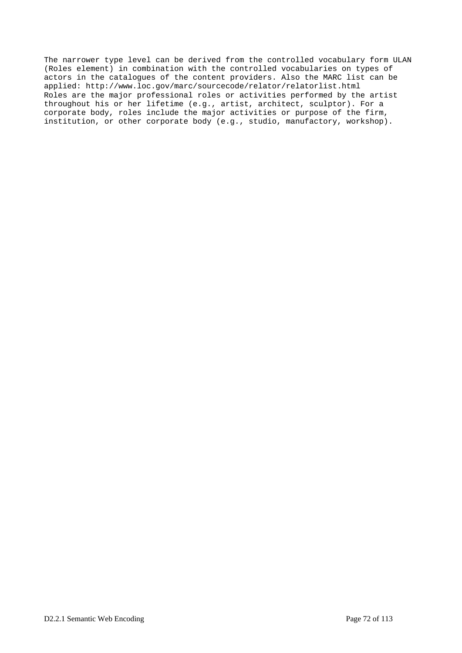The narrower type level can be derived from the controlled vocabulary form ULAN (Roles element) in combination with the controlled vocabularies on types of actors in the catalogues of the content providers. Also the MARC list can be applied: http://www.loc.gov/marc/sourcecode/relator/relatorlist.html Roles are the major professional roles or activities performed by the artist throughout his or her lifetime (e.g., artist, architect, sculptor). For a corporate body, roles include the major activities or purpose of the firm, institution, or other corporate body (e.g., studio, manufactory, workshop).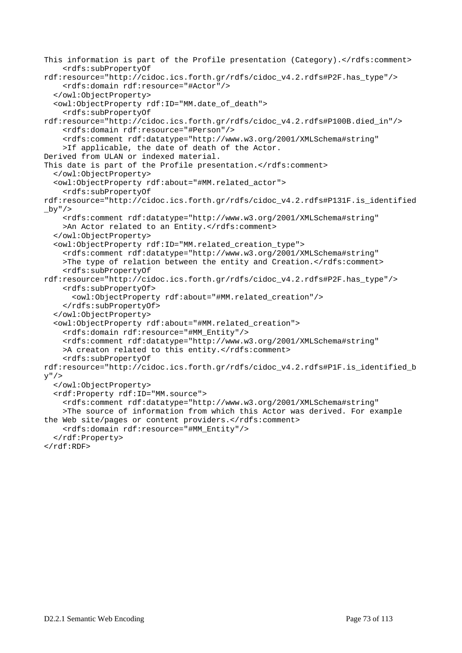```
This information is part of the Profile presentation (Category).</rdfs:comment>
     <rdfs:subPropertyOf 
rdf:resource="http://cidoc.ics.forth.gr/rdfs/cidoc_v4.2.rdfs#P2F.has_type"/> 
     <rdfs:domain rdf:resource="#Actor"/> 
   </owl:ObjectProperty> 
   <owl:ObjectProperty rdf:ID="MM.date_of_death"> 
     <rdfs:subPropertyOf 
rdf:resource="http://cidoc.ics.forth.gr/rdfs/cidoc_v4.2.rdfs#P100B.died_in"/> 
     <rdfs:domain rdf:resource="#Person"/> 
     <rdfs:comment rdf:datatype="http://www.w3.org/2001/XMLSchema#string" 
     >If applicable, the date of death of the Actor. 
Derived from ULAN or indexed material. 
This date is part of the Profile presentation.</rdfs:comment>
   </owl:ObjectProperty> 
   <owl:ObjectProperty rdf:about="#MM.related_actor"> 
     <rdfs:subPropertyOf 
rdf:resource="http://cidoc.ics.forth.gr/rdfs/cidoc_v4.2.rdfs#P131F.is_identified
by'' />
     <rdfs:comment rdf:datatype="http://www.w3.org/2001/XMLSchema#string" 
    >An Actor related to an Entity.</rdfs:comment>
   </owl:ObjectProperty> 
   <owl:ObjectProperty rdf:ID="MM.related_creation_type"> 
     <rdfs:comment rdf:datatype="http://www.w3.org/2001/XMLSchema#string" 
    >The type of relation between the entity and Creation.</rdfs:comment>
     <rdfs:subPropertyOf 
rdf:resource="http://cidoc.ics.forth.gr/rdfs/cidoc_v4.2.rdfs#P2F.has_type"/> 
     <rdfs:subPropertyOf> 
       <owl:ObjectProperty rdf:about="#MM.related_creation"/> 
     </rdfs:subPropertyOf> 
   </owl:ObjectProperty> 
   <owl:ObjectProperty rdf:about="#MM.related_creation"> 
     <rdfs:domain rdf:resource="#MM_Entity"/> 
     <rdfs:comment rdf:datatype="http://www.w3.org/2001/XMLSchema#string" 
    >A creaton related to this entity.</rdfs:comment>
     <rdfs:subPropertyOf 
rdf:resource="http://cidoc.ics.forth.gr/rdfs/cidoc_v4.2.rdfs#P1F.is_identified_b
V'' />
   </owl:ObjectProperty> 
   <rdf:Property rdf:ID="MM.source"> 
     <rdfs:comment rdf:datatype="http://www.w3.org/2001/XMLSchema#string" 
     >The source of information from which this Actor was derived. For example 
the Web site/pages or content providers.</rdfs:comment>
     <rdfs:domain rdf:resource="#MM_Entity"/> 
   </rdf:Property> 
\langle / \texttt{rdf:RDF>}
```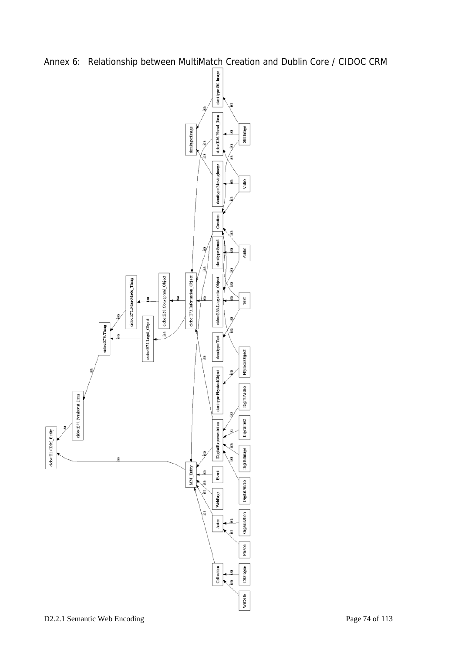

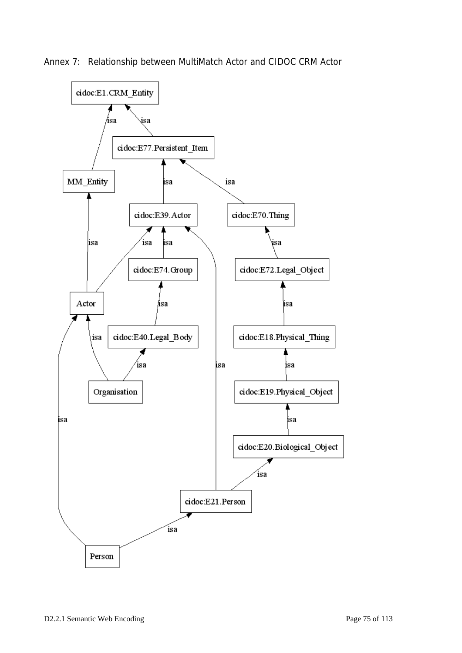

Annex 7: Relationship between MultiMatch Actor and CIDOC CRM Actor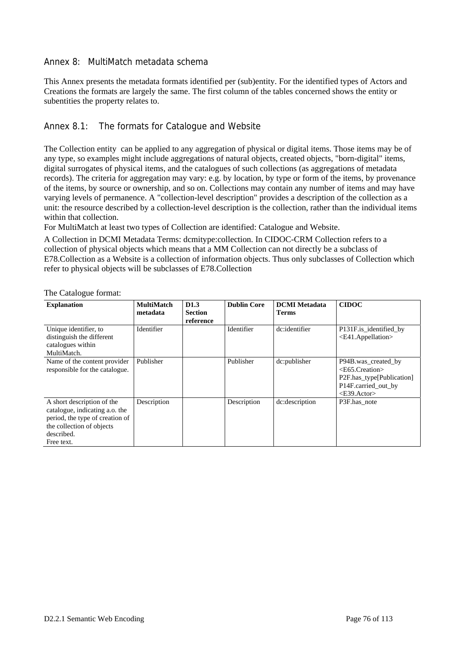#### Annex 8: MultiMatch metadata schema

This Annex presents the metadata formats identified per (sub)entity. For the identified types of Actors and Creations the formats are largely the same. The first column of the tables concerned shows the entity or subentities the property relates to.

#### Annex 8.1: The formats for Catalogue and Website

The Collection entity can be applied to any aggregation of physical or digital items. Those items may be of any type, so examples might include aggregations of natural objects, created objects, "born-digital" items, digital surrogates of physical items, and the catalogues of such collections (as aggregations of metadata records). The criteria for aggregation may vary: e.g. by location, by type or form of the items, by provenance of the items, by source or ownership, and so on. Collections may contain any number of items and may have varying levels of permanence. A "collection-level description" provides a description of the collection as a unit: the resource described by a collection-level description is the collection, rather than the individual items within that collection.

For MultiMatch at least two types of Collection are identified: Catalogue and Website.

A Collection in DCMI Metadata Terms: dcmitype:collection. In CIDOC-CRM Collection refers to a collection of physical objects which means that a MM Collection can not directly be a subclass of E78.Collection as a Website is a collection of information objects. Thus only subclasses of Collection which refer to physical objects will be subclasses of E78.Collection

| <b>Explanation</b>                                                                                                                                       | <b>MultiMatch</b><br>metadata | D <sub>1.3</sub><br><b>Section</b><br>reference | <b>Dublin Core</b> | <b>DCMI</b> Metadata<br><b>Terms</b> | <b>CIDOC</b>                                                                                                            |
|----------------------------------------------------------------------------------------------------------------------------------------------------------|-------------------------------|-------------------------------------------------|--------------------|--------------------------------------|-------------------------------------------------------------------------------------------------------------------------|
| Unique identifier, to<br>distinguish the different<br>catalogues within<br>MultiMatch.                                                                   | Identifier                    |                                                 | Identifier         | dc:identifier                        | P131F.is_identified_by<br><e41.appellation></e41.appellation>                                                           |
| Name of the content provider<br>responsible for the catalogue.                                                                                           | Publisher                     |                                                 | Publisher          | dc:publisher                         | P94B was_created_by<br>$<$ E65.Creation $>$<br>P2F.has_type[Publication]<br>P14F.carried_out_by<br>$\langle$ E39.Actor> |
| A short description of the<br>catalogue, indicating a.o. the<br>period, the type of creation of<br>the collection of objects<br>described.<br>Free text. | Description                   |                                                 | Description        | dc:description                       | P3F.has_note                                                                                                            |

The Catalogue format: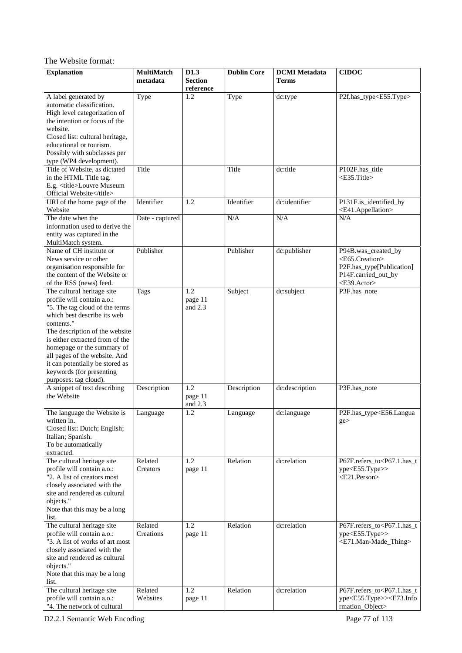# The Website format:

| <b>Explanation</b>                                            | <b>MultiMatch</b> | D1.3                              | <b>Dublin Core</b> | <b>DCMI</b> Metadata | <b>CIDOC</b>                                               |
|---------------------------------------------------------------|-------------------|-----------------------------------|--------------------|----------------------|------------------------------------------------------------|
|                                                               | metadata          | <b>Section</b><br>$\rm reference$ |                    | <b>Terms</b>         |                                                            |
| A label generated by                                          | Type              | 1.2                               | Type               | dc:type              | P2f.has_type <e55.type></e55.type>                         |
| automatic classification.                                     |                   |                                   |                    |                      |                                                            |
| High level categorization of                                  |                   |                                   |                    |                      |                                                            |
| the intention or focus of the                                 |                   |                                   |                    |                      |                                                            |
| website.<br>Closed list: cultural heritage,                   |                   |                                   |                    |                      |                                                            |
| educational or tourism.                                       |                   |                                   |                    |                      |                                                            |
| Possibly with subclasses per                                  |                   |                                   |                    |                      |                                                            |
| type (WP4 development).                                       |                   |                                   |                    |                      |                                                            |
| Title of Website, as dictated                                 | Title             |                                   | Title              | dc:title             | P102F.has_title                                            |
| in the HTML Title tag.                                        |                   |                                   |                    |                      | $<$ E35.Title>                                             |
| E.g. <title>Louvre Museum</title>                             |                   |                                   |                    |                      |                                                            |
| Official Website                                              |                   |                                   |                    |                      |                                                            |
| URI of the home page of the                                   | Identifier        | 1.2                               | Identifier         | dc:identifier        | P131F.is_identified_by                                     |
| Website<br>The date when the                                  |                   |                                   |                    | N/A                  | <e41.appellation></e41.appellation>                        |
| information used to derive the                                | Date - captured   |                                   | N/A                |                      | N/A                                                        |
| entity was captured in the                                    |                   |                                   |                    |                      |                                                            |
| MultiMatch system.                                            |                   |                                   |                    |                      |                                                            |
| Name of CH institute or                                       | Publisher         |                                   | Publisher          | dc:publisher         | P94B.was_created_by                                        |
| News service or other                                         |                   |                                   |                    |                      | <e65.creation></e65.creation>                              |
| organisation responsible for                                  |                   |                                   |                    |                      | P2F.has_type[Publication]                                  |
| the content of the Website or                                 |                   |                                   |                    |                      | P14F.carried_out_by                                        |
| of the RSS (news) feed.                                       |                   |                                   |                    |                      | <e39.actor></e39.actor>                                    |
| The cultural heritage site                                    | Tags              | 1.2                               | Subject            | dc:subject           | P3F.has_note                                               |
| profile will contain a.o.:                                    |                   | page 11                           |                    |                      |                                                            |
| "5. The tag cloud of the terms<br>which best describe its web |                   | and $2.3$                         |                    |                      |                                                            |
| contents."                                                    |                   |                                   |                    |                      |                                                            |
| The description of the website                                |                   |                                   |                    |                      |                                                            |
| is either extracted from of the                               |                   |                                   |                    |                      |                                                            |
| homepage or the summary of                                    |                   |                                   |                    |                      |                                                            |
| all pages of the website. And                                 |                   |                                   |                    |                      |                                                            |
| it can potentially be stored as                               |                   |                                   |                    |                      |                                                            |
| keywords (for presenting                                      |                   |                                   |                    |                      |                                                            |
| purposes: tag cloud).                                         |                   |                                   |                    |                      |                                                            |
| A snippet of text describing                                  | Description       | 1.2                               | Description        | dc:description       | P3F.has_note                                               |
| the Website                                                   |                   | page 11<br>and $2.3$              |                    |                      |                                                            |
| The language the Website is                                   | Language          | 1.2                               | Language           | dc:language          | P2F.has_type <e56.langua< td=""></e56.langua<>             |
| written in.                                                   |                   |                                   |                    |                      | ge >                                                       |
| Closed list: Dutch; English;                                  |                   |                                   |                    |                      |                                                            |
| Italian; Spanish.                                             |                   |                                   |                    |                      |                                                            |
| To be automatically                                           |                   |                                   |                    |                      |                                                            |
| extracted.                                                    |                   |                                   |                    |                      |                                                            |
| The cultural heritage site                                    | Related           | 1.2                               | Relation           | dc:relation          | P67F.refers_to <p67.1.has_t< td=""></p67.1.has_t<>         |
| profile will contain a.o.:                                    | Creators          | page 11                           |                    |                      | ype <e55.type>&gt;</e55.type>                              |
| "2. A list of creators most                                   |                   |                                   |                    |                      | <e21.person></e21.person>                                  |
| closely associated with the<br>site and rendered as cultural  |                   |                                   |                    |                      |                                                            |
| objects."                                                     |                   |                                   |                    |                      |                                                            |
| Note that this may be a long                                  |                   |                                   |                    |                      |                                                            |
| list.                                                         |                   |                                   |                    |                      |                                                            |
| The cultural heritage site                                    | Related           | 1.2                               | Relation           | dc:relation          | P67F.refers_to <p67.1.has_t< td=""></p67.1.has_t<>         |
| profile will contain a.o.:                                    | Creations         | page 11                           |                    |                      | $ype < E55.$ Type $>>$                                     |
| "3. A list of works of art most                               |                   |                                   |                    |                      | <e71.man-made_thing></e71.man-made_thing>                  |
| closely associated with the                                   |                   |                                   |                    |                      |                                                            |
| site and rendered as cultural                                 |                   |                                   |                    |                      |                                                            |
| objects."                                                     |                   |                                   |                    |                      |                                                            |
| Note that this may be a long<br>list.                         |                   |                                   |                    |                      |                                                            |
| The cultural heritage site                                    | Related           | 1.2                               | Relation           | dc:relation          | P67F.refers_to <p67.1.has_t< td=""></p67.1.has_t<>         |
| profile will contain a.o.:                                    | Websites          | page 11                           |                    |                      | ype <e55.type>&gt;<e73.info< td=""></e73.info<></e55.type> |
| "4. The network of cultural                                   |                   |                                   |                    |                      | rmation_Object>                                            |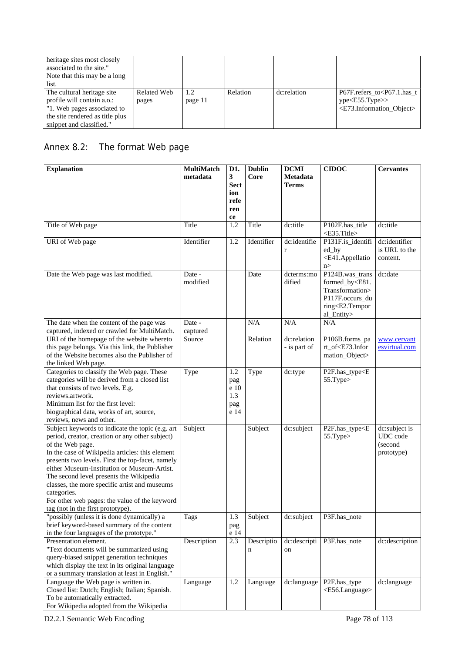| heritage sites most closely<br>associated to the site."<br>Note that this may be a long<br>list. |             |         |          |             |                                                    |
|--------------------------------------------------------------------------------------------------|-------------|---------|----------|-------------|----------------------------------------------------|
| The cultural heritage site                                                                       | Related Web | 1.2     | Relation | dc:relation | P67F.refers to <p67.1.has t<="" td=""></p67.1.has> |
| profile will contain a.o.:                                                                       | pages       | page 11 |          |             | ype < E55.Type>                                    |
| "1. Web pages associated to                                                                      |             |         |          |             | <e73.information object=""></e73.information>      |
| the site rendered as title plus                                                                  |             |         |          |             |                                                    |
| snippet and classified."                                                                         |             |         |          |             |                                                    |

# Annex 8.2: The format Web page

| <b>Explanation</b>                                                                                                                                                                                                                                                                                                                                                                                                                                                             | MultiMatch<br>metadata | D1.<br>3                                 | <b>Dublin</b><br>Core | <b>DCMI</b><br>Metadata     | <b>CIDOC</b>                                                                                                                              | <b>Cervantes</b>                                   |
|--------------------------------------------------------------------------------------------------------------------------------------------------------------------------------------------------------------------------------------------------------------------------------------------------------------------------------------------------------------------------------------------------------------------------------------------------------------------------------|------------------------|------------------------------------------|-----------------------|-----------------------------|-------------------------------------------------------------------------------------------------------------------------------------------|----------------------------------------------------|
|                                                                                                                                                                                                                                                                                                                                                                                                                                                                                |                        | <b>Sect</b><br>ion<br>refe<br>ren<br>ce  |                       | <b>Terms</b>                |                                                                                                                                           |                                                    |
| Title of Web page                                                                                                                                                                                                                                                                                                                                                                                                                                                              | Title                  | 1.2                                      | Title                 | dc:title                    | P102F.has_title<br><e35.title></e35.title>                                                                                                | dc:title                                           |
| URI of Web page                                                                                                                                                                                                                                                                                                                                                                                                                                                                | Identifier             | 1.2                                      | Identifier            | dc:identifie<br>$\mathbf r$ | P131F.is_identifi<br>ed_by<br><e41.appellatio<br>n&gt;</e41.appellatio<br>                                                                | dc:identifier<br>is URL to the<br>content.         |
| Date the Web page was last modified.                                                                                                                                                                                                                                                                                                                                                                                                                                           | Date -<br>modified     |                                          | Date                  | dcterms:mo<br>dified        | P124B.was_trans<br>formed_by <e81.<br>Transformation&gt;<br/>P117F.occurs_du<br/>ring<e2.tempor<br>al_Entity&gt;</e2.tempor<br></e81.<br> | dc:date                                            |
| The date when the content of the page was<br>captured, indexed or crawled for MultiMatch.                                                                                                                                                                                                                                                                                                                                                                                      | Date -<br>captured     |                                          | N/A                   | N/A                         | N/A                                                                                                                                       |                                                    |
| URI of the homepage of the website whereto<br>this page belongs. Via this link, the Publisher<br>of the Website becomes also the Publisher of<br>the linked Web page.                                                                                                                                                                                                                                                                                                          | Source                 |                                          | Relation              | dc:relation<br>- is part of | P106B.forms_pa<br>rt_of <e73.infor<br>mation_Object&gt;</e73.infor<br>                                                                    | www.cervant<br>esvirtual.com                       |
| Categories to classify the Web page. These<br>categories will be derived from a closed list<br>that consists of two levels. E.g.<br>reviews.artwork.<br>Minimum list for the first level:<br>biographical data, works of art, source,<br>reviews, news and other.                                                                                                                                                                                                              | Type                   | 1.2<br>pag<br>e 10<br>1.3<br>pag<br>e 14 | Type                  | dc:type                     | P2F.has_type <e<br>55.Type&gt;</e<br>                                                                                                     |                                                    |
| Subject keywords to indicate the topic (e.g. art<br>period, creator, creation or any other subject)<br>of the Web page.<br>In the case of Wikipedia articles: this element<br>presents two levels. First the top-facet, namely<br>either Museum-Institution or Museum-Artist.<br>The second level presents the Wikipedia<br>classes, the more specific artist and museums<br>categories.<br>For other web pages: the value of the keyword<br>tag (not in the first prototype). | Subject                |                                          | Subject               | dc:subject                  | P2F.has_type <e<br>55.Type&gt;</e<br>                                                                                                     | dc:subject is<br>UDC code<br>(second<br>prototype) |
| "possibly (unless it is done dynamically) a<br>brief keyword-based summary of the content<br>in the four languages of the prototype."                                                                                                                                                                                                                                                                                                                                          | Tags                   | 1.3<br>pag<br>e 14                       | Subject               | dc:subject                  | P3F.has_note                                                                                                                              |                                                    |
| Presentation element.<br>"Text documents will be summarized using<br>query-biased snippet generation techniques<br>which display the text in its original language<br>or a summary translation at least in English."                                                                                                                                                                                                                                                           | Description            | 2.3                                      | Descriptio<br>n       | dc:descripti<br>on          | P3F.has_note                                                                                                                              | dc:description                                     |
| Language the Web page is written in.<br>Closed list: Dutch; English; Italian; Spanish.<br>To be automatically extracted.<br>For Wikipedia adopted from the Wikipedia                                                                                                                                                                                                                                                                                                           | Language               | 1.2                                      | Language              | dc:language                 | P2F.has_type<br><e56.language></e56.language>                                                                                             | dc:language                                        |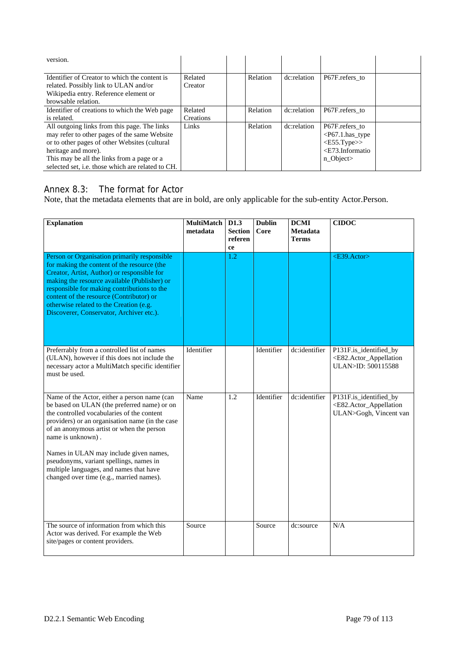| version.                                                                                                                                                                                                                                                                |                      |          |             |                                                                                                             |  |
|-------------------------------------------------------------------------------------------------------------------------------------------------------------------------------------------------------------------------------------------------------------------------|----------------------|----------|-------------|-------------------------------------------------------------------------------------------------------------|--|
| Identifier of Creator to which the content is<br>related. Possibly link to ULAN and/or<br>Wikipedia entry. Reference element or<br>browsable relation.                                                                                                                  | Related<br>Creator   | Relation | dc:relation | P67F.refers to                                                                                              |  |
| Identifier of creations to which the Web page<br>is related.                                                                                                                                                                                                            | Related<br>Creations | Relation | dc:relation | P67F.refers to                                                                                              |  |
| All outgoing links from this page. The links<br>may refer to other pages of the same Website<br>or to other pages of other Websites (cultural<br>heritage and more).<br>This may be all the links from a page or a<br>selected set, i.e. those which are related to CH. | Links                | Relation | dc:relation | P67F.refers_to<br>$\langle P67.1.$ has_type<br>$\langle$ E55.Type>><br>$\leq$ E73.Informatio<br>$n\_Object$ |  |

# Annex 8.3: The format for Actor

Note, that the metadata elements that are in bold, are only applicable for the sub-entity Actor.Person.

| <b>Explanation</b>                                                                                                                                                                                                                                                                                                                                                                                                                         | <b>MultiMatch</b><br>metadata | D1.3<br><b>Section</b><br>referen<br>ce | <b>Dublin</b><br>Core | <b>DCMI</b><br>Metadata<br><b>Terms</b> | <b>CIDOC</b>                                                                                             |
|--------------------------------------------------------------------------------------------------------------------------------------------------------------------------------------------------------------------------------------------------------------------------------------------------------------------------------------------------------------------------------------------------------------------------------------------|-------------------------------|-----------------------------------------|-----------------------|-----------------------------------------|----------------------------------------------------------------------------------------------------------|
| Person or Organisation primarily responsible<br>for making the content of the resource (the<br>Creator, Artist, Author) or responsible for<br>making the resource available (Publisher) or<br>responsible for making contributions to the<br>content of the resource (Contributor) or<br>otherwise related to the Creation (e.g.<br>Discoverer, Conservator, Archiver etc.).                                                               |                               | 1.2                                     |                       |                                         | $<$ E39.Actor>                                                                                           |
| Preferrably from a controlled list of names<br>(ULAN), however if this does not include the<br>necessary actor a MultiMatch specific identifier<br>must be used.                                                                                                                                                                                                                                                                           | Identifier                    |                                         | Identifier            | dc:identifier                           | P131F.is_identified_by<br><e82.actor_appellation<br>ULAN&gt;ID: 500115588</e82.actor_appellation<br>     |
| Name of the Actor, either a person name (can<br>be based on ULAN (the preferred name) or on<br>the controlled vocabularies of the content<br>providers) or an organisation name (in the case<br>of an anonymous artist or when the person<br>name is unknown).<br>Names in ULAN may include given names,<br>pseudonyms, variant spellings, names in<br>multiple languages, and names that have<br>changed over time (e.g., married names). | Name                          | $\overline{1.2}$                        | Identifier            | dc:identifier                           | P131F.is_identified_by<br><e82.actor_appellation<br>ULAN&gt;Gogh, Vincent van</e82.actor_appellation<br> |
| The source of information from which this<br>Actor was derived. For example the Web<br>site/pages or content providers.                                                                                                                                                                                                                                                                                                                    | Source                        |                                         | Source                | dc:source                               | N/A                                                                                                      |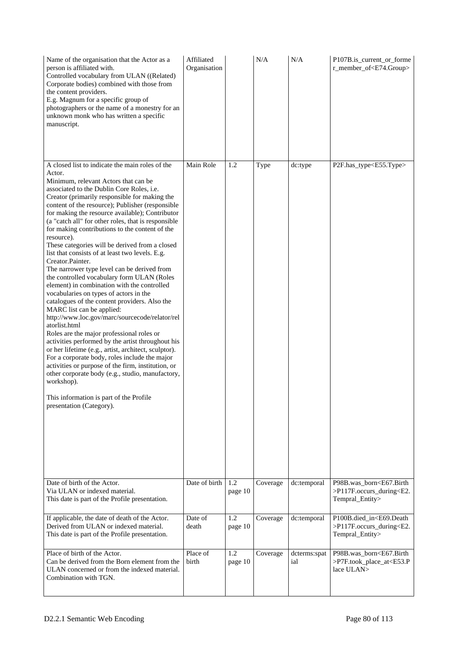| Name of the organisation that the Actor as a<br>person is affiliated with.<br>Controlled vocabulary from ULAN ((Related)<br>Corporate bodies) combined with those from<br>the content providers.<br>E.g. Magnum for a specific group of<br>photographers or the name of a monestry for an<br>unknown monk who has written a specific<br>manuscript.                                                                                                                                                                                                                                                                                                                                                                                                                                                                                                                                                                                                                                                                                                                                                                                                                                                                                                                                                     | Affiliated<br>Organisation |                | N/A      | N/A                 | P107B.is_current_or_forme<br>r_member_of <e74.group></e74.group>                                      |
|---------------------------------------------------------------------------------------------------------------------------------------------------------------------------------------------------------------------------------------------------------------------------------------------------------------------------------------------------------------------------------------------------------------------------------------------------------------------------------------------------------------------------------------------------------------------------------------------------------------------------------------------------------------------------------------------------------------------------------------------------------------------------------------------------------------------------------------------------------------------------------------------------------------------------------------------------------------------------------------------------------------------------------------------------------------------------------------------------------------------------------------------------------------------------------------------------------------------------------------------------------------------------------------------------------|----------------------------|----------------|----------|---------------------|-------------------------------------------------------------------------------------------------------|
| A closed list to indicate the main roles of the<br>Actor.<br>Minimum, relevant Actors that can be<br>associated to the Dublin Core Roles, i.e.<br>Creator (primarily responsible for making the<br>content of the resource); Publisher (responsible<br>for making the resource available); Contributor<br>(a "catch all" for other roles, that is responsible<br>for making contributions to the content of the<br>resource).<br>These categories will be derived from a closed<br>list that consists of at least two levels. E.g.<br>Creator.Painter.<br>The narrower type level can be derived from<br>the controlled vocabulary form ULAN (Roles<br>element) in combination with the controlled<br>vocabularies on types of actors in the<br>catalogues of the content providers. Also the<br>MARC list can be applied:<br>http://www.loc.gov/marc/sourcecode/relator/rel<br>atorlist.html<br>Roles are the major professional roles or<br>activities performed by the artist throughout his<br>or her lifetime (e.g., artist, architect, sculptor).<br>For a corporate body, roles include the major<br>activities or purpose of the firm, institution, or<br>other corporate body (e.g., studio, manufactory,<br>workshop).<br>This information is part of the Profile<br>presentation (Category). | Main Role                  | 1.2            | Type     | dc:type             | P2F.has_type <e55.type></e55.type>                                                                    |
| Date of birth of the Actor.<br>Via ULAN or indexed material.<br>This date is part of the Profile presentation.                                                                                                                                                                                                                                                                                                                                                                                                                                                                                                                                                                                                                                                                                                                                                                                                                                                                                                                                                                                                                                                                                                                                                                                          | Date of birth              | 1.2<br>page 10 | Coverage | dc:temporal         | P98B.was_born <e67.birth<br>&gt;P117F.occurs_during<e2.<br>Tempral_Entity&gt;</e2.<br></e67.birth<br> |
| If applicable, the date of death of the Actor.<br>Derived from ULAN or indexed material.<br>This date is part of the Profile presentation.                                                                                                                                                                                                                                                                                                                                                                                                                                                                                                                                                                                                                                                                                                                                                                                                                                                                                                                                                                                                                                                                                                                                                              | Date of<br>death           | 1.2<br>page 10 | Coverage | dc:temporal         | P100B.died_in <e69.death<br>&gt;P117F.occurs_during<e2.<br>Tempral_Entity&gt;</e2.<br></e69.death<br> |
| Place of birth of the Actor.<br>Can be derived from the Born element from the<br>ULAN concerned or from the indexed material.<br>Combination with TGN.                                                                                                                                                                                                                                                                                                                                                                                                                                                                                                                                                                                                                                                                                                                                                                                                                                                                                                                                                                                                                                                                                                                                                  | Place of<br>birth          | 1.2<br>page 10 | Coverage | dcterms:spat<br>ial | P98B.was_born <e67.birth<br>&gt;P7F.took_place_at<e53.p<br>lace ULAN&gt;</e53.p<br></e67.birth<br>    |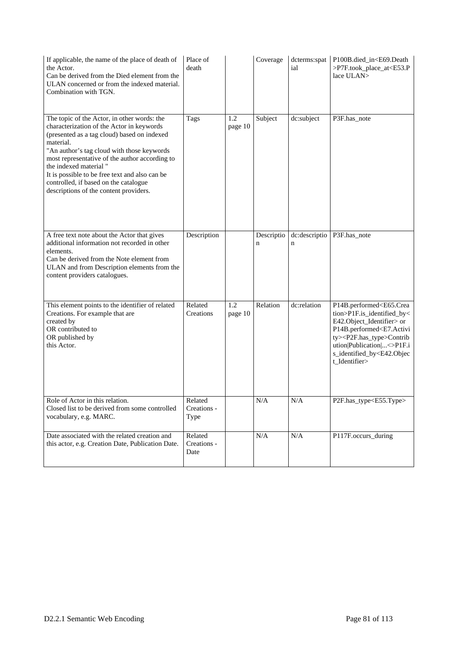| If applicable, the name of the place of death of<br>the Actor.<br>Can be derived from the Died element from the<br>ULAN concerned or from the indexed material.<br>Combination with TGN.                                                                                                                                                                                                                            | Place of<br>death              |                | Coverage        | dcterms:spat<br>ial | P100B.died_in <e69.death<br>&gt;P7F.took_place_at<e53.p<br>lace ULAN&gt;</e53.p<br></e69.death<br>                                                                                                                                                                                                         |
|---------------------------------------------------------------------------------------------------------------------------------------------------------------------------------------------------------------------------------------------------------------------------------------------------------------------------------------------------------------------------------------------------------------------|--------------------------------|----------------|-----------------|---------------------|------------------------------------------------------------------------------------------------------------------------------------------------------------------------------------------------------------------------------------------------------------------------------------------------------------|
| The topic of the Actor, in other words: the<br>characterization of the Actor in keywords<br>(presented as a tag cloud) based on indexed<br>material.<br>"An author's tag cloud with those keywords<br>most representative of the author according to<br>the indexed material "<br>It is possible to be free text and also can be<br>controlled, if based on the catalogue<br>descriptions of the content providers. | Tags                           | 1.2<br>page 10 | Subject         | dc:subject          | P3F.has_note                                                                                                                                                                                                                                                                                               |
| A free text note about the Actor that gives<br>additional information not recorded in other<br>elements.<br>Can be derived from the Note element from<br>ULAN and from Description elements from the<br>content providers catalogues.                                                                                                                                                                               | Description                    |                | Descriptio<br>n | dc:descriptio<br>n  | P3F.has_note                                                                                                                                                                                                                                                                                               |
| This element points to the identifier of related<br>Creations. For example that are<br>created by<br>OR contributed to<br>OR published by<br>this Actor.                                                                                                                                                                                                                                                            | Related<br>Creations           | 1.2<br>page 10 | Relation        | dc:relation         | P14B.performed <e65.crea<br>tion&gt;P1F.is_identified_by&lt;<br/>E42.Object_Identifier&gt; or<br/>P14B.performed<e7.activi<br>ty&gt;<p2f.has_type>Contrib<br/>ution Publication &lt;&gt;P1F.i<br/>s_identified_by<e42.objec<br>t_Identifier&gt;</e42.objec<br></p2f.has_type></e7.activi<br></e65.crea<br> |
| Role of Actor in this relation<br>Closed list to be derived from some controlled<br>vocabulary, e.g. MARC.                                                                                                                                                                                                                                                                                                          | Related<br>Creations -<br>Type |                | $\rm N/A$       | $\rm N/A$           | P2F.has_type <e55.type></e55.type>                                                                                                                                                                                                                                                                         |
| Date associated with the related creation and<br>this actor, e.g. Creation Date, Publication Date.                                                                                                                                                                                                                                                                                                                  | Related<br>Creations -<br>Date |                | N/A             | N/A                 | P117F.occurs_during                                                                                                                                                                                                                                                                                        |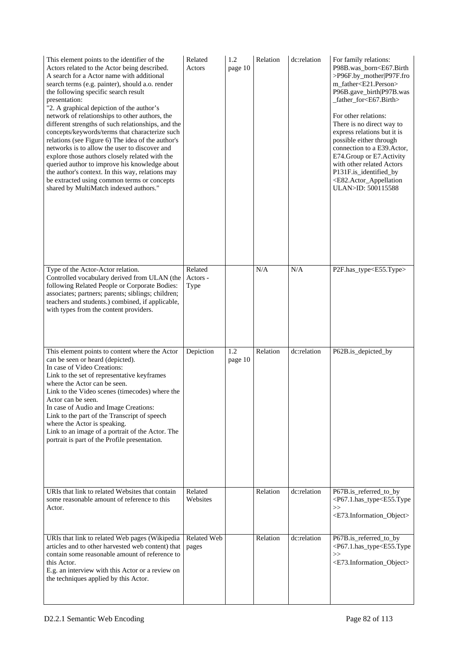| This element points to the identifier of the<br>Actors related to the Actor being described.<br>A search for a Actor name with additional<br>search terms (e.g. painter), should a.o. render<br>the following specific search result<br>presentation:<br>"2. A graphical depiction of the author's<br>network of relationships to other authors, the<br>different strengths of such relationships, and the<br>concepts/keywords/terms that characterize such<br>relations (see Figure 6) The idea of the author's<br>networks is to allow the user to discover and<br>explore those authors closely related with the<br>queried author to improve his knowledge about<br>the author's context. In this way, relations may<br>be extracted using common terms or concepts<br>shared by MultiMatch indexed authors." | Related<br>Actors           | 1.2<br>page 10 | Relation | dc:relation | For family relations:<br>P98B.was_born <e67.birth<br>&gt;P96F.by_mother P97F.fro<br/>m_father<e21.person><br/>P96B.gave_birth P97B.was<br/>_father_for<e67.birth><br/>For other relations:<br/>There is no direct way to<br/>express relations but it is<br/>possible either through<br/>connection to a E39.Actor,<br/>E74.Group or E7.Activity<br/>with other related Actors<br/>P131F.is_identified_by<br/><e82.actor_appellation<br>ULAN&gt;ID: 500115588</e82.actor_appellation<br></e67.birth></e21.person></e67.birth<br> |
|--------------------------------------------------------------------------------------------------------------------------------------------------------------------------------------------------------------------------------------------------------------------------------------------------------------------------------------------------------------------------------------------------------------------------------------------------------------------------------------------------------------------------------------------------------------------------------------------------------------------------------------------------------------------------------------------------------------------------------------------------------------------------------------------------------------------|-----------------------------|----------------|----------|-------------|----------------------------------------------------------------------------------------------------------------------------------------------------------------------------------------------------------------------------------------------------------------------------------------------------------------------------------------------------------------------------------------------------------------------------------------------------------------------------------------------------------------------------------|
| Type of the Actor-Actor relation.<br>Controlled vocabulary derived from ULAN (the<br>following Related People or Corporate Bodies:<br>associates; partners; parents; siblings; children;<br>teachers and students.) combined, if applicable,<br>with types from the content providers.                                                                                                                                                                                                                                                                                                                                                                                                                                                                                                                             | Related<br>Actors -<br>Type |                | N/A      | N/A         | P2F.has_type <e55.type></e55.type>                                                                                                                                                                                                                                                                                                                                                                                                                                                                                               |
| This element points to content where the Actor<br>can be seen or heard (depicted).<br>In case of Video Creations:<br>Link to the set of representative keyframes<br>where the Actor can be seen.<br>Link to the Video scenes (timecodes) where the<br>Actor can be seen.<br>In case of Audio and Image Creations:<br>Link to the part of the Transcript of speech<br>where the Actor is speaking.<br>Link to an image of a portrait of the Actor. The<br>portrait is part of the Profile presentation.                                                                                                                                                                                                                                                                                                             | Depiction                   | 1.2<br>page 10 | Relation | dc:relation | P62B.is_depicted_by                                                                                                                                                                                                                                                                                                                                                                                                                                                                                                              |
| URIs that link to related Websites that contain<br>some reasonable amount of reference to this<br>Actor.                                                                                                                                                                                                                                                                                                                                                                                                                                                                                                                                                                                                                                                                                                           | Related<br>Websites         |                | Relation | dc:relation | P67B.is_referred_to_by<br><p67.1.has_type<e55.type<br>&gt;&gt;<br/><e73.information_object></e73.information_object></p67.1.has_type<e55.type<br>                                                                                                                                                                                                                                                                                                                                                                                |
| URIs that link to related Web pages (Wikipedia<br>articles and to other harvested web content) that<br>contain some reasonable amount of reference to<br>this Actor.<br>E.g. an interview with this Actor or a review on<br>the techniques applied by this Actor.                                                                                                                                                                                                                                                                                                                                                                                                                                                                                                                                                  | Related Web<br>pages        |                | Relation | dc:relation | P67B.is_referred_to_by<br><p67.1.has_type<e55.type<br><math>&gt;\gt</math><br/><e73.information_object></e73.information_object></p67.1.has_type<e55.type<br>                                                                                                                                                                                                                                                                                                                                                                    |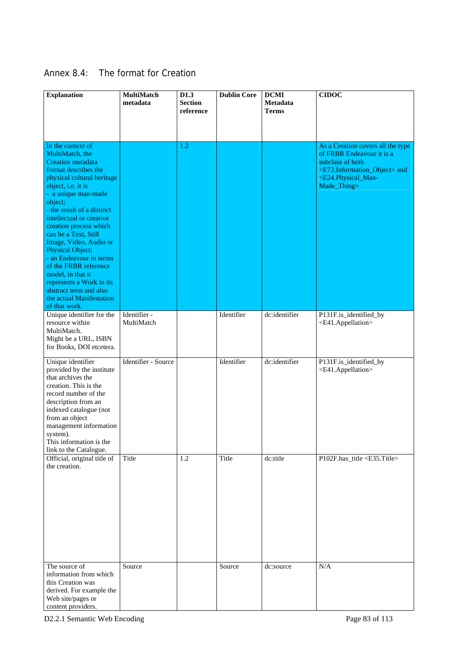| Annex 8.4: | The format for Creation |
|------------|-------------------------|
|------------|-------------------------|

| <b>Explanation</b>                                                                                                                                                                                                                                                                                                                                                                                                                                                                                                   | MultiMatch<br>metadata     | D <sub>1.3</sub><br><b>Section</b><br>reference | <b>Dublin Core</b> | <b>DCMI</b><br>Metadata<br><b>Terms</b> | <b>CIDOC</b>                                                                                                                                                                                                |
|----------------------------------------------------------------------------------------------------------------------------------------------------------------------------------------------------------------------------------------------------------------------------------------------------------------------------------------------------------------------------------------------------------------------------------------------------------------------------------------------------------------------|----------------------------|-------------------------------------------------|--------------------|-----------------------------------------|-------------------------------------------------------------------------------------------------------------------------------------------------------------------------------------------------------------|
|                                                                                                                                                                                                                                                                                                                                                                                                                                                                                                                      |                            |                                                 |                    |                                         |                                                                                                                                                                                                             |
| In the context of<br>MultiMatch, the<br><b>Creation</b> metadata<br>format describes the<br>physical cultural heritage<br>object, i.e. it is<br>- a unique man-made<br>object;<br>- the result of a distinct<br>intellectual or creative<br>creation process which<br>can be a Text, Still<br>Image, Video, Audio or<br>Physical Object;<br>- an Endeavour in terms<br>of the FRBR reference<br>model, in that it<br>represents a Work in its<br>abstract term and also<br>the actual Manifestation<br>of that work. |                            | 1.2                                             |                    |                                         | As a Creation covers all the type<br>of FRBR Endeavour it is a<br>subclass of both<br><e73.information_object> and<br/><e24.physical_man-<br>Made_Thing&gt;</e24.physical_man-<br></e73.information_object> |
| Unique identifier for the<br>resource within<br>MultiMatch.<br>Might be a URL, ISBN<br>for Books, DOI etcetera.                                                                                                                                                                                                                                                                                                                                                                                                      | Identifier -<br>MultiMatch |                                                 | Identifier         | dc:identifier                           | P131F.is_identified_by<br><e41.appellation></e41.appellation>                                                                                                                                               |
| Unique identifier<br>provided by the institute<br>that archives the<br>creation. This is the<br>record number of the<br>description from an<br>indexed catalogue (not<br>from an object<br>management information<br>system).<br>This information is the<br>link to the Catalogue.                                                                                                                                                                                                                                   | Identifier - Source        |                                                 | Identifier         | dc:identifier                           | P131F.is_identified_by<br><e41.appellation></e41.appellation>                                                                                                                                               |
| Official, original title of<br>the creation.                                                                                                                                                                                                                                                                                                                                                                                                                                                                         | Title                      | 1.2                                             | Title              | dc:title                                | P102F.has_title <e35.title></e35.title>                                                                                                                                                                     |
| The source of<br>information from which<br>this Creation was<br>derived. For example the<br>Web site/pages or<br>content providers.                                                                                                                                                                                                                                                                                                                                                                                  | Source                     |                                                 | Source             | dc:source                               | N/A                                                                                                                                                                                                         |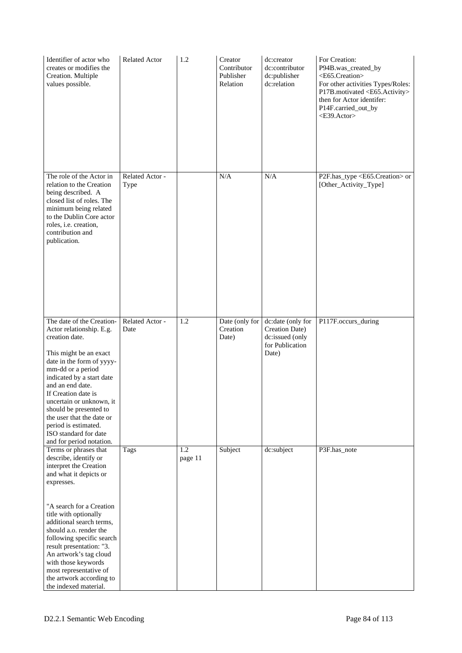| Identifier of actor who<br>creates or modifies the<br>Creation. Multiple<br>values possible.                                                                                                                                                                                                                                                                                                                         | <b>Related Actor</b>    | 1.2            | Creator<br>Contributor<br>Publisher<br>Relation | dc:creator<br>dc:contributor<br>dc:publisher<br>dc:relation                        | For Creation:<br>P94B.was_created_by<br><e65.creation><br/>For other activities Types/Roles:<br/>P17B.motivated <e65.activity><br/>then for Actor identifer:<br/>P14F.carried_out_by<br/><e39.actor></e39.actor></e65.activity></e65.creation> |
|----------------------------------------------------------------------------------------------------------------------------------------------------------------------------------------------------------------------------------------------------------------------------------------------------------------------------------------------------------------------------------------------------------------------|-------------------------|----------------|-------------------------------------------------|------------------------------------------------------------------------------------|------------------------------------------------------------------------------------------------------------------------------------------------------------------------------------------------------------------------------------------------|
| The role of the Actor in<br>relation to the Creation<br>being described. A<br>closed list of roles. The<br>minimum being related<br>to the Dublin Core actor<br>roles, i.e. creation,<br>contribution and<br>publication.                                                                                                                                                                                            | Related Actor -<br>Type |                | N/A                                             | N/A                                                                                | P2F.has_type <e65.creation> or<br/>[Other_Activity_Type]</e65.creation>                                                                                                                                                                        |
| The date of the Creation-<br>Actor relationship. E.g.<br>creation date.<br>This might be an exact<br>date in the form of yyyy-<br>mm-dd or a period<br>indicated by a start date<br>and an end date.<br>If Creation date is<br>uncertain or unknown, it<br>should be presented to<br>the user that the date or<br>period is estimated.<br>ISO standard for date<br>and for period notation.                          | Related Actor -<br>Date | 1.2            | Date (only for<br>Creation<br>Date)             | dc:date (only for<br>Creation Date)<br>dc:issued (only<br>for Publication<br>Date) | P117F.occurs_during                                                                                                                                                                                                                            |
| Terms or phrases that<br>describe, identify or<br>interpret the Creation<br>and what it depicts or<br>expresses.<br>"A search for a Creation<br>title with optionally<br>additional search terms,<br>should a.o. render the<br>following specific search<br>result presentation: "3.<br>An artwork's tag cloud<br>with those keywords<br>most representative of<br>the artwork according to<br>the indexed material. | Tags                    | 1.2<br>page 11 | Subject                                         | dc:subject                                                                         | P3F.has_note                                                                                                                                                                                                                                   |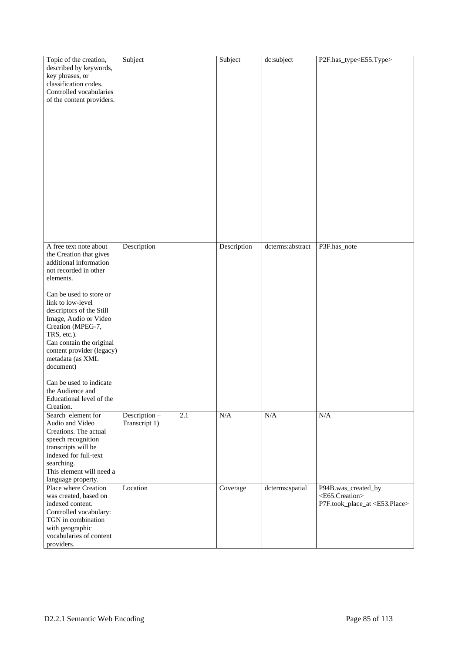| Topic of the creation,<br>described by keywords,<br>key phrases, or<br>classification codes.<br>Controlled vocabularies<br>of the content providers.                                                                                                                                                                                                                                                                                         | Subject                       |     | Subject     | dc:subject       | P2F.has_type <e55.type></e55.type>                                                                 |
|----------------------------------------------------------------------------------------------------------------------------------------------------------------------------------------------------------------------------------------------------------------------------------------------------------------------------------------------------------------------------------------------------------------------------------------------|-------------------------------|-----|-------------|------------------|----------------------------------------------------------------------------------------------------|
| A free text note about<br>the Creation that gives<br>additional information<br>not recorded in other<br>elements.<br>Can be used to store or<br>link to low-level<br>descriptors of the Still<br>Image, Audio or Video<br>Creation (MPEG-7,<br>TRS, etc.).<br>Can contain the original<br>content provider (legacy)<br>metadata (as XML<br>document)<br>Can be used to indicate<br>the Audience and<br>Educational level of the<br>Creation. | Description                   |     | Description | dcterms:abstract | P3F.has_note                                                                                       |
| Search element for<br>Audio and Video<br>Creations. The actual<br>speech recognition<br>transcripts will be<br>indexed for full-text<br>searching.<br>This element will need a<br>language property.                                                                                                                                                                                                                                         | Description-<br>Transcript 1) | 2.1 | N/A         | N/A              | N/A                                                                                                |
| Place where Creation<br>was created, based on<br>indexed content.<br>Controlled vocabulary:<br>TGN in combination<br>with geographic<br>vocabularies of content<br>providers.                                                                                                                                                                                                                                                                | Location                      |     | Coverage    | dcterms:spatial  | P94B.was_created_by<br><e65.creation><br/>P7F.took_place_at <e53.place></e53.place></e65.creation> |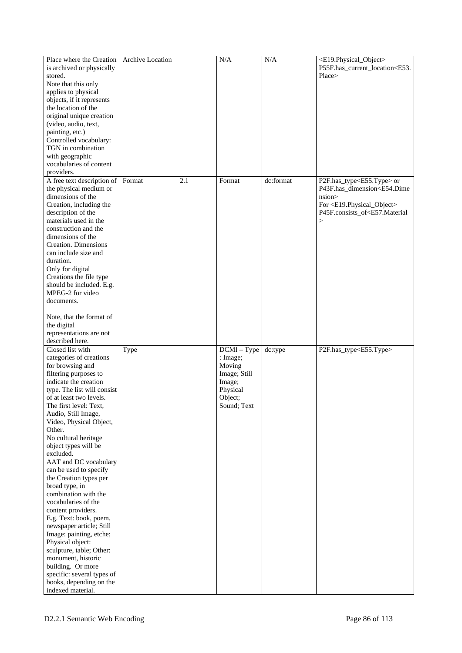| Place where the Creation<br>is archived or physically<br>stored.<br>Note that this only<br>applies to physical<br>objects, if it represents<br>the location of the<br>original unique creation<br>(video, audio, text,<br>painting, etc.)<br>Controlled vocabulary:<br>TGN in combination<br>with geographic<br>vocabularies of content<br>providers.                                                                                                                                                                                                                                                                                                                                                                                                        | Archive Location |     | N/A                                                                                                 | N/A       | <e19.physical_object><br/>P55F.has_current_location<e53.<br>Place&gt;</e53.<br></e19.physical_object>                                                                                                                                           |
|--------------------------------------------------------------------------------------------------------------------------------------------------------------------------------------------------------------------------------------------------------------------------------------------------------------------------------------------------------------------------------------------------------------------------------------------------------------------------------------------------------------------------------------------------------------------------------------------------------------------------------------------------------------------------------------------------------------------------------------------------------------|------------------|-----|-----------------------------------------------------------------------------------------------------|-----------|-------------------------------------------------------------------------------------------------------------------------------------------------------------------------------------------------------------------------------------------------|
| A free text description of<br>the physical medium or<br>dimensions of the<br>Creation, including the<br>description of the<br>materials used in the<br>construction and the<br>dimensions of the<br><b>Creation. Dimensions</b><br>can include size and<br>duration.<br>Only for digital<br>Creations the file type<br>should be included. E.g.<br>MPEG-2 for video<br>documents.<br>Note, that the format of<br>the digital<br>representations are not<br>described here.                                                                                                                                                                                                                                                                                   | Format           | 2.1 | Format                                                                                              | dc:format | P2F.has_type <e55.type>or<br/>P43F.has_dimension<e54.dime<br>nsion&gt;<br/>For <e19.physical_object><br/>P45F.consists_of<e57.material<br><math display="inline">\,&gt;</math></e57.material<br></e19.physical_object></e54.dime<br></e55.type> |
| Closed list with<br>categories of creations<br>for browsing and<br>filtering purposes to<br>indicate the creation<br>type. The list will consist<br>of at least two levels.<br>The first level: Text,<br>Audio, Still Image,<br>Video, Physical Object,<br>Other.<br>No cultural heritage<br>object types will be<br>excluded.<br>AAT and DC vocabulary<br>can be used to specify<br>the Creation types per<br>broad type, in<br>combination with the<br>vocabularies of the<br>content providers.<br>E.g. Text: book, poem,<br>newspaper article; Still<br>Image: painting, etche;<br>Physical object:<br>sculpture, table; Other:<br>monument, historic<br>building. Or more<br>specific: several types of<br>books, depending on the<br>indexed material. | Type             |     | $DCMI - Type$<br>: Image;<br>Moving<br>Image; Still<br>Image;<br>Physical<br>Object;<br>Sound; Text | dc:type   | P2F.has_type <e55.type></e55.type>                                                                                                                                                                                                              |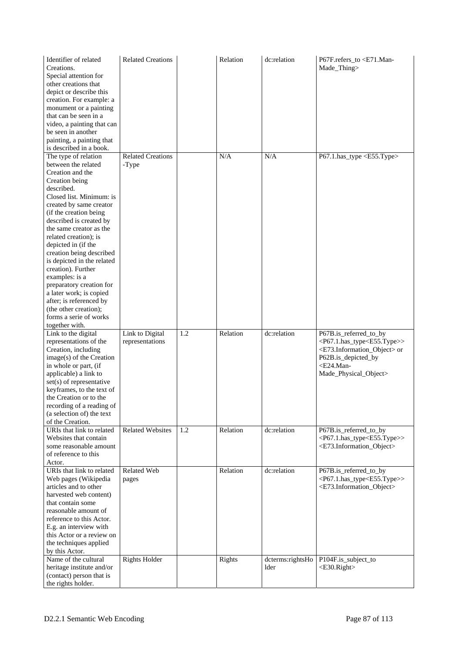| Identifier of related<br>Creations.<br>Special attention for<br>other creations that<br>depict or describe this<br>creation. For example: a<br>monument or a painting<br>that can be seen in a<br>video, a painting that can<br>be seen in another<br>painting, a painting that<br>is described in a book.                                                                                                                                                                                                                                      | <b>Related Creations</b>           |     | Relation | dc:relation              | P67F.refers_to <e71.man-<br>Made_Thing&gt;</e71.man-<br>                                                                                                                                                                   |
|-------------------------------------------------------------------------------------------------------------------------------------------------------------------------------------------------------------------------------------------------------------------------------------------------------------------------------------------------------------------------------------------------------------------------------------------------------------------------------------------------------------------------------------------------|------------------------------------|-----|----------|--------------------------|----------------------------------------------------------------------------------------------------------------------------------------------------------------------------------------------------------------------------|
| The type of relation<br>between the related<br>Creation and the<br>Creation being<br>described.<br>Closed list. Minimum: is<br>created by same creator<br>(if the creation being<br>described is created by<br>the same creator as the<br>related creation); is<br>depicted in (if the<br>creation being described<br>is depicted in the related<br>creation). Further<br>examples: is a<br>preparatory creation for<br>a later work; is copied<br>after; is referenced by<br>(the other creation);<br>forms a serie of works<br>together with. | <b>Related Creations</b><br>-Type  |     | N/A      | N/A                      | P67.1.has_type <e55.type></e55.type>                                                                                                                                                                                       |
| Link to the digital<br>representations of the<br>Creation, including<br>image(s) of the Creation<br>in whole or part, (if<br>applicable) a link to<br>$set(s)$ of representative<br>keyframes, to the text of<br>the Creation or to the<br>recording of a reading of<br>(a selection of) the text<br>of the Creation.                                                                                                                                                                                                                           | Link to Digital<br>representations | 1.2 | Relation | dc:relation              | P67B.is_referred_to_by<br><p67.1.has_type<e55.type>&gt;<br/><e73.information_object> or<br/>P62B.is_depicted_by<br/><e24.man-<br>Made_Physical_Object&gt;</e24.man-<br></e73.information_object></p67.1.has_type<e55.type> |
| URIs that link to related<br>Websites that contain<br>some reasonable amount<br>of reference to this<br>Actor.                                                                                                                                                                                                                                                                                                                                                                                                                                  | <b>Related Websites</b>            | 1.2 | Relation | dc:relation              | P67B.is_referred_to_by<br><p67.1.has_type<e55.type>&gt;<br/><e73.information_object></e73.information_object></p67.1.has_type<e55.type>                                                                                    |
| URIs that link to related<br>Web pages (Wikipedia<br>articles and to other<br>harvested web content)<br>that contain some<br>reasonable amount of<br>reference to this Actor.<br>E.g. an interview with<br>this Actor or a review on<br>the techniques applied<br>by this Actor.                                                                                                                                                                                                                                                                | <b>Related Web</b><br>pages        |     | Relation | dc:relation              | P67B.is_referred_to_by<br><p67.1.has_type<e55.type>&gt;<br/><e73.information_object></e73.information_object></p67.1.has_type<e55.type>                                                                                    |
| Name of the cultural<br>heritage institute and/or<br>(contact) person that is<br>the rights holder.                                                                                                                                                                                                                                                                                                                                                                                                                                             | <b>Rights Holder</b>               |     | Rights   | dcterms:rightsHo<br>lder | P104F.is_subject_to<br><e30.right></e30.right>                                                                                                                                                                             |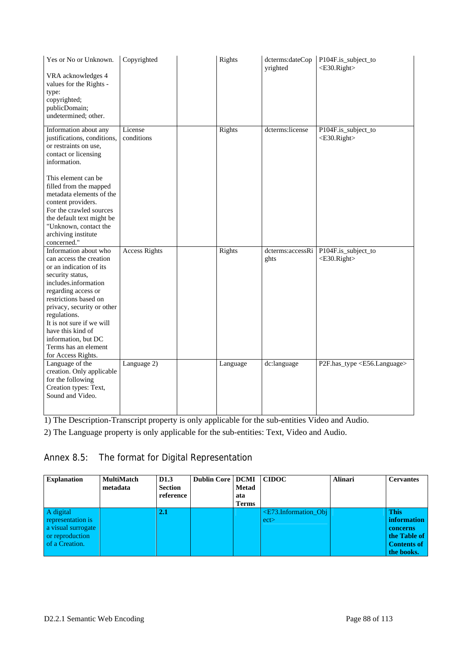| Yes or No or Unknown.<br>VRA acknowledges 4<br>values for the Rights -<br>type:<br>copyrighted;<br>publicDomain;<br>undetermined; other.                                                                                                                                                                                                        | Copyrighted           | Rights   | dcterms:dateCop<br>yrighted | P104F.is_subject_to<br>$<$ E30.Right>          |
|-------------------------------------------------------------------------------------------------------------------------------------------------------------------------------------------------------------------------------------------------------------------------------------------------------------------------------------------------|-----------------------|----------|-----------------------------|------------------------------------------------|
| Information about any<br>justifications, conditions,<br>or restraints on use,<br>contact or licensing<br>information.<br>This element can be<br>filled from the mapped<br>metadata elements of the<br>content providers.<br>For the crawled sources<br>the default text might be<br>"Unknown, contact the<br>archiving institute<br>concerned." | License<br>conditions | Rights   | dcterms:license             | P104F.is_subject_to<br><e30.right></e30.right> |
| Information about who<br>can access the creation<br>or an indication of its<br>security status,<br>includes.information<br>regarding access or<br>restrictions based on<br>privacy, security or other<br>regulations.<br>It is not sure if we will<br>have this kind of<br>information, but DC<br>Terms has an element<br>for Access Rights.    | <b>Access Rights</b>  | Rights   | dcterms:accessRi<br>ghts    | P104F.is_subject_to<br><e30.right></e30.right> |
| Language of the<br>creation. Only applicable<br>for the following<br>Creation types: Text,<br>Sound and Video.                                                                                                                                                                                                                                  | Language 2)           | Language | dc:language                 | P2F.has_type <e56.language></e56.language>     |

1) The Description-Transcript property is only applicable for the sub-entities Video and Audio.

2) The Language property is only applicable for the sub-entities: Text, Video and Audio.

# Annex 8.5: The format for Digital Representation

| <b>Explanation</b>                                                                        | <b>MultiMatch</b><br>metadata | D <sub>1.3</sub><br><b>Section</b><br>reference | <b>Dublin Core   DCMI</b> | <b>Metad</b><br>ata<br><b>Terms</b> | <b>CIDOC</b>                      | <b>Alinari</b> | <b>Cervantes</b>                                                                                  |
|-------------------------------------------------------------------------------------------|-------------------------------|-------------------------------------------------|---------------------------|-------------------------------------|-----------------------------------|----------------|---------------------------------------------------------------------------------------------------|
| A digital<br>representation is<br>a visual surrogate<br>or reproduction<br>of a Creation. |                               | 2.1                                             |                           |                                     | $\leq$ E73.Information Obj<br>ect |                | <b>This</b><br><i>information</i><br>concerns<br>the Table of<br><b>Contents of</b><br>the books. |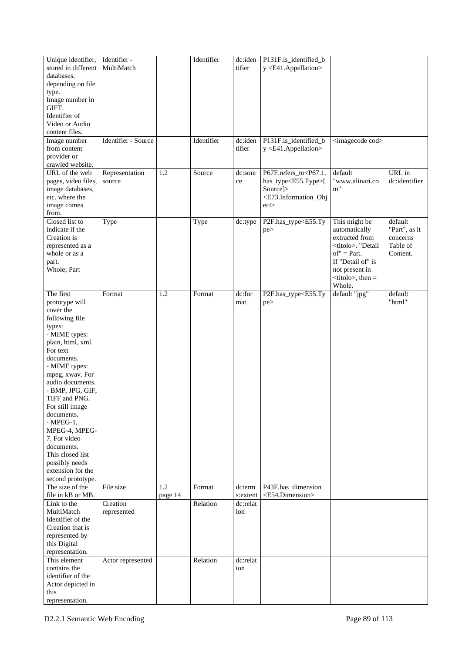| Unique identifier,<br>stored in different<br>databases,<br>depending on file<br>type.<br>Image number in<br>GIFT.<br>Identifier of<br>Video or Audio<br>content files.<br>Image number                                                                                                                                                                                                                          | Identifier -<br>MultiMatch<br>Identifier - Source |                | Identifier<br>Identifier | dc:iden<br>tifier<br>dc:iden | P131F.is_identified_b<br>y <e41.appellation><br/>P131F.is_identified_b</e41.appellation>                                                      | <imagecode cod=""></imagecode>                                                                                                                                                                                                    |                                                              |
|-----------------------------------------------------------------------------------------------------------------------------------------------------------------------------------------------------------------------------------------------------------------------------------------------------------------------------------------------------------------------------------------------------------------|---------------------------------------------------|----------------|--------------------------|------------------------------|-----------------------------------------------------------------------------------------------------------------------------------------------|-----------------------------------------------------------------------------------------------------------------------------------------------------------------------------------------------------------------------------------|--------------------------------------------------------------|
| from content<br>provider or<br>crawled website.                                                                                                                                                                                                                                                                                                                                                                 |                                                   |                |                          | tifier                       | y <e41.appellation></e41.appellation>                                                                                                         |                                                                                                                                                                                                                                   |                                                              |
| URL of the web<br>pages, video files,<br>image databases,<br>etc. where the<br>image comes<br>from.                                                                                                                                                                                                                                                                                                             | Representation<br>source                          | 1.2            | Source                   | dc:sour<br>ce                | P67F.refers_to <p67.1.<br>has_type<e55.type>[<br/>Source]&gt;<br/><e73.information_obj<br>ect</e73.information_obj<br></e55.type></p67.1.<br> | default<br>"www.alinari.co<br>m"                                                                                                                                                                                                  | URL in<br>dc:identifier                                      |
| Closed list to<br>indicate if the<br>Creation is<br>represented as a<br>whole or as a<br>part.<br>Whole; Part                                                                                                                                                                                                                                                                                                   | Type                                              |                | Type                     | dc:type                      | P2F.has_type <e55.ty<br>pe&gt;</e55.ty<br>                                                                                                    | This might be<br>automatically<br>extracted from<br><titolo>. "Detail<br/><math>of" = Part.</math><br/>If "Detail of" is<br/>not present in<br/><math>&lt;</math>titolo<math>&gt;</math>, then <math>=</math><br/>Whole.</titolo> | default<br>"Part", as it<br>concerns<br>Table of<br>Content. |
| The first<br>prototype will<br>cover the<br>following file<br>types:<br>- MIME types:<br>plain, html, xml.<br>For text<br>documents.<br>- MIME types:<br>mpeg, xwav. For<br>audio documents.<br>- BMP, JPG, GIF,<br>TIFF and PNG.<br>For still image<br>documents.<br>$-MPEG-1,$<br>MPEG-4, MPEG-<br>7. For video<br>documents.<br>This closed list<br>possibly needs<br>extension for the<br>second prototype. | Format                                            | 1.2            | Format                   | dc:for<br>mat                | P2F.has_type <e55.ty<br>pe&gt;</e55.ty<br>                                                                                                    | default "jpg"                                                                                                                                                                                                                     | default<br>"html"                                            |
| The size of the<br>file in kB or MB.                                                                                                                                                                                                                                                                                                                                                                            | File size                                         | 1.2<br>page 14 | Format                   | dcterm<br>s:extent           | P43F.has_dimension<br><e54.dimension></e54.dimension>                                                                                         |                                                                                                                                                                                                                                   |                                                              |
| Link to the<br>MultiMatch<br>Identifier of the<br>Creation that is<br>represented by<br>this Digital<br>representation.                                                                                                                                                                                                                                                                                         | Creation<br>represented                           |                | Relation                 | dc:relat<br>ion              |                                                                                                                                               |                                                                                                                                                                                                                                   |                                                              |
| This element<br>contains the<br>identifier of the<br>Actor depicted in<br>this<br>representation.                                                                                                                                                                                                                                                                                                               | Actor represented                                 |                | Relation                 | dc:relat<br>ion              |                                                                                                                                               |                                                                                                                                                                                                                                   |                                                              |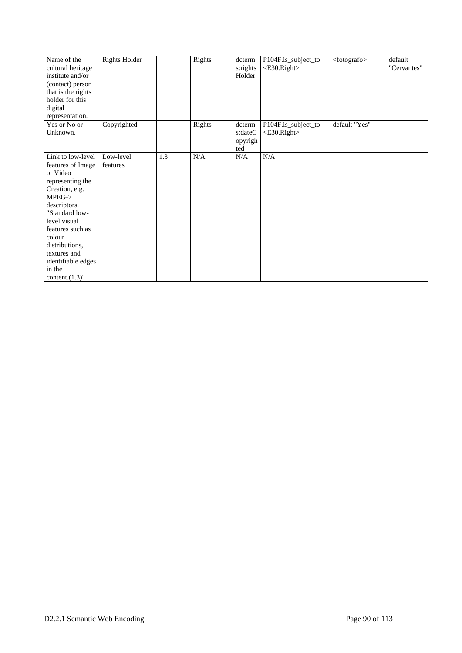| Name of the<br>cultural heritage<br>institute and/or<br>(contact) person<br>that is the rights<br>holder for this<br>digital<br>representation.                                                                                                                            | <b>Rights Holder</b>  |     | Rights | $d$ cterm<br>s:rights<br>Holder     | P104F.is_subject_to<br><e30.right></e30.right> | <fotografo></fotografo> | default<br>"Cervantes" |
|----------------------------------------------------------------------------------------------------------------------------------------------------------------------------------------------------------------------------------------------------------------------------|-----------------------|-----|--------|-------------------------------------|------------------------------------------------|-------------------------|------------------------|
| Yes or No or<br>Unknown.                                                                                                                                                                                                                                                   | Copyrighted           |     | Rights | dcterm<br>s:dateC<br>opyrigh<br>ted | P104F.is_subject_to<br>$<$ E30.Right $>$       | default "Yes"           |                        |
| Link to low-level<br>features of Image<br>or Video<br>representing the<br>Creation, e.g.<br>MPEG-7<br>descriptors.<br>"Standard low-<br>level visual<br>features such as<br>colour<br>distributions,<br>textures and<br>identifiable edges<br>in the<br>content. $(1.3)$ " | Low-level<br>features | 1.3 | N/A    | N/A                                 | N/A                                            |                         |                        |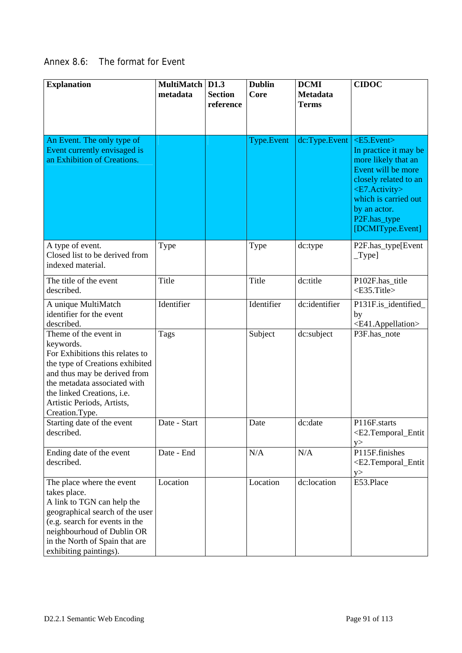# Annex 8.6: The format for Event

| <b>Explanation</b>                                                                                                                                                                                                                                     | MultiMatch   D1.3<br>metadata | <b>Section</b><br>reference | <b>Dublin</b><br>Core | <b>DCMI</b><br><b>Metadata</b><br><b>Terms</b> | <b>CIDOC</b>                                                                                                                                                                                                                               |
|--------------------------------------------------------------------------------------------------------------------------------------------------------------------------------------------------------------------------------------------------------|-------------------------------|-----------------------------|-----------------------|------------------------------------------------|--------------------------------------------------------------------------------------------------------------------------------------------------------------------------------------------------------------------------------------------|
|                                                                                                                                                                                                                                                        |                               |                             |                       |                                                |                                                                                                                                                                                                                                            |
| An Event. The only type of<br>Event currently envisaged is<br>an Exhibition of Creations.                                                                                                                                                              |                               |                             | Type.Event            | dc:Type.Event                                  | $\langle$ E5.Event $\rangle$<br>In practice it may be<br>more likely that an<br>Event will be more<br>closely related to an<br><e7.activity><br/>which is carried out<br/>by an actor.<br/>P2F.has_type<br/>[DCMIType.Event]</e7.activity> |
| A type of event.<br>Closed list to be derived from<br>indexed material.                                                                                                                                                                                | Type                          |                             | Type                  | dc:type                                        | P2F.has_type[Event<br>$_T$ ype]                                                                                                                                                                                                            |
| The title of the event<br>described.                                                                                                                                                                                                                   | Title                         |                             | Title                 | dc:title                                       | P102F.has_title<br><e35.title></e35.title>                                                                                                                                                                                                 |
| A unique MultiMatch<br>identifier for the event<br>described.                                                                                                                                                                                          | Identifier                    |                             | Identifier            | dc:identifier                                  | P131F.is_identified_<br>by<br><e41.appellation></e41.appellation>                                                                                                                                                                          |
| Theme of the event in<br>keywords.<br>For Exhibitions this relates to<br>the type of Creations exhibited<br>and thus may be derived from<br>the metadata associated with<br>the linked Creations, i.e.<br>Artistic Periods, Artists,<br>Creation.Type. | <b>Tags</b>                   |                             | Subject               | dc:subject                                     | P3F.has_note                                                                                                                                                                                                                               |
| Starting date of the event<br>described.                                                                                                                                                                                                               | Date - Start                  |                             | Date                  | dc:date                                        | P116F.starts<br><e2.temporal_entit<br>y</e2.temporal_entit<br>                                                                                                                                                                             |
| Ending date of the event<br>described.                                                                                                                                                                                                                 | Date - End                    |                             | N/A                   | N/A                                            | P115F.finishes<br><e2.temporal_entit<br>y</e2.temporal_entit<br>                                                                                                                                                                           |
| The place where the event<br>takes place.<br>A link to TGN can help the<br>geographical search of the user<br>(e.g. search for events in the<br>neighbourhoud of Dublin OR<br>in the North of Spain that are<br>exhibiting paintings).                 | Location                      |                             | Location              | dc:location                                    | E53.Place                                                                                                                                                                                                                                  |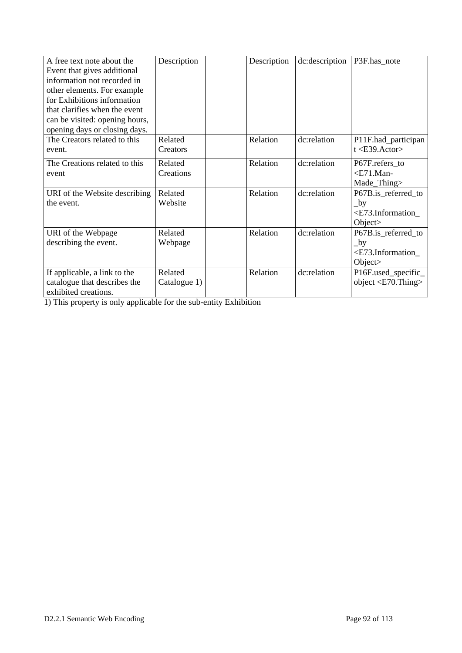| A free text note about the<br>Event that gives additional<br>information not recorded in<br>other elements. For example<br>for Exhibitions information<br>that clarifies when the event<br>can be visited: opening hours,<br>opening days or closing days. | Description             | Description | dc:description | P3F.has_note                                                                                 |
|------------------------------------------------------------------------------------------------------------------------------------------------------------------------------------------------------------------------------------------------------------|-------------------------|-------------|----------------|----------------------------------------------------------------------------------------------|
| The Creators related to this<br>event.                                                                                                                                                                                                                     | Related<br>Creators     | Relation    | dc:relation    | P11F.had_participan<br>$t < E39$ . Actor>                                                    |
| The Creations related to this<br>event                                                                                                                                                                                                                     | Related<br>Creations    | Relation    | dc:relation    | P67F.refers to<br>$<$ E71.Man-<br>Made_Thing>                                                |
| URI of the Website describing<br>the event.                                                                                                                                                                                                                | Related<br>Website      | Relation    | dc:relation    | P67B.is_referred_to<br>$\lbrack$ by<br><e73.information_<br>Object&gt;</e73.information_<br> |
| URI of the Webpage<br>describing the event.                                                                                                                                                                                                                | Related<br>Webpage      | Relation    | dc:relation    | P67B.is_referred_to<br>$\lbrack$ by<br><e73.information_<br>Object&gt;</e73.information_<br> |
| If applicable, a link to the<br>catalogue that describes the<br>exhibited creations.                                                                                                                                                                       | Related<br>Catalogue 1) | Relation    | dc:relation    | P16F.used_specific_<br>object $\langle$ E70.Thing $\rangle$                                  |

1) This property is only applicable for the sub-entity Exhibition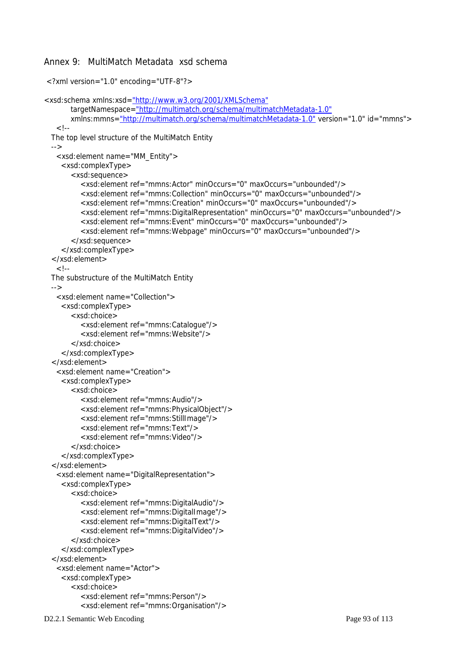#### Annex 9: MultiMatch Metadata xsd schema

```
 <?xml version="1.0" encoding="UTF-8"?> 
<xsd:schema xmlns:xsd="http://www.w3.org/2001/XMLSchema" 
        targetNamespace="http://multimatch.org/schema/multimatchMetadata-1.0" 
        xmlns:mmns="http://multimatch.org/schema/multimatchMetadata-1.0" version="1.0" id="mmns"> 
   \leq \overline{\phantom{a}} The top level structure of the MultiMatch Entity 
  --> 
    <xsd:element name="MM_Entity"> 
     <xsd:complexType> 
        <xsd:sequence> 
           <xsd:element ref="mmns:Actor" minOccurs="0" maxOccurs="unbounded"/> 
           <xsd:element ref="mmns:Collection" minOccurs="0" maxOccurs="unbounded"/> 
           <xsd:element ref="mmns:Creation" minOccurs="0" maxOccurs="unbounded"/> 
           <xsd:element ref="mmns:DigitalRepresentation" minOccurs="0" maxOccurs="unbounded"/> 
           <xsd:element ref="mmns:Event" minOccurs="0" maxOccurs="unbounded"/> 
           <xsd:element ref="mmns:Webpage" minOccurs="0" maxOccurs="unbounded"/> 
        </xsd:sequence> 
     </xsd:complexType> 
  </xsd:element> 
   \langle..
  The substructure of the MultiMatch Entity 
  --> 
    <xsd:element name="Collection"> 
     <xsd:complexType> 
        <xsd:choice> 
           <xsd:element ref="mmns:Catalogue"/> 
           <xsd:element ref="mmns:Website"/> 
        </xsd:choice> 
     </xsd:complexType> 
  </xsd:element> 
    <xsd:element name="Creation"> 
     <xsd:complexType> 
        <xsd:choice> 
           <xsd:element ref="mmns:Audio"/> 
           <xsd:element ref="mmns:PhysicalObject"/> 
           <xsd:element ref="mmns:StillImage"/> 
           <xsd:element ref="mmns:Text"/> 
           <xsd:element ref="mmns:Video"/> 
        </xsd:choice> 
     </xsd:complexType> 
  </xsd:element> 
    <xsd:element name="DigitalRepresentation"> 
     <xsd:complexType> 
        <xsd:choice> 
           <xsd:element ref="mmns:DigitalAudio"/> 
           <xsd:element ref="mmns:DigitalImage"/> 
           <xsd:element ref="mmns:DigitalText"/> 
           <xsd:element ref="mmns:DigitalVideo"/> 
        </xsd:choice> 
     </xsd:complexType> 
  </xsd:element> 
    <xsd:element name="Actor"> 
     <xsd:complexType> 
        <xsd:choice> 
           <xsd:element ref="mmns:Person"/> 
          <xsd:element ref="mmns:Organisation"/>
```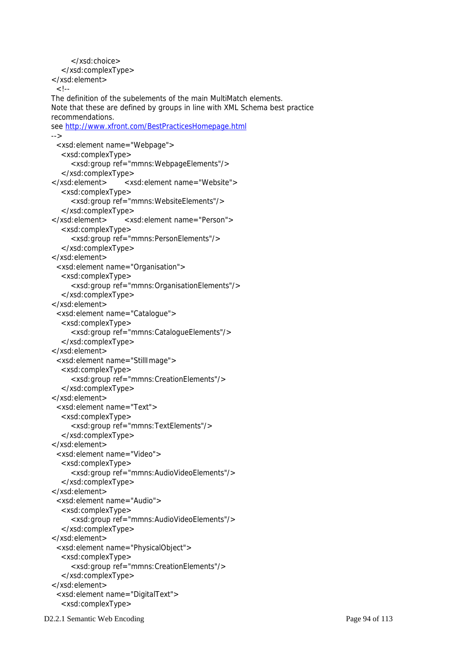```
 </xsd:choice> 
   </xsd:complexType> 
 </xsd:element> 
 <!-- The definition of the subelements of the main MultiMatch elements. 
 Note that these are defined by groups in line with XML Schema best practice 
 recommendations. 
 see http://www.xfront.com/BestPracticesHomepage.html 
 --> 
  <xsd:element name="Webpage"> 
   <xsd:complexType> 
      <xsd:group ref="mmns:WebpageElements"/> 
   </xsd:complexType> 
 </xsd:element> <xsd:element name="Website"> 
   <xsd:complexType> 
      <xsd:group ref="mmns:WebsiteElements"/> 
   </xsd:complexType> 
 </xsd:element> <xsd:element name="Person"> 
   <xsd:complexType> 
      <xsd:group ref="mmns:PersonElements"/> 
    </xsd:complexType> 
 </xsd:element> 
  <xsd:element name="Organisation"> 
    <xsd:complexType> 
      <xsd:group ref="mmns:OrganisationElements"/> 
   </xsd:complexType> 
 </xsd:element> 
  <xsd:element name="Catalogue"> 
   <xsd:complexType> 
      <xsd:group ref="mmns:CatalogueElements"/> 
    </xsd:complexType> 
 </xsd:element> 
  <xsd:element name="StillImage"> 
    <xsd:complexType> 
      <xsd:group ref="mmns:CreationElements"/> 
    </xsd:complexType> 
 </xsd:element> 
  <xsd:element name="Text"> 
    <xsd:complexType> 
      <xsd:group ref="mmns:TextElements"/> 
    </xsd:complexType> 
 </xsd:element> 
  <xsd:element name="Video"> 
   <xsd:complexType> 
      <xsd:group ref="mmns:AudioVideoElements"/> 
   </xsd:complexType> 
 </xsd:element> 
  <xsd:element name="Audio"> 
   <xsd:complexType> 
      <xsd:group ref="mmns:AudioVideoElements"/> 
    </xsd:complexType> 
 </xsd:element> 
  <xsd:element name="PhysicalObject"> 
    <xsd:complexType> 
      <xsd:group ref="mmns:CreationElements"/> 
    </xsd:complexType> 
 </xsd:element> 
  <xsd:element name="DigitalText"> 
   <xsd:complexType>
```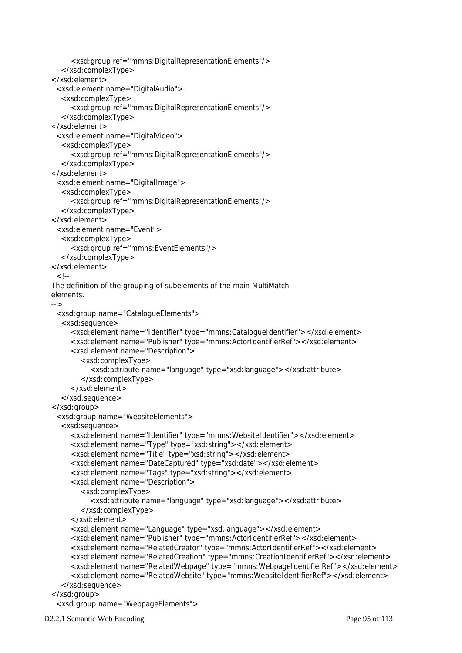```
 <xsd:group ref="mmns:DigitalRepresentationElements"/> 
    </xsd:complexType> 
 </xsd:element> 
  <xsd:element name="DigitalAudio"> 
   <xsd:complexType> 
      <xsd:group ref="mmns:DigitalRepresentationElements"/> 
   </xsd:complexType> 
 </xsd:element> 
  <xsd:element name="DigitalVideo"> 
    <xsd:complexType> 
      <xsd:group ref="mmns:DigitalRepresentationElements"/> 
    </xsd:complexType> 
 </xsd:element> 
  <xsd:element name="DigitalImage"> 
    <xsd:complexType> 
      <xsd:group ref="mmns:DigitalRepresentationElements"/> 
    </xsd:complexType> 
 </xsd:element> 
  <xsd:element name="Event"> 
    <xsd:complexType> 
      <xsd:group ref="mmns:EventElements"/> 
   </xsd:complexType> 
 </xsd:element> 
 <!-- The definition of the grouping of subelements of the main MultiMatch 
 elements. 
 --> 
  <xsd:group name="CatalogueElements"> 
   <xsd:sequence> 
      <xsd:element name="Identifier" type="mmns:CatalogueIdentifier"></xsd:element> 
      <xsd:element name="Publisher" type="mmns:ActorIdentifierRef"></xsd:element> 
      <xsd:element name="Description"> 
         <xsd:complexType> 
            <xsd:attribute name="language" type="xsd:language"></xsd:attribute> 
         </xsd:complexType> 
      </xsd:element> 
    </xsd:sequence> 
 </xsd:group> 
  <xsd:group name="WebsiteElements"> 
    <xsd:sequence> 
      <xsd:element name="Identifier" type="mmns:WebsiteIdentifier"></xsd:element> 
      <xsd:element name="Type" type="xsd:string"></xsd:element> 
      <xsd:element name="Title" type="xsd:string"></xsd:element> 
      <xsd:element name="DateCaptured" type="xsd:date"></xsd:element> 
      <xsd:element name="Tags" type="xsd:string"></xsd:element> 
      <xsd:element name="Description"> 
         <xsd:complexType> 
            <xsd:attribute name="language" type="xsd:language"></xsd:attribute> 
         </xsd:complexType> 
      </xsd:element> 
      <xsd:element name="Language" type="xsd:language"></xsd:element> 
      <xsd:element name="Publisher" type="mmns:ActorIdentifierRef"></xsd:element> 
      <xsd:element name="RelatedCreator" type="mmns:ActorIdentifierRef"></xsd:element> 
      <xsd:element name="RelatedCreation" type="mmns:CreationIdentifierRef"></xsd:element> 
      <xsd:element name="RelatedWebpage" type="mmns:WebpageIdentifierRef"></xsd:element> 
      <xsd:element name="RelatedWebsite" type="mmns:WebsiteIdentifierRef"></xsd:element> 
    </xsd:sequence> 
 </xsd:group> 
  <xsd:group name="WebpageElements">
```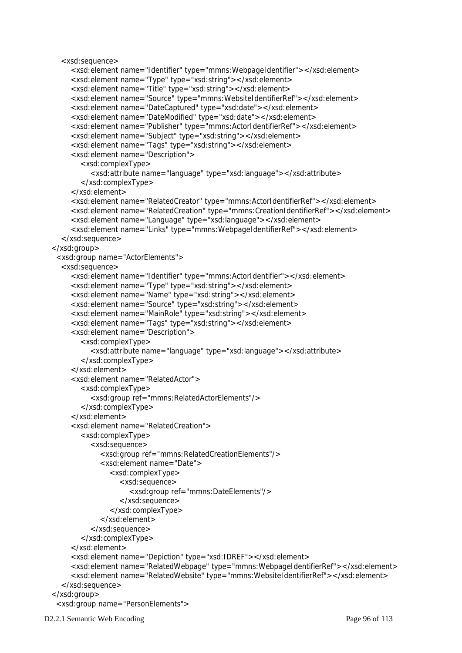```
 <xsd:sequence> 
      <xsd:element name="Identifier" type="mmns:WebpageIdentifier"></xsd:element> 
      <xsd:element name="Type" type="xsd:string"></xsd:element> 
      <xsd:element name="Title" type="xsd:string"></xsd:element> 
      <xsd:element name="Source" type="mmns:WebsiteIdentifierRef"></xsd:element> 
      <xsd:element name="DateCaptured" type="xsd:date"></xsd:element> 
      <xsd:element name="DateModified" type="xsd:date"></xsd:element> 
      <xsd:element name="Publisher" type="mmns:ActorIdentifierRef"></xsd:element> 
      <xsd:element name="Subject" type="xsd:string"></xsd:element> 
      <xsd:element name="Tags" type="xsd:string"></xsd:element> 
      <xsd:element name="Description"> 
        <xsd:complexType> 
           <xsd:attribute name="language" type="xsd:language"></xsd:attribute> 
        </xsd:complexType> 
      </xsd:element> 
      <xsd:element name="RelatedCreator" type="mmns:ActorIdentifierRef"></xsd:element> 
      <xsd:element name="RelatedCreation" type="mmns:CreationIdentifierRef"></xsd:element> 
      <xsd:element name="Language" type="xsd:language"></xsd:element> 
      <xsd:element name="Links" type="mmns:WebpageIdentifierRef"></xsd:element> 
   </xsd:sequence> 
 </xsd:group> 
  <xsd:group name="ActorElements"> 
   <xsd:sequence> 
      <xsd:element name="Identifier" type="mmns:ActorIdentifier"></xsd:element> 
      <xsd:element name="Type" type="xsd:string"></xsd:element> 
      <xsd:element name="Name" type="xsd:string"></xsd:element> 
      <xsd:element name="Source" type="xsd:string"></xsd:element> 
      <xsd:element name="MainRole" type="xsd:string"></xsd:element> 
      <xsd:element name="Tags" type="xsd:string"></xsd:element> 
      <xsd:element name="Description"> 
        <xsd:complexType> 
           <xsd:attribute name="language" type="xsd:language"></xsd:attribute> 
        </xsd:complexType> 
      </xsd:element> 
      <xsd:element name="RelatedActor"> 
        <xsd:complexType> 
           <xsd:group ref="mmns:RelatedActorElements"/> 
        </xsd:complexType> 
      </xsd:element> 
      <xsd:element name="RelatedCreation"> 
        <xsd:complexType> 
           <xsd:sequence> 
              <xsd:group ref="mmns:RelatedCreationElements"/> 
              <xsd:element name="Date"> 
                <xsd:complexType> 
                   <xsd:sequence> 
                      <xsd:group ref="mmns:DateElements"/> 
                   </xsd:sequence> 
                </xsd:complexType> 
              </xsd:element> 
           </xsd:sequence> 
        </xsd:complexType> 
      </xsd:element> 
      <xsd:element name="Depiction" type="xsd:IDREF"></xsd:element> 
      <xsd:element name="RelatedWebpage" type="mmns:WebpageIdentifierRef"></xsd:element> 
      <xsd:element name="RelatedWebsite" type="mmns:WebsiteIdentifierRef"></xsd:element> 
   </xsd:sequence> 
 </xsd:group> 
  <xsd:group name="PersonElements">
```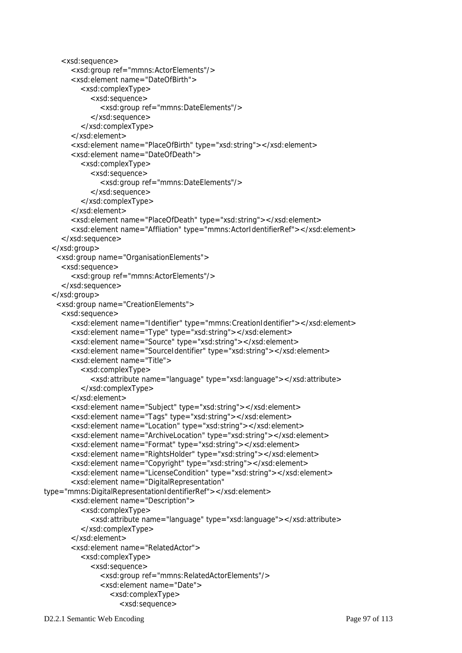```
 <xsd:sequence> 
        <xsd:group ref="mmns:ActorElements"/> 
        <xsd:element name="DateOfBirth"> 
           <xsd:complexType> 
             <xsd:sequence> 
                <xsd:group ref="mmns:DateElements"/> 
             </xsd:sequence> 
           </xsd:complexType> 
        </xsd:element> 
        <xsd:element name="PlaceOfBirth" type="xsd:string"></xsd:element> 
        <xsd:element name="DateOfDeath"> 
           <xsd:complexType> 
              <xsd:sequence> 
                <xsd:group ref="mmns:DateElements"/> 
              </xsd:sequence> 
           </xsd:complexType> 
        </xsd:element> 
        <xsd:element name="PlaceOfDeath" type="xsd:string"></xsd:element> 
        <xsd:element name="Affliation" type="mmns:ActorIdentifierRef"></xsd:element> 
     </xsd:sequence> 
   </xsd:group> 
    <xsd:group name="OrganisationElements"> 
     <xsd:sequence> 
        <xsd:group ref="mmns:ActorElements"/> 
     </xsd:sequence> 
   </xsd:group> 
    <xsd:group name="CreationElements"> 
     <xsd:sequence> 
        <xsd:element name="Identifier" type="mmns:CreationIdentifier"></xsd:element> 
        <xsd:element name="Type" type="xsd:string"></xsd:element> 
        <xsd:element name="Source" type="xsd:string"></xsd:element> 
        <xsd:element name="SourceIdentifier" type="xsd:string"></xsd:element> 
        <xsd:element name="Title"> 
           <xsd:complexType> 
              <xsd:attribute name="language" type="xsd:language"></xsd:attribute> 
           </xsd:complexType> 
        </xsd:element> 
        <xsd:element name="Subject" type="xsd:string"></xsd:element> 
        <xsd:element name="Tags" type="xsd:string"></xsd:element> 
        <xsd:element name="Location" type="xsd:string"></xsd:element> 
        <xsd:element name="ArchiveLocation" type="xsd:string"></xsd:element> 
        <xsd:element name="Format" type="xsd:string"></xsd:element> 
        <xsd:element name="RightsHolder" type="xsd:string"></xsd:element> 
        <xsd:element name="Copyright" type="xsd:string"></xsd:element> 
        <xsd:element name="LicenseCondition" type="xsd:string"></xsd:element> 
        <xsd:element name="DigitalRepresentation" 
type="mmns:DigitalRepresentationIdentifierRef"></xsd:element> 
        <xsd:element name="Description"> 
           <xsd:complexType> 
              <xsd:attribute name="language" type="xsd:language"></xsd:attribute> 
           </xsd:complexType> 
        </xsd:element> 
        <xsd:element name="RelatedActor"> 
           <xsd:complexType> 
             <xsd:sequence> 
                <xsd:group ref="mmns:RelatedActorElements"/> 
                <xsd:element name="Date"> 
                   <xsd:complexType> 
                      <xsd:sequence>
```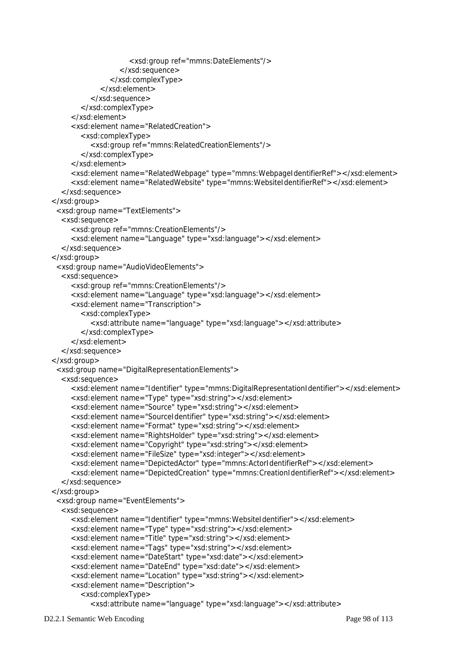```
 <xsd:group ref="mmns:DateElements"/> 
                   </xsd:sequence> 
                </xsd:complexType> 
              </xsd:element> 
           </xsd:sequence> 
        </xsd:complexType> 
      </xsd:element> 
      <xsd:element name="RelatedCreation"> 
        <xsd:complexType> 
           <xsd:group ref="mmns:RelatedCreationElements"/> 
        </xsd:complexType> 
      </xsd:element> 
      <xsd:element name="RelatedWebpage" type="mmns:WebpageIdentifierRef"></xsd:element> 
      <xsd:element name="RelatedWebsite" type="mmns:WebsiteIdentifierRef"></xsd:element> 
   </xsd:sequence> 
 </xsd:group> 
  <xsd:group name="TextElements"> 
   <xsd:sequence> 
      <xsd:group ref="mmns:CreationElements"/> 
      <xsd:element name="Language" type="xsd:language"></xsd:element> 
   </xsd:sequence> 
 </xsd:group> 
  <xsd:group name="AudioVideoElements"> 
   <xsd:sequence> 
      <xsd:group ref="mmns:CreationElements"/> 
      <xsd:element name="Language" type="xsd:language"></xsd:element> 
      <xsd:element name="Transcription"> 
         <xsd:complexType> 
           <xsd:attribute name="language" type="xsd:language"></xsd:attribute> 
         </xsd:complexType> 
      </xsd:element> 
   </xsd:sequence> 
 </xsd:group> 
  <xsd:group name="DigitalRepresentationElements"> 
   <xsd:sequence> 
      <xsd:element name="Identifier" type="mmns:DigitalRepresentationIdentifier"></xsd:element> 
      <xsd:element name="Type" type="xsd:string"></xsd:element> 
      <xsd:element name="Source" type="xsd:string"></xsd:element> 
      <xsd:element name="SourceIdentifier" type="xsd:string"></xsd:element> 
      <xsd:element name="Format" type="xsd:string"></xsd:element> 
      <xsd:element name="RightsHolder" type="xsd:string"></xsd:element> 
      <xsd:element name="Copyright" type="xsd:string"></xsd:element> 
      <xsd:element name="FileSize" type="xsd:integer"></xsd:element> 
      <xsd:element name="DepictedActor" type="mmns:ActorIdentifierRef"></xsd:element> 
      <xsd:element name="DepictedCreation" type="mmns:CreationIdentifierRef"></xsd:element> 
   </xsd:sequence> 
 </xsd:group> 
  <xsd:group name="EventElements"> 
   <xsd:sequence> 
      <xsd:element name="Identifier" type="mmns:WebsiteIdentifier"></xsd:element> 
      <xsd:element name="Type" type="xsd:string"></xsd:element> 
      <xsd:element name="Title" type="xsd:string"></xsd:element> 
      <xsd:element name="Tags" type="xsd:string"></xsd:element> 
      <xsd:element name="DateStart" type="xsd:date"></xsd:element> 
      <xsd:element name="DateEnd" type="xsd:date"></xsd:element> 
      <xsd:element name="Location" type="xsd:string"></xsd:element> 
      <xsd:element name="Description"> 
        <xsd:complexType> 
           <xsd:attribute name="language" type="xsd:language"></xsd:attribute>
```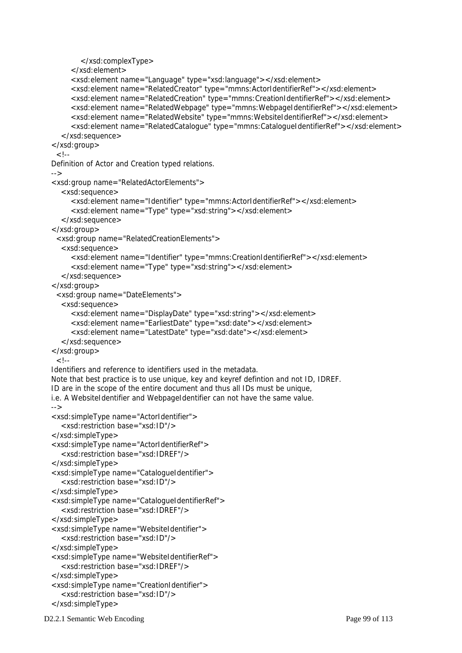```
 </xsd:complexType> 
      </xsd:element> 
      <xsd:element name="Language" type="xsd:language"></xsd:element> 
      <xsd:element name="RelatedCreator" type="mmns:ActorIdentifierRef"></xsd:element> 
      <xsd:element name="RelatedCreation" type="mmns:CreationIdentifierRef"></xsd:element> 
      <xsd:element name="RelatedWebpage" type="mmns:WebpageIdentifierRef"></xsd:element> 
      <xsd:element name="RelatedWebsite" type="mmns:WebsiteIdentifierRef"></xsd:element> 
      <xsd:element name="RelatedCatalogue" type="mmns:CatalogueIdentifierRef"></xsd:element> 
    </xsd:sequence> 
 </xsd:group> 
 <! Definition of Actor and Creation typed relations. 
 --> 
 <xsd:group name="RelatedActorElements"> 
   <xsd:sequence> 
      <xsd:element name="Identifier" type="mmns:ActorIdentifierRef"></xsd:element> 
      <xsd:element name="Type" type="xsd:string"></xsd:element> 
    </xsd:sequence> 
 </xsd:group> 
  <xsd:group name="RelatedCreationElements"> 
    <xsd:sequence> 
      <xsd:element name="Identifier" type="mmns:CreationIdentifierRef"></xsd:element> 
      <xsd:element name="Type" type="xsd:string"></xsd:element> 
    </xsd:sequence> 
 </xsd:group> 
  <xsd:group name="DateElements"> 
    <xsd:sequence> 
      <xsd:element name="DisplayDate" type="xsd:string"></xsd:element> 
      <xsd:element name="EarliestDate" type="xsd:date"></xsd:element> 
      <xsd:element name="LatestDate" type="xsd:date"></xsd:element> 
    </xsd:sequence> 
 </xsd:group> 
 \lt!--
 Identifiers and reference to identifiers used in the metadata. 
 Note that best practice is to use unique, key and keyref defintion and not ID, IDREF. 
 ID are in the scope of the entire document and thus all IDs must be unique, 
 i.e. A WebsiteIdentifier and WebpageIdentifier can not have the same value. 
 --> 
 <xsd:simpleType name="ActorIdentifier"> 
    <xsd:restriction base="xsd:ID"/> 
 </xsd:simpleType> 
 <xsd:simpleType name="ActorIdentifierRef"> 
    <xsd:restriction base="xsd:IDREF"/> 
 </xsd:simpleType> 
 <xsd:simpleType name="CatalogueIdentifier"> 
    <xsd:restriction base="xsd:ID"/> 
 </xsd:simpleType> 
 <xsd:simpleType name="CatalogueIdentifierRef"> 
    <xsd:restriction base="xsd:IDREF"/> 
 </xsd:simpleType> 
 <xsd:simpleType name="WebsiteIdentifier"> 
    <xsd:restriction base="xsd:ID"/> 
 </xsd:simpleType> 
 <xsd:simpleType name="WebsiteIdentifierRef"> 
    <xsd:restriction base="xsd:IDREF"/> 
 </xsd:simpleType> 
 <xsd:simpleType name="CreationIdentifier"> 
    <xsd:restriction base="xsd:ID"/> 
 </xsd:simpleType>
```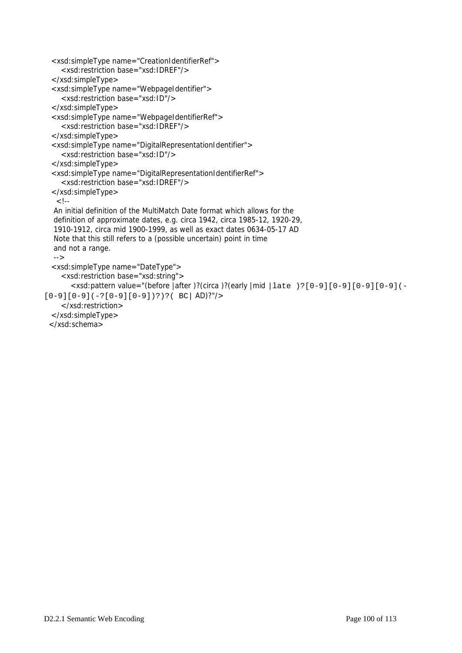```
 <xsd:simpleType name="CreationIdentifierRef"> 
      <xsd:restriction base="xsd:IDREF"/> 
   </xsd:simpleType> 
   <xsd:simpleType name="WebpageIdentifier"> 
     <xsd:restriction base="xsd:ID"/> 
   </xsd:simpleType> 
   <xsd:simpleType name="WebpageIdentifierRef"> 
      <xsd:restriction base="xsd:IDREF"/> 
  </xsd:simpleType> 
   <xsd:simpleType name="DigitalRepresentationIdentifier"> 
      <xsd:restriction base="xsd:ID"/> 
   </xsd:simpleType> 
   <xsd:simpleType name="DigitalRepresentationIdentifierRef"> 
      <xsd:restriction base="xsd:IDREF"/> 
   </xsd:simpleType> 
   \lt !--
   An initial definition of the MultiMatch Date format which allows for the 
   definition of approximate dates, e.g. circa 1942, circa 1985-12, 1920-29, 
   1910-1912, circa mid 1900-1999, as well as exact dates 0634-05-17 AD 
   Note that this still refers to a (possible uncertain) point in time 
   and not a range. 
   --> 
   <xsd:simpleType name="DateType"> 
     <xsd:restriction base="xsd:string"> 
        <xsd:pattern value="(before |after )?(circa )?(early |mid |late )?[0-9][0-9][0-9][0-9](-
[0-9][0-9](-?[0-9][0-9])?)?(BC AD)?"/>
     </xsd:restriction> 
   </xsd:simpleType> 
  </xsd:schema>
```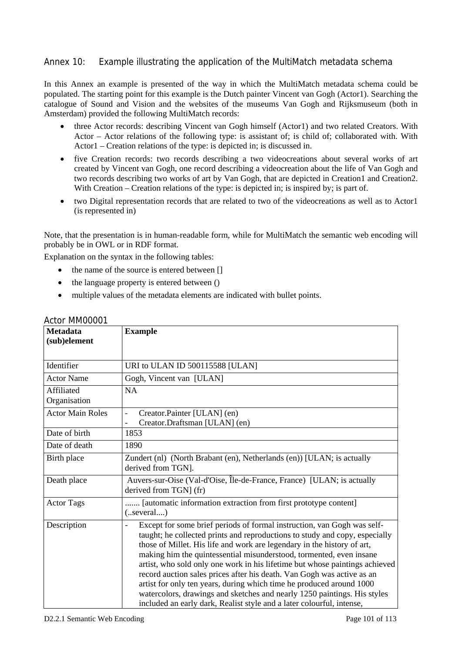### Annex 10: Example illustrating the application of the MultiMatch metadata schema

In this Annex an example is presented of the way in which the MultiMatch metadata schema could be populated. The starting point for this example is the Dutch painter Vincent van Gogh (Actor1). Searching the catalogue of Sound and Vision and the websites of the museums Van Gogh and Rijksmuseum (both in Amsterdam) provided the following MultiMatch records:

- three Actor records: describing Vincent van Gogh himself (Actor1) and two related Creators. With Actor – Actor relations of the following type: is assistant of; is child of; collaborated with. With Actor1 – Creation relations of the type: is depicted in; is discussed in.
- five Creation records: two records describing a two videocreations about several works of art created by Vincent van Gogh, one record describing a videocreation about the life of Van Gogh and two records describing two works of art by Van Gogh, that are depicted in Creation1 and Creation2. With Creation – Creation relations of the type: is depicted in; is inspired by; is part of.
- two Digital representation records that are related to two of the videocreations as well as to Actor1 (is represented in)

Note, that the presentation is in human-readable form, while for MultiMatch the semantic web encoding will probably be in OWL or in RDF format.

Explanation on the syntax in the following tables:

- the name of the source is entered between []
- the language property is entered between ()
- multiple values of the metadata elements are indicated with bullet points.

| <b>Metadata</b>         | <b>Example</b>                                                              |
|-------------------------|-----------------------------------------------------------------------------|
| (sub)element            |                                                                             |
|                         |                                                                             |
| Identifier              | URI to ULAN ID 500115588 [ULAN]                                             |
| <b>Actor Name</b>       | Gogh, Vincent van [ULAN]                                                    |
| Affiliated              | <b>NA</b>                                                                   |
| Organisation            |                                                                             |
| <b>Actor Main Roles</b> | Creator.Painter [ULAN] (en)                                                 |
|                         | Creator.Draftsman [ULAN] (en)                                               |
| Date of birth           | 1853                                                                        |
| Date of death           | 1890                                                                        |
| Birth place             | Zundert (nl) (North Brabant (en), Netherlands (en)) [ULAN; is actually      |
|                         | derived from TGN].                                                          |
| Death place             | Auvers-sur-Oise (Val-d'Oise, Île-de-France, France) [ULAN; is actually      |
|                         | derived from TGN (fr)                                                       |
| <b>Actor Tags</b>       | [automatic information extraction from first prototype content]             |
|                         | $($ several)                                                                |
| Description             | Except for some brief periods of formal instruction, van Gogh was self-     |
|                         | taught; he collected prints and reproductions to study and copy, especially |
|                         | those of Millet. His life and work are legendary in the history of art,     |
|                         | making him the quintessential misunderstood, tormented, even insane         |
|                         | artist, who sold only one work in his lifetime but whose paintings achieved |
|                         | record auction sales prices after his death. Van Gogh was active as an      |
|                         | artist for only ten years, during which time he produced around 1000        |
|                         | watercolors, drawings and sketches and nearly 1250 paintings. His styles    |
|                         | included an early dark, Realist style and a later colourful, intense,       |

#### Actor MM00001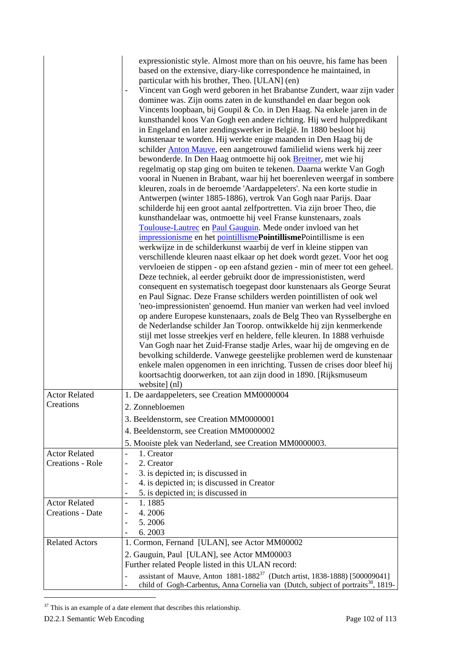|                         | expressionistic style. Almost more than on his oeuvre, his fame has been<br>based on the extensive, diary-like correspondence he maintained, in<br>particular with his brother, Theo. [ULAN] (en)<br>Vincent van Gogh werd geboren in het Brabantse Zundert, waar zijn vader<br>dominee was. Zijn ooms zaten in de kunsthandel en daar begon ook<br>Vincents loopbaan, bij Goupil & Co. in Den Haag. Na enkele jaren in de<br>kunsthandel koos Van Gogh een andere richting. Hij werd hulppredikant<br>in Engeland en later zendingswerker in België. In 1880 besloot hij<br>kunstenaar te worden. Hij werkte enige maanden in Den Haag bij de<br>schilder Anton Mauve, een aangetrouwd familielid wiens werk hij zeer<br>bewonderde. In Den Haag ontmoette hij ook <b>Breitner</b> , met wie hij<br>regelmatig op stap ging om buiten te tekenen. Daarna werkte Van Gogh<br>vooral in Nuenen in Brabant, waar hij het boerenleven weergaf in sombere<br>kleuren, zoals in de beroemde 'Aardappeleters'. Na een korte studie in<br>Antwerpen (winter 1885-1886), vertrok Van Gogh naar Parijs. Daar<br>schilderde hij een groot aantal zelfportretten. Via zijn broer Theo, die<br>kunsthandelaar was, ontmoette hij veel Franse kunstenaars, zoals<br>Toulouse-Lautrec en Paul Gauguin. Mede onder invloed van het<br>impressionisme en het pointillismePointillismePointillisme is een<br>werkwijze in de schilderkunst waarbij de verf in kleine stippen van<br>verschillende kleuren naast elkaar op het doek wordt gezet. Voor het oog<br>vervloeien de stippen - op een afstand gezien - min of meer tot een geheel.<br>Deze techniek, al eerder gebruikt door de impressionististen, werd<br>consequent en systematisch toegepast door kunstenaars als George Seurat<br>en Paul Signac. Deze Franse schilders werden pointillisten of ook wel<br>'neo-impressionisten' genoemd. Hun manier van werken had veel invloed<br>op andere Europese kunstenaars, zoals de Belg Theo van Rysselberghe en<br>de Nederlandse schilder Jan Toorop. ontwikkelde hij zijn kenmerkende<br>stijl met losse streekjes verf en heldere, felle kleuren. In 1888 verhuisde<br>Van Gogh naar het Zuid-Franse stadje Arles, waar hij de omgeving en de<br>bevolking schilderde. Vanwege geestelijke problemen werd de kunstenaar<br>enkele malen opgenomen in een inrichting. Tussen de crises door bleef hij |
|-------------------------|-------------------------------------------------------------------------------------------------------------------------------------------------------------------------------------------------------------------------------------------------------------------------------------------------------------------------------------------------------------------------------------------------------------------------------------------------------------------------------------------------------------------------------------------------------------------------------------------------------------------------------------------------------------------------------------------------------------------------------------------------------------------------------------------------------------------------------------------------------------------------------------------------------------------------------------------------------------------------------------------------------------------------------------------------------------------------------------------------------------------------------------------------------------------------------------------------------------------------------------------------------------------------------------------------------------------------------------------------------------------------------------------------------------------------------------------------------------------------------------------------------------------------------------------------------------------------------------------------------------------------------------------------------------------------------------------------------------------------------------------------------------------------------------------------------------------------------------------------------------------------------------------------------------------------------------------------------------------------------------------------------------------------------------------------------------------------------------------------------------------------------------------------------------------------------------------------------------------------------------------------------------------------------------------------------------------------------------------------------------------------------------------------|
|                         | koortsachtig doorwerken, tot aan zijn dood in 1890. [Rijksmuseum<br>website] (nl)                                                                                                                                                                                                                                                                                                                                                                                                                                                                                                                                                                                                                                                                                                                                                                                                                                                                                                                                                                                                                                                                                                                                                                                                                                                                                                                                                                                                                                                                                                                                                                                                                                                                                                                                                                                                                                                                                                                                                                                                                                                                                                                                                                                                                                                                                                               |
| <b>Actor Related</b>    | 1. De aardappeleters, see Creation MM0000004                                                                                                                                                                                                                                                                                                                                                                                                                                                                                                                                                                                                                                                                                                                                                                                                                                                                                                                                                                                                                                                                                                                                                                                                                                                                                                                                                                                                                                                                                                                                                                                                                                                                                                                                                                                                                                                                                                                                                                                                                                                                                                                                                                                                                                                                                                                                                    |
| Creations               | 2. Zonnebloemen                                                                                                                                                                                                                                                                                                                                                                                                                                                                                                                                                                                                                                                                                                                                                                                                                                                                                                                                                                                                                                                                                                                                                                                                                                                                                                                                                                                                                                                                                                                                                                                                                                                                                                                                                                                                                                                                                                                                                                                                                                                                                                                                                                                                                                                                                                                                                                                 |
|                         | 3. Beeldenstorm, see Creation MM0000001                                                                                                                                                                                                                                                                                                                                                                                                                                                                                                                                                                                                                                                                                                                                                                                                                                                                                                                                                                                                                                                                                                                                                                                                                                                                                                                                                                                                                                                                                                                                                                                                                                                                                                                                                                                                                                                                                                                                                                                                                                                                                                                                                                                                                                                                                                                                                         |
|                         | 4. Beeldenstorm, see Creation MM0000002                                                                                                                                                                                                                                                                                                                                                                                                                                                                                                                                                                                                                                                                                                                                                                                                                                                                                                                                                                                                                                                                                                                                                                                                                                                                                                                                                                                                                                                                                                                                                                                                                                                                                                                                                                                                                                                                                                                                                                                                                                                                                                                                                                                                                                                                                                                                                         |
|                         | 5. Mooiste plek van Nederland, see Creation MM0000003.                                                                                                                                                                                                                                                                                                                                                                                                                                                                                                                                                                                                                                                                                                                                                                                                                                                                                                                                                                                                                                                                                                                                                                                                                                                                                                                                                                                                                                                                                                                                                                                                                                                                                                                                                                                                                                                                                                                                                                                                                                                                                                                                                                                                                                                                                                                                          |
| <b>Actor Related</b>    | 1. Creator<br>$\overline{a}$                                                                                                                                                                                                                                                                                                                                                                                                                                                                                                                                                                                                                                                                                                                                                                                                                                                                                                                                                                                                                                                                                                                                                                                                                                                                                                                                                                                                                                                                                                                                                                                                                                                                                                                                                                                                                                                                                                                                                                                                                                                                                                                                                                                                                                                                                                                                                                    |
| <b>Creations - Role</b> | 2. Creator                                                                                                                                                                                                                                                                                                                                                                                                                                                                                                                                                                                                                                                                                                                                                                                                                                                                                                                                                                                                                                                                                                                                                                                                                                                                                                                                                                                                                                                                                                                                                                                                                                                                                                                                                                                                                                                                                                                                                                                                                                                                                                                                                                                                                                                                                                                                                                                      |
|                         | 3. is depicted in; is discussed in                                                                                                                                                                                                                                                                                                                                                                                                                                                                                                                                                                                                                                                                                                                                                                                                                                                                                                                                                                                                                                                                                                                                                                                                                                                                                                                                                                                                                                                                                                                                                                                                                                                                                                                                                                                                                                                                                                                                                                                                                                                                                                                                                                                                                                                                                                                                                              |
|                         | 4. is depicted in; is discussed in Creator<br>5. is depicted in; is discussed in                                                                                                                                                                                                                                                                                                                                                                                                                                                                                                                                                                                                                                                                                                                                                                                                                                                                                                                                                                                                                                                                                                                                                                                                                                                                                                                                                                                                                                                                                                                                                                                                                                                                                                                                                                                                                                                                                                                                                                                                                                                                                                                                                                                                                                                                                                                |
| <b>Actor Related</b>    | 1.1885                                                                                                                                                                                                                                                                                                                                                                                                                                                                                                                                                                                                                                                                                                                                                                                                                                                                                                                                                                                                                                                                                                                                                                                                                                                                                                                                                                                                                                                                                                                                                                                                                                                                                                                                                                                                                                                                                                                                                                                                                                                                                                                                                                                                                                                                                                                                                                                          |
| Creations - Date        | 4.2006                                                                                                                                                                                                                                                                                                                                                                                                                                                                                                                                                                                                                                                                                                                                                                                                                                                                                                                                                                                                                                                                                                                                                                                                                                                                                                                                                                                                                                                                                                                                                                                                                                                                                                                                                                                                                                                                                                                                                                                                                                                                                                                                                                                                                                                                                                                                                                                          |
|                         | 5.2006                                                                                                                                                                                                                                                                                                                                                                                                                                                                                                                                                                                                                                                                                                                                                                                                                                                                                                                                                                                                                                                                                                                                                                                                                                                                                                                                                                                                                                                                                                                                                                                                                                                                                                                                                                                                                                                                                                                                                                                                                                                                                                                                                                                                                                                                                                                                                                                          |
|                         | 6.2003                                                                                                                                                                                                                                                                                                                                                                                                                                                                                                                                                                                                                                                                                                                                                                                                                                                                                                                                                                                                                                                                                                                                                                                                                                                                                                                                                                                                                                                                                                                                                                                                                                                                                                                                                                                                                                                                                                                                                                                                                                                                                                                                                                                                                                                                                                                                                                                          |
| <b>Related Actors</b>   | 1. Cormon, Fernand [ULAN], see Actor MM00002                                                                                                                                                                                                                                                                                                                                                                                                                                                                                                                                                                                                                                                                                                                                                                                                                                                                                                                                                                                                                                                                                                                                                                                                                                                                                                                                                                                                                                                                                                                                                                                                                                                                                                                                                                                                                                                                                                                                                                                                                                                                                                                                                                                                                                                                                                                                                    |
|                         | 2. Gauguin, Paul [ULAN], see Actor MM00003                                                                                                                                                                                                                                                                                                                                                                                                                                                                                                                                                                                                                                                                                                                                                                                                                                                                                                                                                                                                                                                                                                                                                                                                                                                                                                                                                                                                                                                                                                                                                                                                                                                                                                                                                                                                                                                                                                                                                                                                                                                                                                                                                                                                                                                                                                                                                      |
|                         | Further related People listed in this ULAN record:                                                                                                                                                                                                                                                                                                                                                                                                                                                                                                                                                                                                                                                                                                                                                                                                                                                                                                                                                                                                                                                                                                                                                                                                                                                                                                                                                                                                                                                                                                                                                                                                                                                                                                                                                                                                                                                                                                                                                                                                                                                                                                                                                                                                                                                                                                                                              |
|                         | assistant of Mauve, Anton 1881-1882 <sup>37</sup> (Dutch artist, 1838-1888) [500009041]<br>child of Gogh-Carbentus, Anna Cornelia van (Dutch, subject of portraits <sup>38</sup> , 1819-                                                                                                                                                                                                                                                                                                                                                                                                                                                                                                                                                                                                                                                                                                                                                                                                                                                                                                                                                                                                                                                                                                                                                                                                                                                                                                                                                                                                                                                                                                                                                                                                                                                                                                                                                                                                                                                                                                                                                                                                                                                                                                                                                                                                        |

 $37$  This is an example of a date element that describes this relationship.

l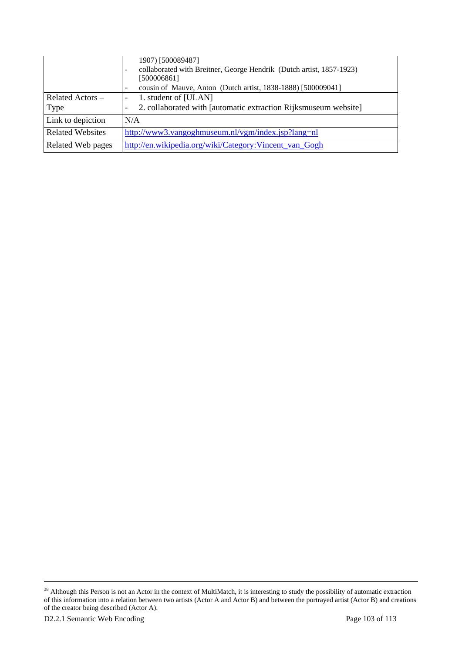|                         | 1907) [500089487]<br>collaborated with Breitner, George Hendrik (Dutch artist, 1857-1923)<br>$\overline{\phantom{a}}$<br>[500006861]<br>cousin of Mauve, Anton (Dutch artist, 1838-1888) [500009041]<br>$\overline{\phantom{0}}$ |
|-------------------------|----------------------------------------------------------------------------------------------------------------------------------------------------------------------------------------------------------------------------------|
| Related Actors -        | 1. student of [ULAN]<br>$\overline{\phantom{a}}$                                                                                                                                                                                 |
| Type                    | 2. collaborated with [automatic extraction Rijksmuseum website]<br>$\overline{\phantom{a}}$                                                                                                                                      |
| Link to depiction       | N/A                                                                                                                                                                                                                              |
| <b>Related Websites</b> | http://www3.vangoghmuseum.nl/vgm/index.jsp?lang=nl                                                                                                                                                                               |
| Related Web pages       | http://en.wikipedia.org/wiki/Category:Vincent_van_Gogh                                                                                                                                                                           |

 $38$  Although this Person is not an Actor in the context of MultiMatch, it is interesting to study the possibility of automatic extraction of this information into a relation between two artists (Actor A and Actor B) and between the portrayed artist (Actor B) and creations of the creator being described (Actor A).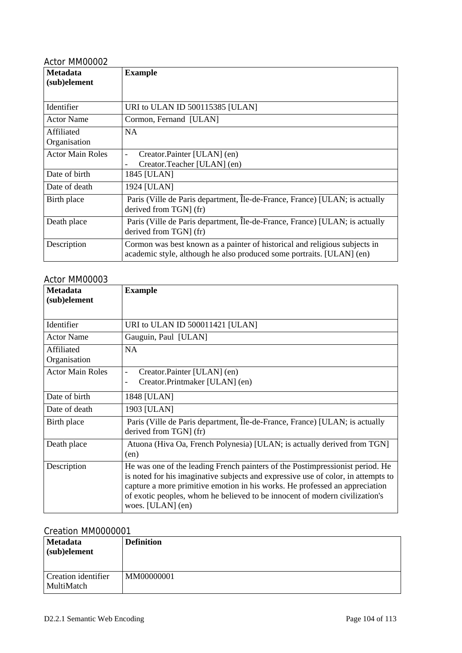| <b>Metadata</b><br>(sub)element | <b>Example</b>                                                                                                                                      |
|---------------------------------|-----------------------------------------------------------------------------------------------------------------------------------------------------|
| Identifier                      | URI to ULAN ID 500115385 [ULAN]                                                                                                                     |
| <b>Actor Name</b>               | Cormon, Fernand [ULAN]                                                                                                                              |
| Affiliated<br>Organisation      | <b>NA</b>                                                                                                                                           |
| <b>Actor Main Roles</b>         | Creator.Painter [ULAN] (en)<br>$\overline{\phantom{0}}$<br>Creator.Teacher [ULAN] (en)                                                              |
| Date of birth                   | 1845 [ULAN]                                                                                                                                         |
| Date of death                   | 1924 [ULAN]                                                                                                                                         |
| Birth place                     | Paris (Ville de Paris department, Île-de-France, France) [ULAN; is actually<br>derived from TGN (fr)                                                |
| Death place                     | Paris (Ville de Paris department, Île-de-France, France) [ULAN; is actually<br>derived from TGN (fr)                                                |
| Description                     | Cormon was best known as a painter of historical and religious subjects in<br>academic style, although he also produced some portraits. [ULAN] (en) |

# Actor MM00003

| <b>Metadata</b><br>(sub)element | <b>Example</b>                                                                                                                                                                                                                                                                                                                                        |
|---------------------------------|-------------------------------------------------------------------------------------------------------------------------------------------------------------------------------------------------------------------------------------------------------------------------------------------------------------------------------------------------------|
| Identifier                      | URI to ULAN ID 500011421 [ULAN]                                                                                                                                                                                                                                                                                                                       |
| <b>Actor Name</b>               | Gauguin, Paul [ULAN]                                                                                                                                                                                                                                                                                                                                  |
| Affiliated<br>Organisation      | <b>NA</b>                                                                                                                                                                                                                                                                                                                                             |
| <b>Actor Main Roles</b>         | Creator.Painter [ULAN] (en)<br>-<br>Creator.Printmaker [ULAN] (en)<br>-                                                                                                                                                                                                                                                                               |
| Date of birth                   | 1848 [ULAN]                                                                                                                                                                                                                                                                                                                                           |
| Date of death                   | 1903 [ULAN]                                                                                                                                                                                                                                                                                                                                           |
| Birth place                     | Paris (Ville de Paris department, Île-de-France, France) [ULAN; is actually<br>derived from TGN] (fr)                                                                                                                                                                                                                                                 |
| Death place                     | Atuona (Hiva Oa, French Polynesia) [ULAN; is actually derived from TGN]<br>(en)                                                                                                                                                                                                                                                                       |
| Description                     | He was one of the leading French painters of the Postimpressionist period. He<br>is noted for his imaginative subjects and expressive use of color, in attempts to<br>capture a more primitive emotion in his works. He professed an appreciation<br>of exotic peoples, whom he believed to be innocent of modern civilization's<br>woes. [ULAN] (en) |

# Creation MM0000001

| <b>Metadata</b><br>(sub)element   | <b>Definition</b> |
|-----------------------------------|-------------------|
| Creation identifier<br>MultiMatch | MM00000001        |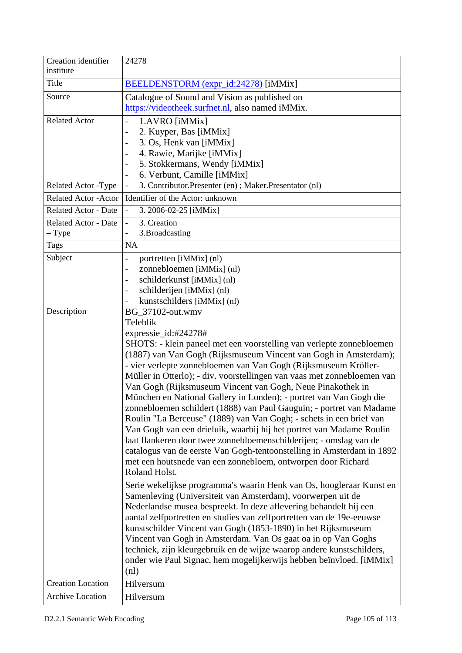| institute<br>Title<br>BEELDENSTORM (expr_id:24278) [iMMix]                     |  |
|--------------------------------------------------------------------------------|--|
|                                                                                |  |
|                                                                                |  |
| Source<br>Catalogue of Sound and Vision as published on                        |  |
| https://videotheek.surfnet.nl, also named iMMix.                               |  |
| <b>Related Actor</b><br>1.AVRO [iMMix]                                         |  |
| 2. Kuyper, Bas [iMMix]                                                         |  |
| 3. Os, Henk van [iMMix]<br>4. Rawie, Marijke [iMMix]                           |  |
| 5. Stokkermans, Wendy [iMMix]                                                  |  |
| 6. Verbunt, Camille [iMMix]                                                    |  |
| 3. Contributor. Presenter (en); Maker. Presentator (nl)<br>Related Actor -Type |  |
| Identifier of the Actor: unknown<br><b>Related Actor - Actor</b>               |  |
| <b>Related Actor - Date</b><br>3. 2006-02-25 [iMMix]                           |  |
| 3. Creation<br><b>Related Actor - Date</b>                                     |  |
| $-$ Type<br>3. Broadcasting                                                    |  |
| <b>NA</b><br>Tags                                                              |  |
| Subject<br>portretten [iMMix] (nl)<br>$\qquad \qquad -$                        |  |
| zonnebloemen [iMMix] (nl)                                                      |  |
| schilderkunst [iMMix] (nl)<br>$\qquad \qquad -$                                |  |
| schilderijen [iMMix] (nl)<br>$\overline{\phantom{a}}$                          |  |
| kunstschilders [iMMix] (nl)                                                    |  |
| Description<br>BG_37102-out.wmv                                                |  |
| Teleblik                                                                       |  |
| expressie_id:#24278#                                                           |  |
| SHOTS: - klein paneel met een voorstelling van verlepte zonnebloemen           |  |
| (1887) van Van Gogh (Rijksmuseum Vincent van Gogh in Amsterdam);               |  |
| - vier verlepte zonnebloemen van Van Gogh (Rijksmuseum Kröller-                |  |
| Müller in Otterlo); - div. voorstellingen van vaas met zonnebloemen van        |  |
| Van Gogh (Rijksmuseum Vincent van Gogh, Neue Pinakothek in                     |  |
| München en National Gallery in Londen); - portret van Van Gogh die             |  |
| zonnebloemen schildert (1888) van Paul Gauguin; - portret van Madame           |  |
| Roulin "La Berceuse" (1889) van Van Gogh; - schets in een brief van            |  |
| Van Gogh van een drieluik, waarbij hij het portret van Madame Roulin           |  |
| laat flankeren door twee zonnebloemenschilderijen; - omslag van de             |  |
| catalogus van de eerste Van Gogh-tentoonstelling in Amsterdam in 1892          |  |
| met een houtsnede van een zonnebloem, ontworpen door Richard<br>Roland Holst.  |  |
| Serie wekelijkse programma's waarin Henk van Os, hoogleraar Kunst en           |  |
| Samenleving (Universiteit van Amsterdam), voorwerpen uit de                    |  |
| Nederlandse musea bespreekt. In deze aflevering behandelt hij een              |  |
| aantal zelfportretten en studies van zelfportretten van de 19e-eeuwse          |  |
| kunstschilder Vincent van Gogh (1853-1890) in het Rijksmuseum                  |  |
| Vincent van Gogh in Amsterdam. Van Os gaat oa in op Van Goghs                  |  |
| techniek, zijn kleurgebruik en de wijze waarop andere kunstschilders,          |  |
| onder wie Paul Signac, hem mogelijkerwijs hebben beïnvloed. [iMMix]            |  |
| (n!)                                                                           |  |
| <b>Creation Location</b><br>Hilversum                                          |  |
| Archive Location<br>Hilversum                                                  |  |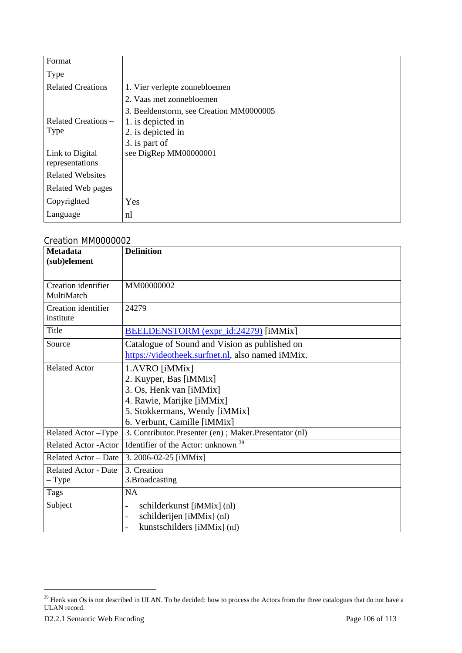| Format                   |                                         |
|--------------------------|-----------------------------------------|
| Type                     |                                         |
| <b>Related Creations</b> | 1. Vier verlepte zonnebloemen           |
|                          | 2. Vaas met zonnebloemen                |
|                          | 3. Beeldenstorm, see Creation MM0000005 |
| Related Creations –      | 1. is depicted in                       |
| Type                     | 2. is depicted in                       |
|                          | 3. is part of                           |
| Link to Digital          | see DigRep MM00000001                   |
| representations          |                                         |
| <b>Related Websites</b>  |                                         |
| Related Web pages        |                                         |
| Copyrighted              | Yes                                     |
| Language                 | nl                                      |

#### Creation MM0000002

| <b>Metadata</b><br>(sub)element        | <b>Definition</b>                                                                                                                                                |
|----------------------------------------|------------------------------------------------------------------------------------------------------------------------------------------------------------------|
| Creation identifier<br>MultiMatch      | MM00000002                                                                                                                                                       |
| Creation identifier<br>institute       | 24279                                                                                                                                                            |
| Title                                  | BEELDENSTORM (expr_id:24279) [iMMix]                                                                                                                             |
| Source                                 | Catalogue of Sound and Vision as published on<br>https://videotheek.surfnet.nl, also named iMMix.                                                                |
| <b>Related Actor</b>                   | 1.AVRO [iMMix]<br>2. Kuyper, Bas [iMMix]<br>3. Os, Henk van [iMMix]<br>4. Rawie, Marijke [iMMix]<br>5. Stokkermans, Wendy [iMMix]<br>6. Verbunt, Camille [iMMix] |
| Related Actor - Type                   | 3. Contributor. Presenter (en); Maker. Presentator (nl)                                                                                                          |
| <b>Related Actor - Actor</b>           | Identifier of the Actor: unknown                                                                                                                                 |
| Related Actor - Date                   | 3. 2006-02-25 [iMMix]                                                                                                                                            |
| <b>Related Actor - Date</b><br>$-Type$ | 3. Creation<br>3. Broadcasting                                                                                                                                   |
| Tags                                   | <b>NA</b>                                                                                                                                                        |
| Subject                                | schilderkunst [iMMix] (nl)<br>$\overline{\phantom{0}}$<br>schilderijen [iMMix] (nl)<br>kunstschilders [iMMix] (nl)<br>$\overline{a}$                             |

l

 $39$  Henk van Os is not described in ULAN. To be decided: how to process the Actors from the three catalogues that do not have a ULAN record.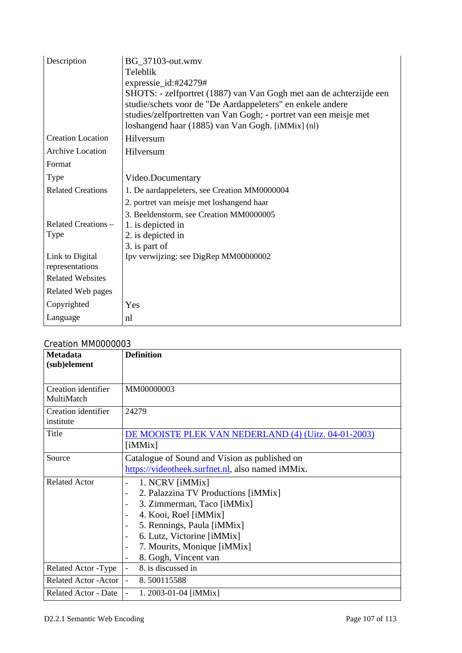| Description                        | BG_37103-out.wmv<br>Teleblik<br>expressie_id:#24279#<br>SHOTS: - zelfportret (1887) van Van Gogh met aan de achterzijde een                                                          |
|------------------------------------|--------------------------------------------------------------------------------------------------------------------------------------------------------------------------------------|
|                                    | studie/schets voor de "De Aardappeleters" en enkele andere<br>studies/zelfportretten van Van Gogh; - portret van een meisje met<br>loshangend haar (1885) van Van Gogh. [iMMix] (nl) |
| <b>Creation Location</b>           | Hilversum                                                                                                                                                                            |
| <b>Archive Location</b>            | Hilversum                                                                                                                                                                            |
| Format                             |                                                                                                                                                                                      |
| Type                               | Video.Documentary                                                                                                                                                                    |
| <b>Related Creations</b>           | 1. De aardappeleters, see Creation MM0000004                                                                                                                                         |
|                                    | 2. portret van meisje met loshangend haar                                                                                                                                            |
| Related Creations -<br>Type        | 3. Beeldenstorm, see Creation MM0000005<br>1. is depicted in<br>2. is depicted in<br>3. is part of                                                                                   |
| Link to Digital<br>representations | Ipv verwijzing: see DigRep MM00000002                                                                                                                                                |
| <b>Related Websites</b>            |                                                                                                                                                                                      |
| Related Web pages                  |                                                                                                                                                                                      |
| Copyrighted                        | Yes                                                                                                                                                                                  |
| Language                           | n                                                                                                                                                                                    |

#### Creation MM0000003

| <b>Metadata</b><br>(sub)element   | <b>Definition</b>                                                                                                                                                                                                                                                                                                    |
|-----------------------------------|----------------------------------------------------------------------------------------------------------------------------------------------------------------------------------------------------------------------------------------------------------------------------------------------------------------------|
| Creation identifier<br>MultiMatch | MM00000003                                                                                                                                                                                                                                                                                                           |
| Creation identifier<br>institute  | 24279                                                                                                                                                                                                                                                                                                                |
| Title                             | DE MOOISTE PLEK VAN NEDERLAND (4) (Uitz. 04-01-2003)<br>[iMMix]                                                                                                                                                                                                                                                      |
| Source                            | Catalogue of Sound and Vision as published on<br>https://videotheek.surfnet.nl, also named iMMix.                                                                                                                                                                                                                    |
| <b>Related Actor</b>              | 1. NCRV [iMMix]<br>$\overline{\phantom{0}}$<br>2. Palazzina TV Productions [iMMix]<br>3. Zimmerman, Taco [iMMix]<br>4. Kooi, Roel [iMMix]<br>5. Rennings, Paula [iMMix]<br>$\overline{\phantom{a}}$<br>6. Lutz, Victorine [iMMix]<br>$\overline{\phantom{a}}$<br>7. Mourits, Monique [iMMix]<br>8. Gogh, Vincent van |
| Related Actor -Type               | 8. is discussed in                                                                                                                                                                                                                                                                                                   |
| <b>Related Actor - Actor</b>      | 8.500115588                                                                                                                                                                                                                                                                                                          |
| <b>Related Actor - Date</b>       | 1. 2003-01-04 [iMMix]                                                                                                                                                                                                                                                                                                |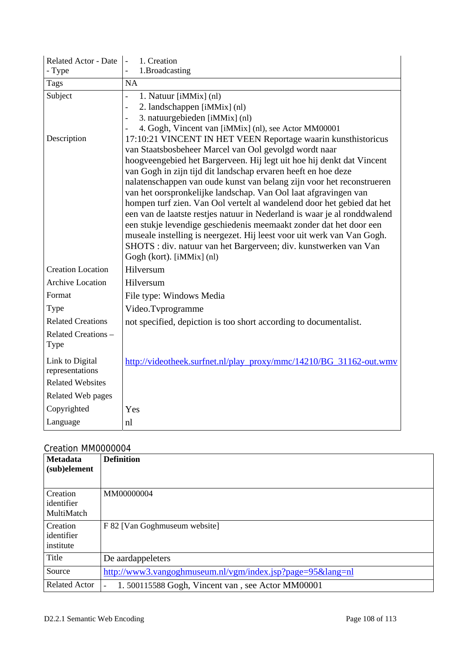| <b>Related Actor - Date</b>        | 1. Creation                                                                                                                                                                                                                                                                                                                                                                                                                                                                                                                                     |
|------------------------------------|-------------------------------------------------------------------------------------------------------------------------------------------------------------------------------------------------------------------------------------------------------------------------------------------------------------------------------------------------------------------------------------------------------------------------------------------------------------------------------------------------------------------------------------------------|
| - Type                             | 1.Broadcasting                                                                                                                                                                                                                                                                                                                                                                                                                                                                                                                                  |
| <b>Tags</b>                        | NA                                                                                                                                                                                                                                                                                                                                                                                                                                                                                                                                              |
| Subject                            | 1. Natuur [iMMix] (nl)<br>$\overline{a}$                                                                                                                                                                                                                                                                                                                                                                                                                                                                                                        |
|                                    | 2. landschappen [iMMix] (nl)<br>$\overline{a}$                                                                                                                                                                                                                                                                                                                                                                                                                                                                                                  |
|                                    | 3. natuurgebieden [iMMix] (nl)<br>$\overline{a}$                                                                                                                                                                                                                                                                                                                                                                                                                                                                                                |
|                                    | 4. Gogh, Vincent van [iMMix] (nl), see Actor MM00001                                                                                                                                                                                                                                                                                                                                                                                                                                                                                            |
| Description                        | 17:10:21 VINCENT IN HET VEEN Reportage waarin kunsthistoricus<br>van Staatsbosbeheer Marcel van Ool gevolgd wordt naar                                                                                                                                                                                                                                                                                                                                                                                                                          |
|                                    | hoogveengebied het Bargerveen. Hij legt uit hoe hij denkt dat Vincent                                                                                                                                                                                                                                                                                                                                                                                                                                                                           |
|                                    | van Gogh in zijn tijd dit landschap ervaren heeft en hoe deze                                                                                                                                                                                                                                                                                                                                                                                                                                                                                   |
|                                    | nalatenschappen van oude kunst van belang zijn voor het reconstrueren<br>van het oorspronkelijke landschap. Van Ool laat afgravingen van<br>hompen turf zien. Van Ool vertelt al wandelend door het gebied dat het<br>een van de laatste restjes natuur in Nederland is waar je al ronddwalend<br>een stukje levendige geschiedenis meemaakt zonder dat het door een<br>museale instelling is neergezet. Hij leest voor uit werk van Van Gogh.<br>SHOTS : div. natuur van het Bargerveen; div. kunstwerken van Van<br>Gogh (kort). [iMMix] (nl) |
| <b>Creation Location</b>           | Hilversum                                                                                                                                                                                                                                                                                                                                                                                                                                                                                                                                       |
| <b>Archive Location</b>            | Hilversum                                                                                                                                                                                                                                                                                                                                                                                                                                                                                                                                       |
| Format                             | File type: Windows Media                                                                                                                                                                                                                                                                                                                                                                                                                                                                                                                        |
| Type                               | Video.Tvprogramme                                                                                                                                                                                                                                                                                                                                                                                                                                                                                                                               |
| <b>Related Creations</b>           | not specified, depiction is too short according to documentalist.                                                                                                                                                                                                                                                                                                                                                                                                                                                                               |
| Related Creations -<br>Type        |                                                                                                                                                                                                                                                                                                                                                                                                                                                                                                                                                 |
| Link to Digital<br>representations | http://videotheek.surfnet.nl/play_proxy/mmc/14210/BG_31162-out.wmv                                                                                                                                                                                                                                                                                                                                                                                                                                                                              |
| <b>Related Websites</b>            |                                                                                                                                                                                                                                                                                                                                                                                                                                                                                                                                                 |
| <b>Related Web pages</b>           |                                                                                                                                                                                                                                                                                                                                                                                                                                                                                                                                                 |
| Copyrighted                        | Yes                                                                                                                                                                                                                                                                                                                                                                                                                                                                                                                                             |
| Language                           | nl                                                                                                                                                                                                                                                                                                                                                                                                                                                                                                                                              |

| <b>Metadata</b><br>(sub)element      | <b>Definition</b>                                      |
|--------------------------------------|--------------------------------------------------------|
| Creation<br>identifier<br>MultiMatch | MM00000004                                             |
| Creation<br>identifier<br>institute  | F 82 [Van Goghmuseum website]                          |
| Title                                | De aardappeleters                                      |
| Source                               | http://www3.vangoghmuseum.nl/vgm/index.jsp?page=95⟨=nl |
| <b>Related Actor</b>                 | 1.500115588 Gogh, Vincent van, see Actor MM00001       |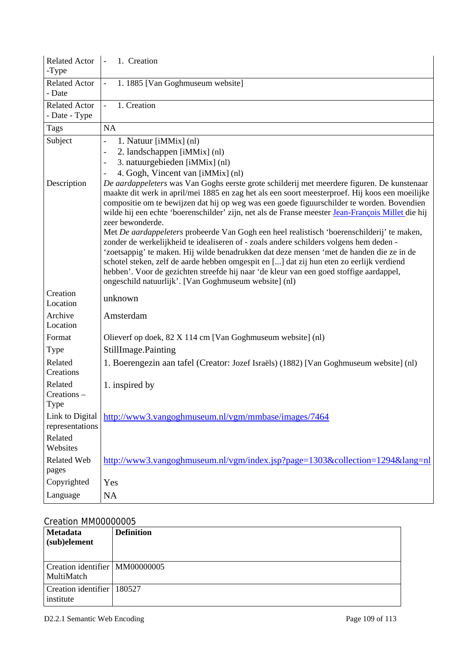| <b>Related Actor</b><br>-Type         | 1. Creation                                                                                                                                                                                                                                                                                                                                                                                                                                                                                                                                                                                                                                                                                                                                                                                                                                                                                                                                               |
|---------------------------------------|-----------------------------------------------------------------------------------------------------------------------------------------------------------------------------------------------------------------------------------------------------------------------------------------------------------------------------------------------------------------------------------------------------------------------------------------------------------------------------------------------------------------------------------------------------------------------------------------------------------------------------------------------------------------------------------------------------------------------------------------------------------------------------------------------------------------------------------------------------------------------------------------------------------------------------------------------------------|
| <b>Related Actor</b><br>- Date        | 1. 1885 [Van Goghmuseum website]                                                                                                                                                                                                                                                                                                                                                                                                                                                                                                                                                                                                                                                                                                                                                                                                                                                                                                                          |
| <b>Related Actor</b><br>- Date - Type | 1. Creation                                                                                                                                                                                                                                                                                                                                                                                                                                                                                                                                                                                                                                                                                                                                                                                                                                                                                                                                               |
| Tags                                  | NA                                                                                                                                                                                                                                                                                                                                                                                                                                                                                                                                                                                                                                                                                                                                                                                                                                                                                                                                                        |
| Subject                               | 1. Natuur [iMMix] (nl)<br>$\overline{\phantom{0}}$<br>2. landschappen [iMMix] (nl)<br>3. natuurgebieden [iMMix] (nl)<br>4. Gogh, Vincent van [iMMix] (nl)                                                                                                                                                                                                                                                                                                                                                                                                                                                                                                                                                                                                                                                                                                                                                                                                 |
| Description                           | De aardappeleters was Van Goghs eerste grote schilderij met meerdere figuren. De kunstenaar<br>maakte dit werk in april/mei 1885 en zag het als een soort meesterproef. Hij koos een moeilijke<br>compositie om te bewijzen dat hij op weg was een goede figuurschilder te worden. Bovendien<br>wilde hij een echte 'boerenschilder' zijn, net als de Franse meester Jean-François Millet die hij<br>zeer bewonderde.<br>Met De aardappeleters probeerde Van Gogh een heel realistisch 'boerenschilderij' te maken,<br>zonder de werkelijkheid te idealiseren of - zoals andere schilders volgens hem deden -<br>'zoetsappig' te maken. Hij wilde benadrukken dat deze mensen 'met de handen die ze in de<br>schotel steken, zelf de aarde hebben omgespit en [] dat zij hun eten zo eerlijk verdiend<br>hebben'. Voor de gezichten streefde hij naar 'de kleur van een goed stoffige aardappel,<br>ongeschild natuurlijk'. [Van Goghmuseum website] (nl) |
| Creation<br>Location                  | unknown                                                                                                                                                                                                                                                                                                                                                                                                                                                                                                                                                                                                                                                                                                                                                                                                                                                                                                                                                   |
| Archive<br>Location                   | Amsterdam                                                                                                                                                                                                                                                                                                                                                                                                                                                                                                                                                                                                                                                                                                                                                                                                                                                                                                                                                 |
| Format                                | Olieverf op doek, 82 X 114 cm [Van Goghmuseum website] (nl)                                                                                                                                                                                                                                                                                                                                                                                                                                                                                                                                                                                                                                                                                                                                                                                                                                                                                               |
| Type                                  | StillImage.Painting                                                                                                                                                                                                                                                                                                                                                                                                                                                                                                                                                                                                                                                                                                                                                                                                                                                                                                                                       |
| Related<br>Creations                  | 1. Boerengezin aan tafel (Creator: Jozef Israëls) (1882) [Van Goghmuseum website] (nl)                                                                                                                                                                                                                                                                                                                                                                                                                                                                                                                                                                                                                                                                                                                                                                                                                                                                    |
| Related<br>Creations -<br>Type        | 1. inspired by                                                                                                                                                                                                                                                                                                                                                                                                                                                                                                                                                                                                                                                                                                                                                                                                                                                                                                                                            |
| Link to Digital<br>representations    | http://www3.vangoghmuseum.nl/vgm/mmbase/images/7464                                                                                                                                                                                                                                                                                                                                                                                                                                                                                                                                                                                                                                                                                                                                                                                                                                                                                                       |
| Related<br>Websites                   |                                                                                                                                                                                                                                                                                                                                                                                                                                                                                                                                                                                                                                                                                                                                                                                                                                                                                                                                                           |
| <b>Related Web</b><br>pages           | http://www3.vangoghmuseum.nl/vgm/index.jsp?page=1303&collection=1294⟨=nl                                                                                                                                                                                                                                                                                                                                                                                                                                                                                                                                                                                                                                                                                                                                                                                                                                                                                  |
| Copyrighted                           | Yes                                                                                                                                                                                                                                                                                                                                                                                                                                                                                                                                                                                                                                                                                                                                                                                                                                                                                                                                                       |
| Language                              | <b>NA</b>                                                                                                                                                                                                                                                                                                                                                                                                                                                                                                                                                                                                                                                                                                                                                                                                                                                                                                                                                 |

## Creation MM00000005

| Metadata<br>(sub)element                       | <b>Definition</b> |
|------------------------------------------------|-------------------|
| Creation identifier   MM00000005<br>MultiMatch |                   |
| Creation identifier   180527<br>institute      |                   |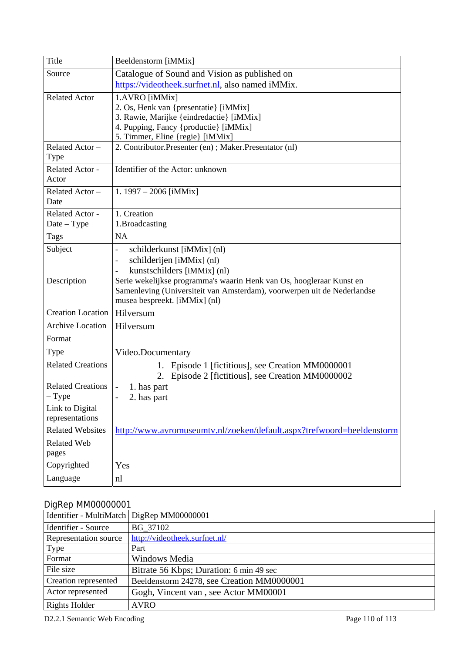| Title                    | Beeldenstorm [iMMix]                                                                                                                            |
|--------------------------|-------------------------------------------------------------------------------------------------------------------------------------------------|
| Source                   | Catalogue of Sound and Vision as published on                                                                                                   |
|                          | https://videotheek.surfnet.nl, also named iMMix.                                                                                                |
| <b>Related Actor</b>     | 1.AVRO [iMMix]                                                                                                                                  |
|                          | 2. Os, Henk van {presentatie} [iMMix]                                                                                                           |
|                          | 3. Rawie, Marijke {eindredactie} [iMMix]<br>4. Pupping, Fancy {productie} [iMMix]                                                               |
|                          | 5. Timmer, Eline {regie} [iMMix]                                                                                                                |
| Related Actor-<br>Type   | 2. Contributor. Presenter (en); Maker. Presentator (nl)                                                                                         |
| Related Actor -          | Identifier of the Actor: unknown                                                                                                                |
| Actor                    |                                                                                                                                                 |
| Related Actor -          | 1. $1997 - 2006$ [iMMix]                                                                                                                        |
| Date                     |                                                                                                                                                 |
| Related Actor -          | 1. Creation                                                                                                                                     |
| $Date - Type$            | 1.Broadcasting                                                                                                                                  |
| Tags                     | <b>NA</b>                                                                                                                                       |
| Subject                  | schilderkunst [iMMix] (nl)<br>$\overline{a}$                                                                                                    |
|                          | schilderijen [iMMix] (nl)<br>-                                                                                                                  |
|                          | kunstschilders [iMMix] (nl)                                                                                                                     |
| Description              | Serie wekelijkse programma's waarin Henk van Os, hoogleraar Kunst en<br>Samenleving (Universiteit van Amsterdam), voorwerpen uit de Nederlandse |
|                          | musea bespreekt. [iMMix] (nl)                                                                                                                   |
| <b>Creation Location</b> | Hilversum                                                                                                                                       |
| <b>Archive Location</b>  | Hilversum                                                                                                                                       |
| Format                   |                                                                                                                                                 |
| Type                     | Video.Documentary                                                                                                                               |
| <b>Related Creations</b> | Episode 1 [fictitious], see Creation MM0000001<br>1.                                                                                            |
|                          | Episode 2 [fictitious], see Creation MM0000002<br>2.                                                                                            |
| <b>Related Creations</b> | 1. has part<br>-                                                                                                                                |
| $-$ Type                 | 2. has part                                                                                                                                     |
| Link to Digital          |                                                                                                                                                 |
| representations          |                                                                                                                                                 |
| <b>Related Websites</b>  | http://www.avromuseumtv.nl/zoeken/default.aspx?trefwoord=beeldenstorm                                                                           |
| Related Web              |                                                                                                                                                 |
| pages                    |                                                                                                                                                 |
| Copyrighted              | Yes                                                                                                                                             |
| Language                 | nl                                                                                                                                              |

## DigRep MM00000001

| Identifier - MultiMatch   DigRep MM00000001 |                                            |
|---------------------------------------------|--------------------------------------------|
| Identifier - Source                         | BG 37102                                   |
| Representation source                       | http://videotheek.surfnet.nl/              |
| Type                                        | Part                                       |
| Format                                      | Windows Media                              |
| File size                                   | Bitrate 56 Kbps; Duration: 6 min 49 sec    |
| Creation represented                        | Beeldenstorm 24278, see Creation MM0000001 |
| Actor represented                           | Gogh, Vincent van, see Actor MM00001       |
| <b>Rights Holder</b>                        | <b>AVRO</b>                                |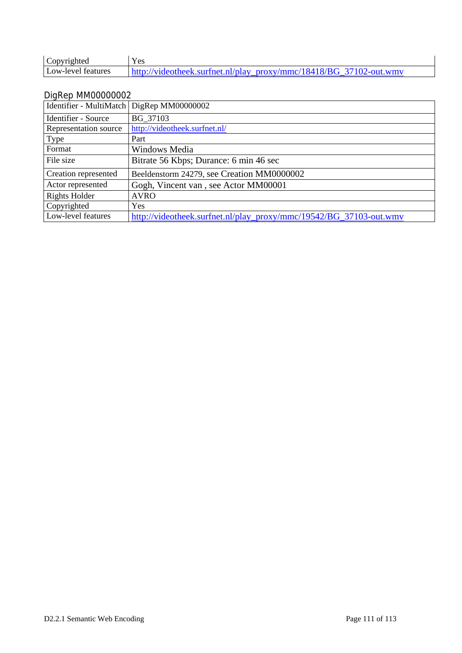| Copyrighted        | Y es                                                               |
|--------------------|--------------------------------------------------------------------|
| Low-level features | http://videotheek.surfnet.nl/play_proxy/mmc/18418/BG_37102-out.wmv |

## DigRep MM00000002

| Identifier - MultiMatch | DigRep MM00000002                                                  |
|-------------------------|--------------------------------------------------------------------|
| Identifier - Source     | BG 37103                                                           |
| Representation source   | http://videotheek.surfnet.nl/                                      |
| Type                    | Part                                                               |
| Format                  | Windows Media                                                      |
| File size               | Bitrate 56 Kbps; Durance: 6 min 46 sec                             |
| Creation represented    | Beeldenstorm 24279, see Creation MM0000002                         |
| Actor represented       | Gogh, Vincent van, see Actor MM00001                               |
| <b>Rights Holder</b>    | <b>AVRO</b>                                                        |
| Copyrighted             | Yes                                                                |
| Low-level features      | http://videotheek.surfnet.nl/play_proxy/mmc/19542/BG_37103-out.wmv |